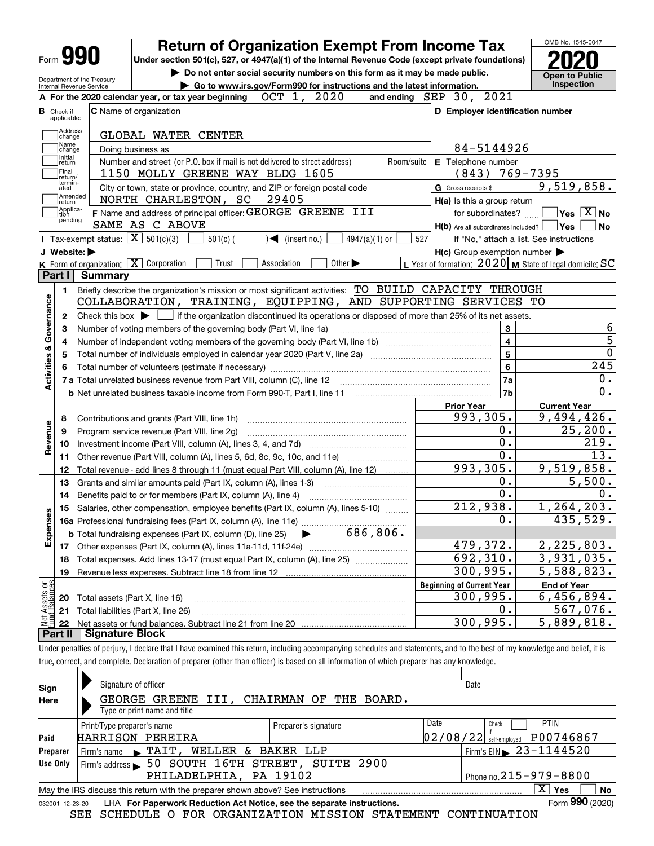| Form 990                                               | <b>Return of Organization Exempt From Income Tax</b>                                                                                                |            |                                                           | OMB No. 1545-0047                                                                                                                                                                     |
|--------------------------------------------------------|-----------------------------------------------------------------------------------------------------------------------------------------------------|------------|-----------------------------------------------------------|---------------------------------------------------------------------------------------------------------------------------------------------------------------------------------------|
|                                                        | Under section 501(c), 527, or 4947(a)(1) of the Internal Revenue Code (except private foundations)                                                  |            |                                                           |                                                                                                                                                                                       |
|                                                        | Do not enter social security numbers on this form as it may be made public.                                                                         |            |                                                           | <b>Open to Public</b>                                                                                                                                                                 |
| Department of the Treasury<br>Internal Revenue Service | Go to www.irs.gov/Form990 for instructions and the latest information.                                                                              |            |                                                           | <b>Inspection</b>                                                                                                                                                                     |
|                                                        | OCT 1, 2020<br>A For the 2020 calendar year, or tax year beginning                                                                                  |            | and ending SEP 30, 2021                                   |                                                                                                                                                                                       |
| <b>B</b> Check if                                      | C Name of organization                                                                                                                              |            | D Employer identification number                          |                                                                                                                                                                                       |
| applicable:                                            |                                                                                                                                                     |            |                                                           |                                                                                                                                                                                       |
| Address<br>change                                      | GLOBAL WATER CENTER                                                                                                                                 |            |                                                           |                                                                                                                                                                                       |
| Name<br>change                                         | Doing business as                                                                                                                                   |            | 84-5144926                                                |                                                                                                                                                                                       |
| Initial<br>return                                      | Number and street (or P.O. box if mail is not delivered to street address)                                                                          | Room/suite | E Telephone number                                        |                                                                                                                                                                                       |
| Final<br>return/<br>termin-                            | 1150 MOLLY GREENE WAY BLDG 1605                                                                                                                     |            | $(843)$ 769-7395                                          |                                                                                                                                                                                       |
| ated                                                   | City or town, state or province, country, and ZIP or foreign postal code                                                                            |            | G Gross receipts \$                                       | 9,519,858.                                                                                                                                                                            |
| Amended<br> return<br>Applica-                         | NORTH CHARLESTON, SC<br>29405                                                                                                                       |            | H(a) Is this a group return                               |                                                                                                                                                                                       |
| tion<br>pending                                        | F Name and address of principal officer: GEORGE GREENE III                                                                                          |            | for subordinates? $\Box$                                  | $\overline{\ }$ Yes $\overline{\phantom{X}}$ No                                                                                                                                       |
|                                                        | SAME AS C ABOVE                                                                                                                                     |            | $H(b)$ Are all subordinates included? $\Box$ Yes          | No                                                                                                                                                                                    |
|                                                        | Tax-exempt status: $\boxed{\mathbf{X}}$ 501(c)(3)<br>$501(c)$ (<br>$\sqrt{\bullet}$ (insert no.)<br>$4947(a)(1)$ or                                 | 527        |                                                           | If "No," attach a list. See instructions                                                                                                                                              |
| J Website:                                             |                                                                                                                                                     |            | $H(c)$ Group exemption number $\blacktriangleright$       |                                                                                                                                                                                       |
| Part I                                                 | K Form of organization: X Corporation<br>Trust<br>Other $\blacktriangleright$<br>Association<br><b>Summary</b>                                      |            | L Year of formation: $2020$ M State of legal domicile: SC |                                                                                                                                                                                       |
|                                                        |                                                                                                                                                     |            |                                                           |                                                                                                                                                                                       |
| 1.                                                     | Briefly describe the organization's mission or most significant activities: TO BUILD CAPACITY THROUGH                                               |            |                                                           |                                                                                                                                                                                       |
|                                                        | COLLABORATION, TRAINING, EQUIPPING, AND SUPPORTING SERVICES TO                                                                                      |            |                                                           |                                                                                                                                                                                       |
| 2                                                      | Check this box $\blacktriangleright$ $\blacksquare$ if the organization discontinued its operations or disposed of more than 25% of its net assets. |            |                                                           |                                                                                                                                                                                       |
| з                                                      | Number of voting members of the governing body (Part VI, line 1a)                                                                                   |            | 3                                                         | 6                                                                                                                                                                                     |
| 4                                                      |                                                                                                                                                     |            | $\overline{\mathbf{4}}$                                   | $\overline{5}$<br>$\overline{0}$                                                                                                                                                      |
| 5                                                      |                                                                                                                                                     |            | $\overline{5}$                                            | 245                                                                                                                                                                                   |
|                                                        |                                                                                                                                                     |            | $6\phantom{a}$                                            |                                                                                                                                                                                       |
| Activities & Governance                                |                                                                                                                                                     |            | 7a                                                        | 0.<br>0.                                                                                                                                                                              |
|                                                        |                                                                                                                                                     |            | 7b                                                        |                                                                                                                                                                                       |
|                                                        |                                                                                                                                                     |            | <b>Prior Year</b><br>993,305.                             | <b>Current Year</b>                                                                                                                                                                   |
| 8                                                      |                                                                                                                                                     |            |                                                           |                                                                                                                                                                                       |
| 9                                                      | Program service revenue (Part VIII, line 2g)                                                                                                        |            |                                                           |                                                                                                                                                                                       |
|                                                        |                                                                                                                                                     |            | 0.                                                        |                                                                                                                                                                                       |
| 10                                                     |                                                                                                                                                     |            | 0.                                                        |                                                                                                                                                                                       |
| 11                                                     | Other revenue (Part VIII, column (A), lines 5, 6d, 8c, 9c, 10c, and 11e)                                                                            |            | $\overline{0}$ .                                          |                                                                                                                                                                                       |
| 12                                                     | Total revenue - add lines 8 through 11 (must equal Part VIII, column (A), line 12)                                                                  |            | 993,305.                                                  |                                                                                                                                                                                       |
| 13                                                     | Grants and similar amounts paid (Part IX, column (A), lines 1-3)                                                                                    |            | 0.                                                        |                                                                                                                                                                                       |
| 14                                                     | Benefits paid to or for members (Part IX, column (A), line 4)                                                                                       |            | 0.                                                        |                                                                                                                                                                                       |
| 15                                                     | Salaries, other compensation, employee benefits (Part IX, column (A), lines 5-10)                                                                   |            | 212,938.                                                  |                                                                                                                                                                                       |
|                                                        | 16a Professional fundraising fees (Part IX, column (A), line 11e)                                                                                   |            | $\overline{0}$ .                                          |                                                                                                                                                                                       |
|                                                        | 686,806.<br><b>b</b> Total fundraising expenses (Part IX, column (D), line 25)                                                                      |            |                                                           |                                                                                                                                                                                       |
| 17                                                     |                                                                                                                                                     |            | 479,372.                                                  |                                                                                                                                                                                       |
| 18                                                     | Total expenses. Add lines 13-17 (must equal Part IX, column (A), line 25)                                                                           |            | 692,310.                                                  |                                                                                                                                                                                       |
| 19                                                     | Revenue less expenses. Subtract line 18 from line 12                                                                                                |            | 300,995.                                                  |                                                                                                                                                                                       |
| Revenue<br>6S<br>Expens                                |                                                                                                                                                     |            | <b>Beginning of Current Year</b>                          | <b>End of Year</b>                                                                                                                                                                    |
| 20                                                     | Total assets (Part X, line 16)                                                                                                                      |            | 300,995.                                                  | 9,494,426.<br>25, 200.<br>219.<br>$\overline{13}$ .<br>9,519,858.<br>5,500.<br>0.<br>1, 264, 203.<br>435,529.<br>2,225,803.<br>3,931,035.<br>$\overline{5}$ , 588, 823.<br>6,456,894. |
| Net Assets or<br>Fund Balances<br>21<br>22             | Total liabilities (Part X, line 26)                                                                                                                 |            | 0.<br>300, 995.                                           | 567,076.<br>5,889,818.                                                                                                                                                                |

true, correct, and complete. Declaration of preparer (other than officer) is based on all information of which preparer has any knowledge.

| Sign            | Signature of officer                                                                                         | Date                                     |  |  |  |  |  |  |
|-----------------|--------------------------------------------------------------------------------------------------------------|------------------------------------------|--|--|--|--|--|--|
| Here            | III, CHAIRMAN OF THE BOARD.<br>GEORGE GREENE                                                                 |                                          |  |  |  |  |  |  |
|                 | Type or print name and title                                                                                 |                                          |  |  |  |  |  |  |
|                 | Print/Type preparer's name<br>Preparer's signature                                                           | Date<br><b>PTIN</b><br>Check             |  |  |  |  |  |  |
| Paid            | <b>HARRISON PEREIRA</b>                                                                                      | P00746867<br> 02/08/22 <br>self-employed |  |  |  |  |  |  |
| Preparer        | <b>WELLER &amp;</b><br>BAKER LLP<br>Firm's name $\blacktriangleright$ $\mathbf{TAIT}$ ,                      | Firm's EIN $\triangleright$ 23-1144520   |  |  |  |  |  |  |
| Use Only        | 50 SOUTH 16TH STREET, SUITE 2900<br>Firm's address                                                           |                                          |  |  |  |  |  |  |
|                 | PHILADELPHIA, PA 19102                                                                                       | Phone no. $215 - 979 - 8800$             |  |  |  |  |  |  |
|                 | $\mathbf{X}$<br>Yes<br>No<br>May the IRS discuss this return with the preparer shown above? See instructions |                                          |  |  |  |  |  |  |
| 032001 12-23-20 | LHA For Paperwork Reduction Act Notice, see the separate instructions.                                       | Form 990 (2020)                          |  |  |  |  |  |  |

SEE SCHEDULE O FOR ORGANIZATION MISSION STATEMENT CONTINUATION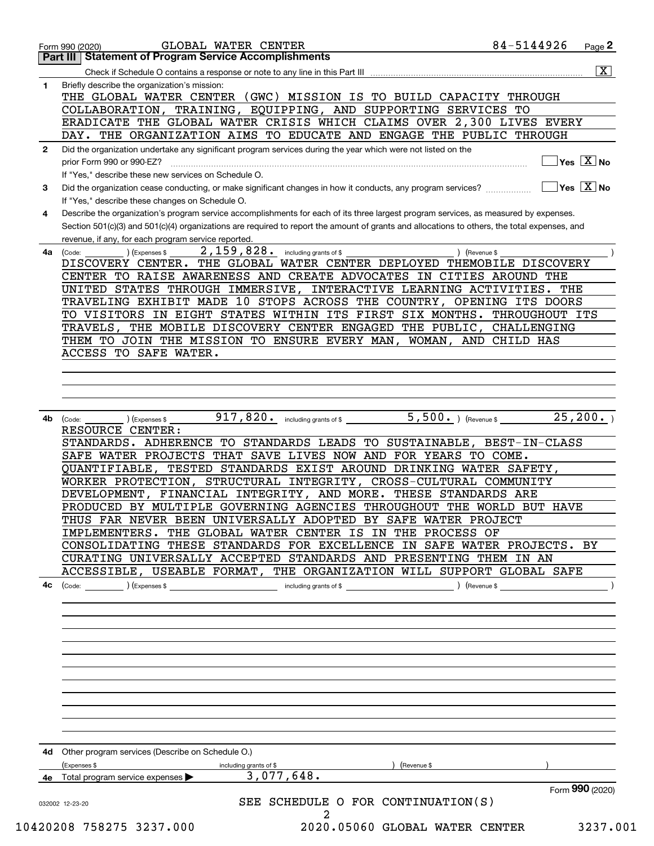|              | <b>Part III Statement of Program Service Accomplishments</b>                                                                                                                                                                                                                                                                                                                                                                                                                                                                                                                                                                                                                                                                                                                                                                                                                                       |                         |
|--------------|----------------------------------------------------------------------------------------------------------------------------------------------------------------------------------------------------------------------------------------------------------------------------------------------------------------------------------------------------------------------------------------------------------------------------------------------------------------------------------------------------------------------------------------------------------------------------------------------------------------------------------------------------------------------------------------------------------------------------------------------------------------------------------------------------------------------------------------------------------------------------------------------------|-------------------------|
|              |                                                                                                                                                                                                                                                                                                                                                                                                                                                                                                                                                                                                                                                                                                                                                                                                                                                                                                    | $\overline{\mathbf{x}}$ |
| 1.           | Briefly describe the organization's mission:<br>THE GLOBAL WATER CENTER (GWC) MISSION IS TO BUILD CAPACITY THROUGH<br>COLLABORATION, TRAINING, EQUIPPING, AND SUPPORTING SERVICES TO<br>ERADICATE THE GLOBAL WATER CRISIS WHICH CLAIMS OVER 2,300 LIVES EVERY<br>DAY. THE ORGANIZATION AIMS TO EDUCATE AND ENGAGE THE PUBLIC THROUGH                                                                                                                                                                                                                                                                                                                                                                                                                                                                                                                                                               |                         |
|              |                                                                                                                                                                                                                                                                                                                                                                                                                                                                                                                                                                                                                                                                                                                                                                                                                                                                                                    |                         |
| $\mathbf{2}$ | Did the organization undertake any significant program services during the year which were not listed on the<br>prior Form 990 or 990-EZ?<br>If "Yes," describe these new services on Schedule O.                                                                                                                                                                                                                                                                                                                                                                                                                                                                                                                                                                                                                                                                                                  | Yes $X$ No              |
| 3            | Did the organization cease conducting, or make significant changes in how it conducts, any program services?<br>If "Yes," describe these changes on Schedule O.                                                                                                                                                                                                                                                                                                                                                                                                                                                                                                                                                                                                                                                                                                                                    | $Yes \sqrt{X}$ No       |
| 4            | Describe the organization's program service accomplishments for each of its three largest program services, as measured by expenses.<br>Section 501(c)(3) and 501(c)(4) organizations are required to report the amount of grants and allocations to others, the total expenses, and<br>revenue, if any, for each program service reported.                                                                                                                                                                                                                                                                                                                                                                                                                                                                                                                                                        |                         |
| 4a           | 2,159,828.<br>including grants of \$<br>) (Revenue \$<br>(Code:<br>(Expenses \$<br>DISCOVERY CENTER. THE GLOBAL WATER CENTER DEPLOYED THEMOBILE DISCOVERY<br>CENTER TO RAISE AWARENESS AND CREATE ADVOCATES IN CITIES AROUND THE<br>UNITED STATES THROUGH IMMERSIVE, INTERACTIVE LEARNING ACTIVITIES. THE<br>TRAVELING EXHIBIT MADE 10 STOPS ACROSS THE COUNTRY, OPENING ITS DOORS<br>TO VISITORS IN EIGHT STATES WITHIN ITS FIRST SIX MONTHS. THROUGHOUT ITS<br>TRAVELS, THE MOBILE DISCOVERY CENTER ENGAGED THE PUBLIC, CHALLENGING<br>THEM TO JOIN THE MISSION TO ENSURE EVERY MAN, WOMAN, AND CHILD HAS<br>ACCESS TO SAFE WATER.                                                                                                                                                                                                                                                               |                         |
| 4b           | 5,500. ) (Revenue \$<br>$917,820$ . including grants of \$<br>(Expenses \$<br>(Code:<br>RESOURCE CENTER:<br>STANDARDS. ADHERENCE TO STANDARDS LEADS TO SUSTAINABLE, BEST-IN-CLASS<br>SAFE WATER PROJECTS THAT SAVE LIVES NOW AND FOR YEARS TO COME.<br>QUANTIFIABLE, TESTED STANDARDS EXIST AROUND DRINKING WATER SAFETY,<br>WORKER PROTECTION, STRUCTURAL INTEGRITY, CROSS-CULTURAL COMMUNITY<br>DEVELOPMENT, FINANCIAL INTEGRITY, AND MORE. THESE STANDARDS ARE<br>PRODUCED BY MULTIPLE GOVERNING AGENCIES THROUGHOUT THE WORLD BUT HAVE<br>THUS FAR NEVER BEEN UNIVERSALLY ADOPTED BY SAFE WATER PROJECT<br>IMPLEMENTERS. THE GLOBAL WATER CENTER IS IN THE PROCESS OF<br>CONSOLIDATING THESE STANDARDS FOR EXCELLENCE IN SAFE WATER PROJECTS. BY<br>CURATING UNIVERSALLY ACCEPTED STANDARDS AND PRESENTING THEM IN AN<br>ACCESSIBLE, USEABLE FORMAT, THE ORGANIZATION WILL SUPPORT GLOBAL SAFE | $\overline{25}$ , 200.  |
| 4с           |                                                                                                                                                                                                                                                                                                                                                                                                                                                                                                                                                                                                                                                                                                                                                                                                                                                                                                    |                         |
|              | 4d Other program services (Describe on Schedule O.)<br>(Expenses \$<br>) (Revenue \$<br>including grants of \$                                                                                                                                                                                                                                                                                                                                                                                                                                                                                                                                                                                                                                                                                                                                                                                     |                         |
|              | 3,077,648.<br><b>4e</b> Total program service expenses $\blacktriangleright$                                                                                                                                                                                                                                                                                                                                                                                                                                                                                                                                                                                                                                                                                                                                                                                                                       |                         |
|              |                                                                                                                                                                                                                                                                                                                                                                                                                                                                                                                                                                                                                                                                                                                                                                                                                                                                                                    | Form 990 (2020)         |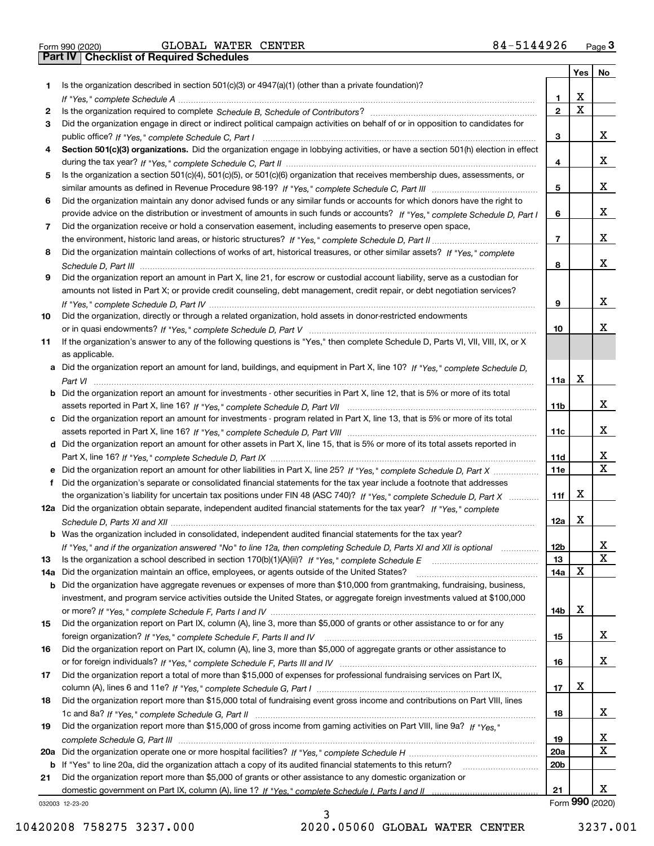|  | Form 990 (2020 |
|--|----------------|

Form 990 (2020) GLOBAL WATER CENTER 8 4~51449 26 <sub>Page</sub> 3<br>**Part IV | Checklist of Required Schedules** 

|     |                                                                                                                                       |                 |   | Yes   No        |
|-----|---------------------------------------------------------------------------------------------------------------------------------------|-----------------|---|-----------------|
| 1   | Is the organization described in section $501(c)(3)$ or $4947(a)(1)$ (other than a private foundation)?                               |                 |   |                 |
|     |                                                                                                                                       | 1.              | X |                 |
| 2   |                                                                                                                                       | $\mathbf{2}$    | X |                 |
| 3   | Did the organization engage in direct or indirect political campaign activities on behalf of or in opposition to candidates for       |                 |   |                 |
|     |                                                                                                                                       | з               |   | x               |
| 4   | Section 501(c)(3) organizations. Did the organization engage in lobbying activities, or have a section 501(h) election in effect      |                 |   |                 |
|     |                                                                                                                                       | 4               |   | x               |
| 5   | Is the organization a section 501(c)(4), 501(c)(5), or 501(c)(6) organization that receives membership dues, assessments, or          |                 |   |                 |
|     |                                                                                                                                       | 5               |   | x               |
| 6   | Did the organization maintain any donor advised funds or any similar funds or accounts for which donors have the right to             |                 |   |                 |
|     | provide advice on the distribution or investment of amounts in such funds or accounts? If "Yes," complete Schedule D, Part I          | 6               |   | x               |
| 7   | Did the organization receive or hold a conservation easement, including easements to preserve open space,                             |                 |   |                 |
|     |                                                                                                                                       | $\overline{7}$  |   | x               |
| 8   | Did the organization maintain collections of works of art, historical treasures, or other similar assets? If "Yes," complete          |                 |   |                 |
|     |                                                                                                                                       | 8               |   | x               |
| 9   | Did the organization report an amount in Part X, line 21, for escrow or custodial account liability, serve as a custodian for         |                 |   |                 |
|     | amounts not listed in Part X; or provide credit counseling, debt management, credit repair, or debt negotiation services?             |                 |   |                 |
|     |                                                                                                                                       | 9               |   | x               |
| 10  | Did the organization, directly or through a related organization, hold assets in donor-restricted endowments                          |                 |   |                 |
|     |                                                                                                                                       | 10              |   | x               |
| 11  | If the organization's answer to any of the following questions is "Yes," then complete Schedule D, Parts VI, VII, VIII, IX, or X      |                 |   |                 |
|     | as applicable.                                                                                                                        |                 |   |                 |
|     | a Did the organization report an amount for land, buildings, and equipment in Part X, line 10? If "Yes." complete Schedule D.         |                 | X |                 |
|     |                                                                                                                                       | 11a             |   |                 |
|     | <b>b</b> Did the organization report an amount for investments - other securities in Part X, line 12, that is 5% or more of its total |                 |   | x               |
|     |                                                                                                                                       | 11 <sub>b</sub> |   |                 |
|     | c Did the organization report an amount for investments - program related in Part X, line 13, that is 5% or more of its total         | 11c             |   | x               |
|     | d Did the organization report an amount for other assets in Part X, line 15, that is 5% or more of its total assets reported in       |                 |   |                 |
|     |                                                                                                                                       | <b>11d</b>      |   | X               |
|     | e Did the organization report an amount for other liabilities in Part X, line 25? If "Yes," complete Schedule D, Part X               | <b>11e</b>      |   | X               |
| f   | Did the organization's separate or consolidated financial statements for the tax year include a footnote that addresses               |                 |   |                 |
|     | the organization's liability for uncertain tax positions under FIN 48 (ASC 740)? If "Yes," complete Schedule D, Part X                | 11f             | х |                 |
|     | 12a Did the organization obtain separate, independent audited financial statements for the tax year? If "Yes," complete               |                 |   |                 |
|     |                                                                                                                                       | 12a             | х |                 |
|     | <b>b</b> Was the organization included in consolidated, independent audited financial statements for the tax year?                    |                 |   |                 |
|     | If "Yes," and if the organization answered "No" to line 12a, then completing Schedule D, Parts XI and XII is optional                 | 12 <sub>b</sub> |   | 47              |
| 13  |                                                                                                                                       | 13              |   | X               |
| 14a | Did the organization maintain an office, employees, or agents outside of the United States?                                           | 14a             | x |                 |
|     | <b>b</b> Did the organization have aggregate revenues or expenses of more than \$10,000 from grantmaking, fundraising, business,      |                 |   |                 |
|     | investment, and program service activities outside the United States, or aggregate foreign investments valued at \$100,000            |                 |   |                 |
|     |                                                                                                                                       | 14b             | x |                 |
| 15  | Did the organization report on Part IX, column (A), line 3, more than \$5,000 of grants or other assistance to or for any             |                 |   |                 |
|     |                                                                                                                                       | 15              |   | X.              |
| 16  | Did the organization report on Part IX, column (A), line 3, more than \$5,000 of aggregate grants or other assistance to              |                 |   |                 |
|     |                                                                                                                                       | 16              |   | x               |
| 17  | Did the organization report a total of more than \$15,000 of expenses for professional fundraising services on Part IX,               |                 |   |                 |
|     |                                                                                                                                       | 17              | x |                 |
| 18  | Did the organization report more than \$15,000 total of fundraising event gross income and contributions on Part VIII, lines          |                 |   |                 |
|     |                                                                                                                                       | 18              |   | X.              |
| 19  | Did the organization report more than \$15,000 of gross income from gaming activities on Part VIII, line 9a? If "Yes."                |                 |   |                 |
|     |                                                                                                                                       | 19              |   | x               |
|     |                                                                                                                                       | 20a             |   | X               |
|     | b If "Yes" to line 20a, did the organization attach a copy of its audited financial statements to this return?                        | 20 <sub>b</sub> |   |                 |
| 21  | Did the organization report more than \$5,000 of grants or other assistance to any domestic organization or                           |                 |   |                 |
|     |                                                                                                                                       | 21              |   | x               |
|     | 032003 12-23-20                                                                                                                       |                 |   | Form 990 (2020) |

032003 12-23-20

10420208 758275 3237.000 2020.05060 GLOBAL WATER CENTER 3237.001

3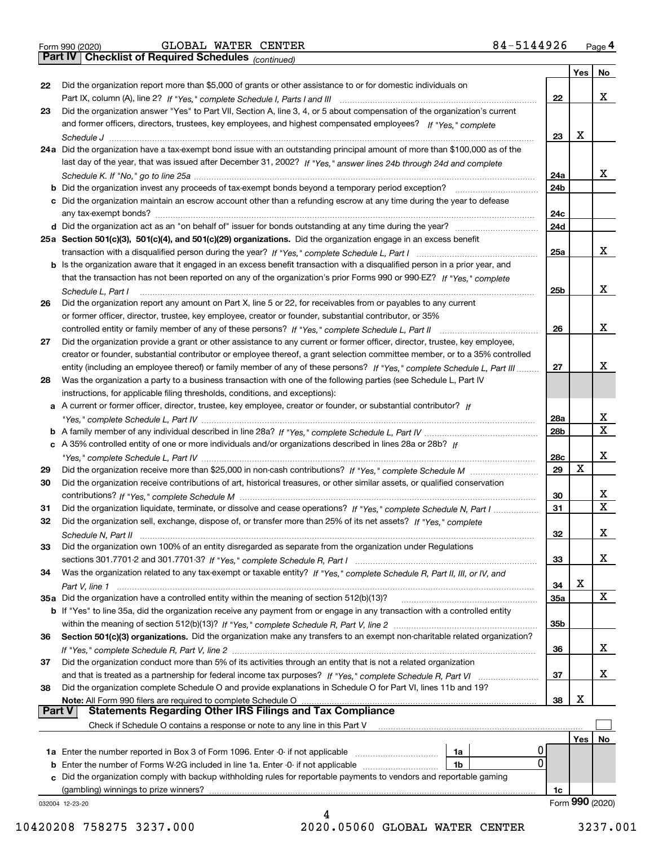|  | Form 990 (2020) |
|--|-----------------|
|  |                 |

*(continued)*

|               |                                                                                                                               |                 | Yes        | No                |
|---------------|-------------------------------------------------------------------------------------------------------------------------------|-----------------|------------|-------------------|
| 22            | Did the organization report more than \$5,000 of grants or other assistance to or for domestic individuals on                 |                 |            |                   |
|               |                                                                                                                               | 22              |            | x                 |
| 23            | Did the organization answer "Yes" to Part VII, Section A, line 3, 4, or 5 about compensation of the organization's current    |                 |            |                   |
|               | and former officers, directors, trustees, key employees, and highest compensated employees? If "Yes," complete                |                 |            |                   |
|               |                                                                                                                               | 23              | X          |                   |
|               | 24a Did the organization have a tax-exempt bond issue with an outstanding principal amount of more than \$100,000 as of the   |                 |            |                   |
|               | last day of the year, that was issued after December 31, 2002? If "Yes," answer lines 24b through 24d and complete            |                 |            |                   |
|               |                                                                                                                               | 24a             |            | x                 |
|               | b Did the organization invest any proceeds of tax-exempt bonds beyond a temporary period exception?                           | 24b             |            |                   |
|               | c Did the organization maintain an escrow account other than a refunding escrow at any time during the year to defease        |                 |            |                   |
|               | any tax-exempt bonds?                                                                                                         | 24c             |            |                   |
|               | d Did the organization act as an "on behalf of" issuer for bonds outstanding at any time during the year?                     | 24d             |            |                   |
|               | 25a Section 501(c)(3), 501(c)(4), and 501(c)(29) organizations. Did the organization engage in an excess benefit              |                 |            |                   |
|               |                                                                                                                               | 25a             |            | x                 |
|               | b Is the organization aware that it engaged in an excess benefit transaction with a disqualified person in a prior year, and  |                 |            |                   |
|               | that the transaction has not been reported on any of the organization's prior Forms 990 or 990-EZ? If "Yes," complete         |                 |            |                   |
|               |                                                                                                                               |                 |            | x                 |
|               | Schedule L, Part I                                                                                                            | 25b             |            |                   |
| 26            | Did the organization report any amount on Part X, line 5 or 22, for receivables from or payables to any current               |                 |            |                   |
|               | or former officer, director, trustee, key employee, creator or founder, substantial contributor, or 35%                       |                 |            | х                 |
|               |                                                                                                                               | 26              |            |                   |
| 27            | Did the organization provide a grant or other assistance to any current or former officer, director, trustee, key employee,   |                 |            |                   |
|               | creator or founder, substantial contributor or employee thereof, a grant selection committee member, or to a 35% controlled   |                 |            |                   |
|               | entity (including an employee thereof) or family member of any of these persons? If "Yes," complete Schedule L, Part III      | 27              |            | х                 |
| 28            | Was the organization a party to a business transaction with one of the following parties (see Schedule L, Part IV             |                 |            |                   |
|               | instructions, for applicable filing thresholds, conditions, and exceptions):                                                  |                 |            |                   |
|               | a A current or former officer, director, trustee, key employee, creator or founder, or substantial contributor? If            |                 |            |                   |
|               |                                                                                                                               | 28a             |            | x<br>$\mathbf{x}$ |
|               |                                                                                                                               | 28 <sub>b</sub> |            |                   |
|               | c A 35% controlled entity of one or more individuals and/or organizations described in lines 28a or 28b? If                   |                 |            |                   |
|               |                                                                                                                               | 28c             |            | х                 |
| 29            |                                                                                                                               | 29              | х          |                   |
| 30            | Did the organization receive contributions of art, historical treasures, or other similar assets, or qualified conservation   |                 |            |                   |
|               |                                                                                                                               | 30              |            | x                 |
| 31            | Did the organization liquidate, terminate, or dissolve and cease operations? If "Yes," complete Schedule N, Part I            | 31              |            | $\mathbf x$       |
| 32            | Did the organization sell, exchange, dispose of, or transfer more than 25% of its net assets? If "Yes," complete              |                 |            |                   |
|               | Schedule N, Part II                                                                                                           | 32              |            | х                 |
| 33            | Did the organization own 100% of an entity disregarded as separate from the organization under Regulations                    |                 |            |                   |
|               |                                                                                                                               | 33              |            | х                 |
| 34            | Was the organization related to any tax-exempt or taxable entity? If "Yes," complete Schedule R, Part II, III, or IV, and     |                 |            |                   |
|               |                                                                                                                               | 34              | X          |                   |
|               | 35a Did the organization have a controlled entity within the meaning of section 512(b)(13)?                                   | <b>35a</b>      |            | X                 |
|               | b If "Yes" to line 35a, did the organization receive any payment from or engage in any transaction with a controlled entity   |                 |            |                   |
|               |                                                                                                                               | 35b             |            |                   |
| 36            | Section 501(c)(3) organizations. Did the organization make any transfers to an exempt non-charitable related organization?    |                 |            |                   |
|               |                                                                                                                               | 36              |            | x                 |
| 37            | Did the organization conduct more than 5% of its activities through an entity that is not a related organization              |                 |            |                   |
|               | and that is treated as a partnership for federal income tax purposes? If "Yes," complete Schedule R, Part VI                  | 37              |            | x                 |
| 38            | Did the organization complete Schedule O and provide explanations in Schedule O for Part VI, lines 11b and 19?                |                 |            |                   |
|               | Note: All Form 990 filers are required to complete Schedule O                                                                 | 38              | х          |                   |
| <b>Part V</b> | <b>Statements Regarding Other IRS Filings and Tax Compliance</b>                                                              |                 |            |                   |
|               | Check if Schedule O contains a response or note to any line in this Part V                                                    |                 |            |                   |
|               |                                                                                                                               |                 | <b>Yes</b> | No                |
|               | U<br><b>1a</b> Enter the number reported in Box 3 of Form 1096. Enter -0- if not applicable <i>manumumumum</i><br>1a          |                 |            |                   |
|               | $\Omega$<br><b>b</b> Enter the number of Forms W-2G included in line 1a. Enter -0- if not applicable <i>manumumumum</i><br>1b |                 |            |                   |
|               | c Did the organization comply with backup withholding rules for reportable payments to vendors and reportable gaming          |                 |            |                   |
|               | (gambling) winnings to prize winners?                                                                                         | 1c              |            |                   |
|               | 032004 12-23-20                                                                                                               |                 |            | Form 990 (2020)   |
|               |                                                                                                                               |                 |            |                   |

10420208 758275 3237.000 2020.05060 GLOBAL WATER CENTER 3237.001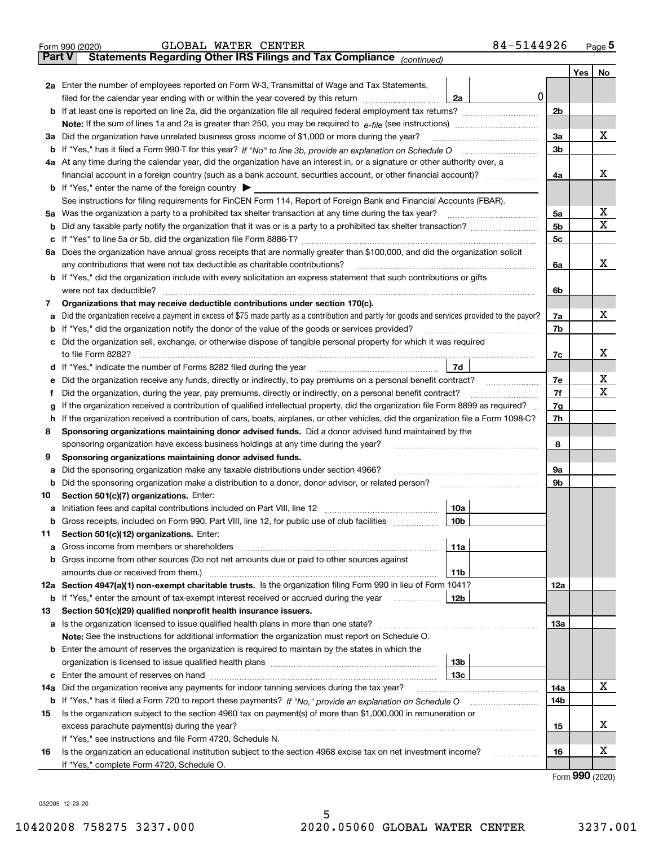|               | 84-5144926<br>GLOBAL WATER CENTER<br>Form 990 (2020)                                                                                                                                                                                 |                |     | Page 5               |
|---------------|--------------------------------------------------------------------------------------------------------------------------------------------------------------------------------------------------------------------------------------|----------------|-----|----------------------|
| <b>Part V</b> | Statements Regarding Other IRS Filings and Tax Compliance (continued)                                                                                                                                                                |                |     |                      |
|               |                                                                                                                                                                                                                                      |                | Yes | No                   |
|               | 2a Enter the number of employees reported on Form W-3, Transmittal of Wage and Tax Statements,                                                                                                                                       |                |     |                      |
|               | 0<br>filed for the calendar year ending with or within the year covered by this return <i>manumumumum</i><br>2a                                                                                                                      |                |     |                      |
|               |                                                                                                                                                                                                                                      | 2 <sub>b</sub> |     |                      |
|               |                                                                                                                                                                                                                                      |                |     |                      |
|               | 3a Did the organization have unrelated business gross income of \$1,000 or more during the year?                                                                                                                                     | 3a             |     | х                    |
|               |                                                                                                                                                                                                                                      | 3 <sub>b</sub> |     |                      |
|               | 4a At any time during the calendar year, did the organization have an interest in, or a signature or other authority over, a                                                                                                         |                |     |                      |
|               | financial account in a foreign country (such as a bank account, securities account, or other financial account)?                                                                                                                     | 4a             |     | x                    |
|               | <b>b</b> If "Yes," enter the name of the foreign country $\blacktriangleright$                                                                                                                                                       |                |     |                      |
|               | See instructions for filing requirements for FinCEN Form 114, Report of Foreign Bank and Financial Accounts (FBAR).                                                                                                                  |                |     |                      |
|               |                                                                                                                                                                                                                                      | 5a             |     | х                    |
| b             |                                                                                                                                                                                                                                      | 5 <sub>b</sub> |     | x                    |
|               |                                                                                                                                                                                                                                      | 5с             |     |                      |
|               | 6a Does the organization have annual gross receipts that are normally greater than \$100,000, and did the organization solicit                                                                                                       |                |     |                      |
|               | any contributions that were not tax deductible as charitable contributions?                                                                                                                                                          | 6a             |     | x                    |
|               | <b>b</b> If "Yes," did the organization include with every solicitation an express statement that such contributions or gifts                                                                                                        |                |     |                      |
|               | were not tax deductible?                                                                                                                                                                                                             | 6b             |     |                      |
| 7             | Organizations that may receive deductible contributions under section 170(c).                                                                                                                                                        |                |     |                      |
| a             | Did the organization receive a payment in excess of \$75 made partly as a contribution and partly for goods and services provided to the payor?                                                                                      | 7a             |     | x                    |
|               | <b>b</b> If "Yes," did the organization notify the donor of the value of the goods or services provided?                                                                                                                             | 7b             |     |                      |
|               | c Did the organization sell, exchange, or otherwise dispose of tangible personal property for which it was required                                                                                                                  |                |     |                      |
|               |                                                                                                                                                                                                                                      | 7c             |     | x                    |
|               | 7d<br>d If "Yes," indicate the number of Forms 8282 filed during the year [11] [11] The Section of Holden and The Year [11] In The Year [11] In The Year [11] In The Year [11] In The Year [11] In The Year [11] In The Year [11] In |                |     |                      |
| е             | Did the organization receive any funds, directly or indirectly, to pay premiums on a personal benefit contract?                                                                                                                      | 7e             |     | х                    |
| f             | Did the organization, during the year, pay premiums, directly or indirectly, on a personal benefit contract?                                                                                                                         | 7f             |     | х                    |
| g             | If the organization received a contribution of qualified intellectual property, did the organization file Form 8899 as required?                                                                                                     | 7g             |     |                      |
| h.            | If the organization received a contribution of cars, boats, airplanes, or other vehicles, did the organization file a Form 1098-C?                                                                                                   | 7h             |     |                      |
| 8             | Sponsoring organizations maintaining donor advised funds. Did a donor advised fund maintained by the                                                                                                                                 |                |     |                      |
|               | sponsoring organization have excess business holdings at any time during the year?                                                                                                                                                   | 8              |     |                      |
| 9             | Sponsoring organizations maintaining donor advised funds.                                                                                                                                                                            |                |     |                      |
| а             | Did the sponsoring organization make any taxable distributions under section 4966?                                                                                                                                                   | 9a             |     |                      |
|               | <b>b</b> Did the sponsoring organization make a distribution to a donor, donor advisor, or related person?                                                                                                                           | 9b             |     |                      |
| 10            | Section 501(c)(7) organizations. Enter:                                                                                                                                                                                              |                |     |                      |
|               | 10a                                                                                                                                                                                                                                  |                |     |                      |
|               | 10b <br>Gross receipts, included on Form 990, Part VIII, line 12, for public use of club facilities                                                                                                                                  |                |     |                      |
| 11            | Section 501(c)(12) organizations. Enter:                                                                                                                                                                                             |                |     |                      |
|               | <b>a</b> Gross income from members or shareholders<br>11a                                                                                                                                                                            |                |     |                      |
|               | b Gross income from other sources (Do not net amounts due or paid to other sources against                                                                                                                                           |                |     |                      |
|               | 11b                                                                                                                                                                                                                                  |                |     |                      |
|               | 12a Section 4947(a)(1) non-exempt charitable trusts. Is the organization filing Form 990 in lieu of Form 1041?                                                                                                                       | 12a            |     |                      |
|               | <b>b</b> If "Yes," enter the amount of tax-exempt interest received or accrued during the year<br>12b                                                                                                                                |                |     |                      |
| 13            | Section 501(c)(29) qualified nonprofit health insurance issuers.                                                                                                                                                                     |                |     |                      |
|               | <b>a</b> Is the organization licensed to issue qualified health plans in more than one state?                                                                                                                                        | 13а            |     |                      |
|               | Note: See the instructions for additional information the organization must report on Schedule O.                                                                                                                                    |                |     |                      |
|               | <b>b</b> Enter the amount of reserves the organization is required to maintain by the states in which the                                                                                                                            |                |     |                      |
|               | 13b                                                                                                                                                                                                                                  |                |     |                      |
|               | 13с                                                                                                                                                                                                                                  |                |     |                      |
| 14a           | Did the organization receive any payments for indoor tanning services during the tax year?                                                                                                                                           | 14a            |     | x                    |
|               | <b>b</b> If "Yes," has it filed a Form 720 to report these payments? If "No," provide an explanation on Schedule O                                                                                                                   | 14b            |     |                      |
| 15            | Is the organization subject to the section 4960 tax on payment(s) of more than \$1,000,000 in remuneration or                                                                                                                        |                |     |                      |
|               |                                                                                                                                                                                                                                      | 15             |     | x                    |
|               | If "Yes," see instructions and file Form 4720, Schedule N.                                                                                                                                                                           |                |     |                      |
| 16            | Is the organization an educational institution subject to the section 4968 excise tax on net investment income?                                                                                                                      | 16             |     | x                    |
|               | If "Yes," complete Form 4720, Schedule O.                                                                                                                                                                                            |                |     |                      |
|               |                                                                                                                                                                                                                                      |                |     | $000 \; \text{mass}$ |

Form (2020) **990**

032005 12-23-20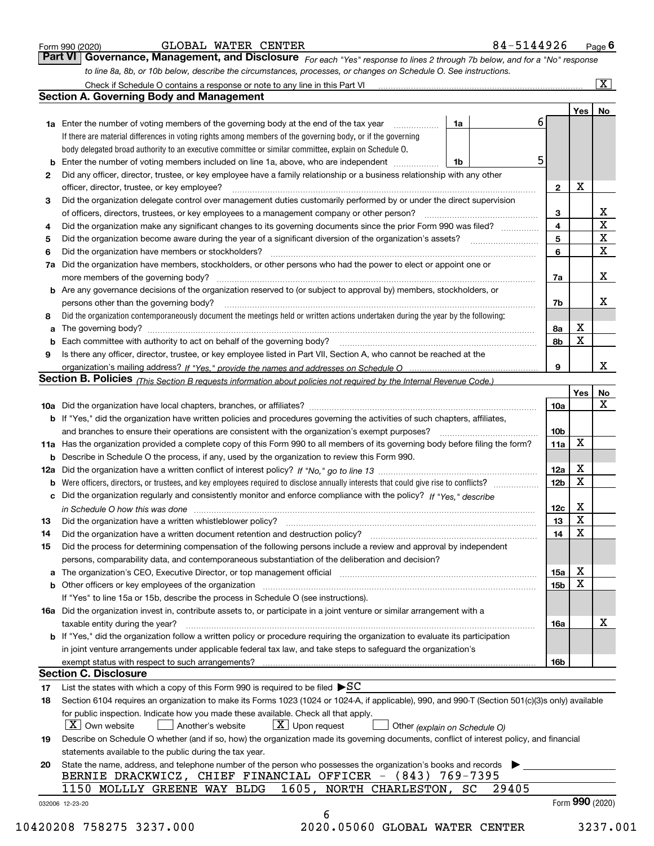|  | Form 990 (2020) |
|--|-----------------|
|  |                 |

| GLOBAL | <b>WATER</b> | CENTER |
|--------|--------------|--------|
|--------|--------------|--------|

*For each "Yes" response to lines 2 through 7b below, and for a "No" response to line 8a, 8b, or 10b below, describe the circumstances, processes, or changes on Schedule O. See instructions.* Form 990 (2020) **CLOBAL WATER CENTER**<br>**Part VI Governance, Management, and Disclosure** For each "Yes" response to lines 2 through 7b below, and for a "No" response

|     |                                                                                                                                                                                                                                |    |       |   |                 | Yes   No         |             |
|-----|--------------------------------------------------------------------------------------------------------------------------------------------------------------------------------------------------------------------------------|----|-------|---|-----------------|------------------|-------------|
|     | <b>1a</b> Enter the number of voting members of the governing body at the end of the tax year <i>manumum</i>                                                                                                                   | 1a |       | 6 |                 |                  |             |
|     | If there are material differences in voting rights among members of the governing body, or if the governing                                                                                                                    |    |       |   |                 |                  |             |
|     | body delegated broad authority to an executive committee or similar committee, explain on Schedule O.                                                                                                                          |    |       |   |                 |                  |             |
|     | Enter the number of voting members included on line 1a, above, who are independent                                                                                                                                             | 1b |       | 5 |                 |                  |             |
| 2   | Did any officer, director, trustee, or key employee have a family relationship or a business relationship with any other                                                                                                       |    |       |   |                 |                  |             |
|     | officer, director, trustee, or key employee?                                                                                                                                                                                   |    |       |   | $\overline{2}$  | X                |             |
| 3   | Did the organization delegate control over management duties customarily performed by or under the direct supervision                                                                                                          |    |       |   |                 |                  |             |
|     |                                                                                                                                                                                                                                |    |       |   | 3               |                  | х           |
| 4   | Did the organization make any significant changes to its governing documents since the prior Form 990 was filed?                                                                                                               |    |       |   | 4               |                  | $\mathbf X$ |
| 5   |                                                                                                                                                                                                                                |    |       |   | 5               |                  | X           |
| 6   | Did the organization have members or stockholders?                                                                                                                                                                             |    |       |   | 6               |                  | $\mathbf X$ |
| 7a  | Did the organization have members, stockholders, or other persons who had the power to elect or appoint one or                                                                                                                 |    |       |   |                 |                  |             |
|     |                                                                                                                                                                                                                                |    |       |   | 7a              |                  | Х           |
|     | <b>b</b> Are any governance decisions of the organization reserved to (or subject to approval by) members, stockholders, or                                                                                                    |    |       |   |                 |                  |             |
|     | persons other than the governing body?                                                                                                                                                                                         |    |       |   | 7b              |                  | х           |
| 8   | Did the organization contemporaneously document the meetings held or written actions undertaken during the year by the following:                                                                                              |    |       |   |                 |                  |             |
| a   |                                                                                                                                                                                                                                |    |       |   | 8а              | х                |             |
|     |                                                                                                                                                                                                                                |    |       |   | 8b              | $\mathbf X$      |             |
| 9   | Is there any officer, director, trustee, or key employee listed in Part VII, Section A, who cannot be reached at the                                                                                                           |    |       |   |                 |                  |             |
|     |                                                                                                                                                                                                                                |    |       |   | 9               |                  | х           |
|     | Section B. Policies (This Section B requests information about policies not required by the Internal Revenue Code.)                                                                                                            |    |       |   |                 |                  |             |
|     |                                                                                                                                                                                                                                |    |       |   |                 | Yes              | <u>No</u>   |
|     |                                                                                                                                                                                                                                |    |       |   | <b>10a</b>      |                  | X           |
|     | b If "Yes," did the organization have written policies and procedures governing the activities of such chapters, affiliates,                                                                                                   |    |       |   |                 |                  |             |
|     |                                                                                                                                                                                                                                |    |       |   | 10 <sub>b</sub> |                  |             |
|     | 11a Has the organization provided a complete copy of this Form 990 to all members of its governing body before filing the form?                                                                                                |    |       |   | 11a             | X                |             |
|     | <b>b</b> Describe in Schedule O the process, if any, used by the organization to review this Form 990.                                                                                                                         |    |       |   |                 |                  |             |
| 12a |                                                                                                                                                                                                                                |    |       |   | 12a             | х                |             |
| b   |                                                                                                                                                                                                                                |    |       |   | 12 <sub>b</sub> | $\mathbf X$      |             |
|     | c Did the organization regularly and consistently monitor and enforce compliance with the policy? If "Yes," describe                                                                                                           |    |       |   |                 |                  |             |
|     |                                                                                                                                                                                                                                |    |       |   | 12c             | х                |             |
|     | in Schedule O how this was done continuous control to the control of the state of the control of the control o                                                                                                                 |    |       |   | 13              | $\mathbf X$      |             |
| 13  | Did the organization have a written whistleblower policy?                                                                                                                                                                      |    |       |   | 14              | $\mathbf X$      |             |
| 14  | Did the organization have a written document retention and destruction policy? manufactured and the organization have a written document retention and destruction policy?                                                     |    |       |   |                 |                  |             |
| 15  | Did the process for determining compensation of the following persons include a review and approval by independent                                                                                                             |    |       |   |                 |                  |             |
|     | persons, comparability data, and contemporaneous substantiation of the deliberation and decision?                                                                                                                              |    |       |   |                 |                  |             |
|     | a The organization's CEO, Executive Director, or top management official [11] [12] The organization's CEO, Executive Director, or top management official [12] [12] [12] [12] The organization's CEO, Executive Director, or t |    |       |   | 15a             | х<br>$\mathbf X$ |             |
|     | <b>b</b> Other officers or key employees of the organization                                                                                                                                                                   |    |       |   | <b>15b</b>      |                  |             |
|     | If "Yes" to line 15a or 15b, describe the process in Schedule O (see instructions).                                                                                                                                            |    |       |   |                 |                  |             |
|     | 16a Did the organization invest in, contribute assets to, or participate in a joint venture or similar arrangement with a                                                                                                      |    |       |   |                 |                  |             |
|     | taxable entity during the year?                                                                                                                                                                                                |    |       |   | 16a             |                  | x           |
|     | b If "Yes," did the organization follow a written policy or procedure requiring the organization to evaluate its participation                                                                                                 |    |       |   |                 |                  |             |
|     | in joint venture arrangements under applicable federal tax law, and take steps to safeguard the organization's                                                                                                                 |    |       |   |                 |                  |             |
|     | exempt status with respect to such arrangements?                                                                                                                                                                               |    |       |   | <b>16b</b>      |                  |             |
|     | <b>Section C. Disclosure</b>                                                                                                                                                                                                   |    |       |   |                 |                  |             |
| 17  | List the states with which a copy of this Form 990 is required to be filed $\blacktriangleright$ SC                                                                                                                            |    |       |   |                 |                  |             |
| 18  | Section 6104 requires an organization to make its Forms 1023 (1024 or 1024-A, if applicable), 990, and 990-T (Section 501(c)(3)s only) available                                                                               |    |       |   |                 |                  |             |
|     | for public inspection. Indicate how you made these available. Check all that apply.                                                                                                                                            |    |       |   |                 |                  |             |
|     | $ X $ Own website<br>$X$ Upon request<br>Another's website<br>Other (explain on Schedule O)                                                                                                                                    |    |       |   |                 |                  |             |
| 19  | Describe on Schedule O whether (and if so, how) the organization made its governing documents, conflict of interest policy, and financial                                                                                      |    |       |   |                 |                  |             |
|     | statements available to the public during the tax year.                                                                                                                                                                        |    |       |   |                 |                  |             |
|     | State the name, address, and telephone number of the person who possesses the organization's books and records                                                                                                                 |    |       |   |                 |                  |             |
| 20  |                                                                                                                                                                                                                                |    |       |   |                 |                  |             |
|     | BERNIE DRACKWICZ, CHIEF FINANCIAL OFFICER - (843) 769-7395                                                                                                                                                                     |    |       |   |                 |                  |             |
|     | 1605, NORTH CHARLESTON, SC<br>1150 MOLLLY GREENE WAY BLDG                                                                                                                                                                      |    | 29405 |   |                 | Form 990 (2020)  |             |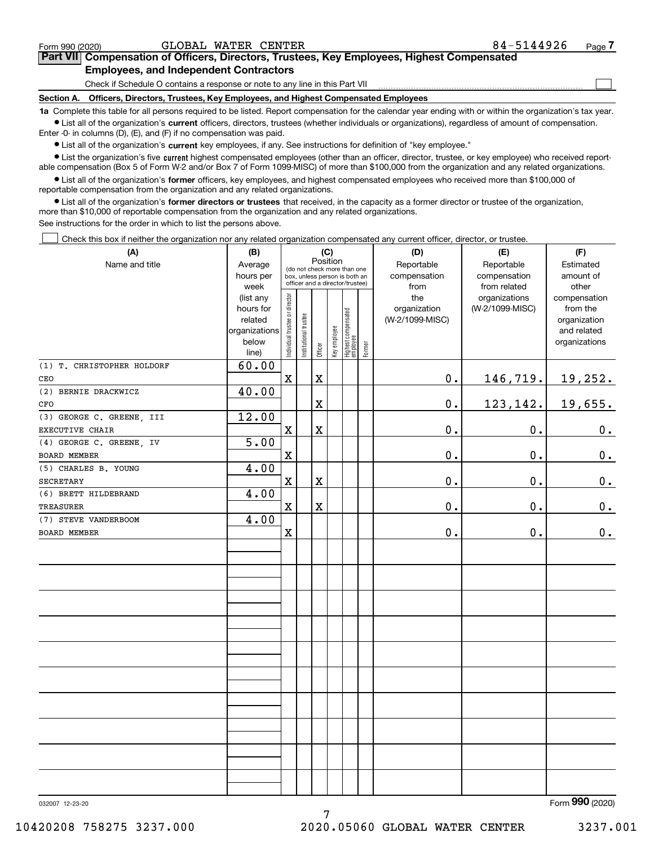| 032007 12-23-20          |                                | Form $990$ (2020) |
|--------------------------|--------------------------------|-------------------|
|                          |                                |                   |
| 10420208 758275 3237.000 | 2020.05060 GLOBAL WATER CENTER | 3237.001          |

Form (2020) **990**

| • List all of the organization's current key employees, if any. See instructions for definition of "key employee."                                    |
|-------------------------------------------------------------------------------------------------------------------------------------------------------|
| • List the organization's five current highest compensated employees (other than an officer, director, trustee, or key employee) who received report- |
| able compensation (Box 5 of Form W-2 and/or Box 7 of Form 1099-MISC) of more than \$100,000 from the organization and any related organizations.      |
|                                                                                                                                                       |

**•** List all of the organization's former officers, key employees, and highest compensated employees who received more than \$100,000 of reportable compensation from the organization and any related organizations.

**1a**  Complete this table for all persons required to be listed. Report compensation for the calendar year ending with or within the organization's tax year. **•** List all of the organization's current officers, directors, trustees (whether individuals or organizations), regardless of amount of compensation.

**former directors or trustees**  ¥ List all of the organization's that received, in the capacity as a former director or trustee of the organization, more than \$10,000 of reportable compensation from the organization and any related organizations.

See instructions for the order in which to list the persons above.

Enter -0- in columns (D), (E), and (F) if no compensation was paid.

Check this box if neither the organization nor any related organization compensated any current officer, director, or trustee.  $\mathcal{L}^{\text{max}}$ 

| (A)                        | (B)           |                                |                                                                                                             |             | (C)          |                                 |        | (D)             | (E)             | (F)                         |
|----------------------------|---------------|--------------------------------|-------------------------------------------------------------------------------------------------------------|-------------|--------------|---------------------------------|--------|-----------------|-----------------|-----------------------------|
| Name and title             | Average       |                                | Position<br>(do not check more than one<br>box, unless person is both an<br>officer and a director/trustee) |             |              |                                 |        | Reportable      | Reportable      | Estimated                   |
|                            | hours per     |                                |                                                                                                             |             |              |                                 |        | compensation    | compensation    | amount of                   |
|                            | week          |                                |                                                                                                             |             |              |                                 |        | from            | from related    | other                       |
|                            | (list any     |                                |                                                                                                             |             |              |                                 |        | the             | organizations   | compensation                |
|                            | hours for     |                                |                                                                                                             |             |              |                                 |        | organization    | (W-2/1099-MISC) | from the                    |
|                            | related       |                                |                                                                                                             |             |              |                                 |        | (W-2/1099-MISC) |                 | organization                |
|                            | organizations |                                |                                                                                                             |             |              |                                 |        |                 |                 | and related                 |
|                            | below         | Individual trustee or director | Institutional trustee                                                                                       | Officer     | Key employee | Highest compensated<br>employee | Former |                 |                 | organizations               |
|                            | line)         |                                |                                                                                                             |             |              |                                 |        |                 |                 |                             |
| (1) T. CHRISTOPHER HOLDORF | 60.00         |                                |                                                                                                             |             |              |                                 |        |                 |                 |                             |
| CEO                        |               | $\mathbf X$                    |                                                                                                             | X           |              |                                 |        | $0$ .           | 146,719.        | 19,252.                     |
| (2) BERNIE DRACKWICZ       | 40.00         |                                |                                                                                                             |             |              |                                 |        |                 |                 |                             |
| CFO                        |               |                                |                                                                                                             | $\mathbf X$ |              |                                 |        | $0$ .           | 123, 142.       | 19,655.                     |
| (3) GEORGE C. GREENE, III  | 12.00         |                                |                                                                                                             |             |              |                                 |        |                 |                 |                             |
| EXECUTIVE CHAIR            |               | $\mathbf X$                    |                                                                                                             | $\mathbf X$ |              |                                 |        | 0.              | $0$ .           | 0.                          |
| (4) GEORGE C. GREENE, IV   | 5.00          |                                |                                                                                                             |             |              |                                 |        |                 |                 |                             |
| BOARD MEMBER               |               | $\mathbf X$                    |                                                                                                             |             |              |                                 |        | 0.              | 0.              | 0.                          |
| (5) CHARLES B. YOUNG       | 4.00          |                                |                                                                                                             |             |              |                                 |        |                 |                 |                             |
| SECRETARY                  |               | X                              |                                                                                                             | X           |              |                                 |        | 0.              | 0.              | 0.                          |
| (6) BRETT HILDEBRAND       | 4.00          |                                |                                                                                                             |             |              |                                 |        |                 |                 |                             |
| <b>TREASURER</b>           |               | $\mathbf X$                    |                                                                                                             | $\mathbf X$ |              |                                 |        | 0.              | 0.              | 0.                          |
| (7) STEVE VANDERBOOM       | 4.00          |                                |                                                                                                             |             |              |                                 |        |                 |                 |                             |
| <b>BOARD MEMBER</b>        |               | $\mathbf X$                    |                                                                                                             |             |              |                                 |        | 0.              | $0$ .           | 0.                          |
|                            |               |                                |                                                                                                             |             |              |                                 |        |                 |                 |                             |
|                            |               |                                |                                                                                                             |             |              |                                 |        |                 |                 |                             |
|                            |               |                                |                                                                                                             |             |              |                                 |        |                 |                 |                             |
|                            |               |                                |                                                                                                             |             |              |                                 |        |                 |                 |                             |
|                            |               |                                |                                                                                                             |             |              |                                 |        |                 |                 |                             |
|                            |               |                                |                                                                                                             |             |              |                                 |        |                 |                 |                             |
|                            |               |                                |                                                                                                             |             |              |                                 |        |                 |                 |                             |
|                            |               |                                |                                                                                                             |             |              |                                 |        |                 |                 |                             |
|                            |               |                                |                                                                                                             |             |              |                                 |        |                 |                 |                             |
|                            |               |                                |                                                                                                             |             |              |                                 |        |                 |                 |                             |
|                            |               |                                |                                                                                                             |             |              |                                 |        |                 |                 |                             |
|                            |               |                                |                                                                                                             |             |              |                                 |        |                 |                 |                             |
|                            |               |                                |                                                                                                             |             |              |                                 |        |                 |                 |                             |
|                            |               |                                |                                                                                                             |             |              |                                 |        |                 |                 |                             |
|                            |               |                                |                                                                                                             |             |              |                                 |        |                 |                 |                             |
|                            |               |                                |                                                                                                             |             |              |                                 |        |                 |                 |                             |
|                            |               |                                |                                                                                                             |             |              |                                 |        |                 |                 |                             |
|                            |               |                                |                                                                                                             |             |              |                                 |        |                 |                 |                             |
|                            |               |                                |                                                                                                             |             |              |                                 |        |                 |                 |                             |
|                            |               |                                |                                                                                                             |             |              |                                 |        |                 |                 |                             |
|                            |               |                                |                                                                                                             |             |              |                                 |        |                 |                 |                             |
| 0.027 10.00.00             |               |                                |                                                                                                             |             |              |                                 |        |                 |                 | $F_{\text{arm}}$ 990 (2020) |

# **7Part VII Compensation of Officers, Directors, Trustees, Key Employees, Highest Compensated Employees, and Independent Contractors**

Check if Schedule O contains a response or note to any line in this Part VII

**Section A. Officers, Directors, Trustees, Key Employees, and Highest Compensated Employees**

 $\mathcal{L}^{\text{max}}$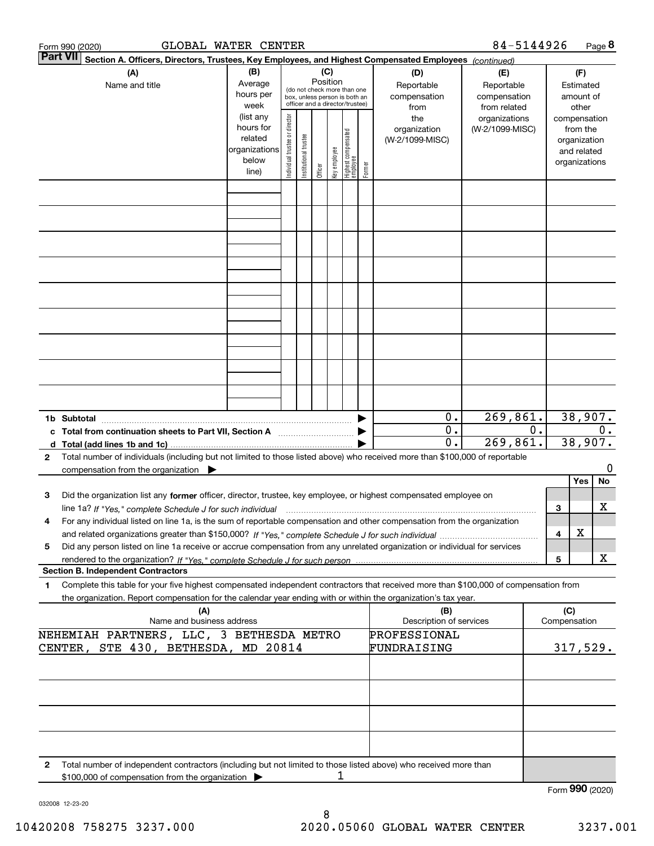|              | GLOBAL WATER CENTER<br>Form 990 (2020)                                                                                                                                                                                                                                        |                |                               |                       |          |              |                                                              |        |                         | 84-5144926      |    |                 |               | Page 8           |
|--------------|-------------------------------------------------------------------------------------------------------------------------------------------------------------------------------------------------------------------------------------------------------------------------------|----------------|-------------------------------|-----------------------|----------|--------------|--------------------------------------------------------------|--------|-------------------------|-----------------|----|-----------------|---------------|------------------|
|              | <b>Part VII</b><br>Section A. Officers, Directors, Trustees, Key Employees, and Highest Compensated Employees (continued)                                                                                                                                                     |                |                               |                       |          |              |                                                              |        |                         |                 |    |                 |               |                  |
|              | (A)                                                                                                                                                                                                                                                                           | (B)            |                               |                       | (C)      |              |                                                              |        | (D)                     | (E)             |    |                 | (F)           |                  |
|              | Name and title                                                                                                                                                                                                                                                                | Average        |                               |                       | Position |              |                                                              |        | Reportable              | Reportable      |    |                 | Estimated     |                  |
|              |                                                                                                                                                                                                                                                                               | hours per      |                               |                       |          |              | (do not check more than one<br>box, unless person is both an |        | compensation            | compensation    |    |                 | amount of     |                  |
|              |                                                                                                                                                                                                                                                                               | week           |                               |                       |          |              | officer and a director/trustee)                              |        | from                    | from related    |    |                 | other         |                  |
|              |                                                                                                                                                                                                                                                                               | (list any      |                               |                       |          |              |                                                              |        | the                     | organizations   |    |                 | compensation  |                  |
|              |                                                                                                                                                                                                                                                                               | hours for      |                               |                       |          |              |                                                              |        | organization            | (W-2/1099-MISC) |    |                 | from the      |                  |
|              |                                                                                                                                                                                                                                                                               | related        |                               |                       |          |              |                                                              |        | (W-2/1099-MISC)         |                 |    |                 | organization  |                  |
|              |                                                                                                                                                                                                                                                                               | organizations  |                               |                       |          |              |                                                              |        |                         |                 |    |                 | and related   |                  |
|              |                                                                                                                                                                                                                                                                               | below<br>line) | ndividual trustee or director | Institutional trustee | Officer  | key employee | Highest compensated<br> employee                             | Former |                         |                 |    |                 | organizations |                  |
|              |                                                                                                                                                                                                                                                                               |                |                               |                       |          |              |                                                              |        |                         |                 |    |                 |               |                  |
|              |                                                                                                                                                                                                                                                                               |                |                               |                       |          |              |                                                              |        |                         |                 |    |                 |               |                  |
|              |                                                                                                                                                                                                                                                                               |                |                               |                       |          |              |                                                              |        |                         |                 |    |                 |               |                  |
|              |                                                                                                                                                                                                                                                                               |                |                               |                       |          |              |                                                              |        |                         |                 |    |                 |               |                  |
|              |                                                                                                                                                                                                                                                                               |                |                               |                       |          |              |                                                              |        |                         |                 |    |                 |               |                  |
|              |                                                                                                                                                                                                                                                                               |                |                               |                       |          |              |                                                              |        |                         |                 |    |                 |               |                  |
|              |                                                                                                                                                                                                                                                                               |                |                               |                       |          |              |                                                              |        |                         |                 |    |                 |               |                  |
|              |                                                                                                                                                                                                                                                                               |                |                               |                       |          |              |                                                              |        |                         |                 |    |                 |               |                  |
|              |                                                                                                                                                                                                                                                                               |                |                               |                       |          |              |                                                              |        |                         |                 |    |                 |               |                  |
|              |                                                                                                                                                                                                                                                                               |                |                               |                       |          |              |                                                              |        |                         |                 |    |                 |               |                  |
|              |                                                                                                                                                                                                                                                                               |                |                               |                       |          |              |                                                              |        |                         |                 |    |                 |               |                  |
|              |                                                                                                                                                                                                                                                                               |                |                               |                       |          |              |                                                              |        |                         |                 |    |                 |               |                  |
|              |                                                                                                                                                                                                                                                                               |                |                               |                       |          |              |                                                              |        |                         |                 |    |                 |               |                  |
|              |                                                                                                                                                                                                                                                                               |                |                               |                       |          |              |                                                              |        |                         |                 |    |                 |               |                  |
|              |                                                                                                                                                                                                                                                                               |                |                               |                       |          |              |                                                              |        |                         |                 |    |                 |               |                  |
|              |                                                                                                                                                                                                                                                                               |                |                               |                       |          |              |                                                              |        |                         |                 |    |                 |               |                  |
|              |                                                                                                                                                                                                                                                                               |                |                               |                       |          |              |                                                              |        |                         |                 |    |                 |               |                  |
|              |                                                                                                                                                                                                                                                                               |                |                               |                       |          |              |                                                              |        | 0.                      | 269,861.        |    |                 | 38,907.       |                  |
|              | 1b Subtotal<br>c Total from continuation sheets to Part VII, Section A                                                                                                                                                                                                        |                |                               |                       |          |              |                                                              |        | $\mathbf 0$ .           |                 | 0. |                 |               | $\overline{0}$ . |
|              |                                                                                                                                                                                                                                                                               |                |                               |                       |          |              |                                                              |        | 0.                      | 269,861.        |    |                 | 38,907.       |                  |
| $\mathbf{2}$ | Total number of individuals (including but not limited to those listed above) who received more than \$100,000 of reportable                                                                                                                                                  |                |                               |                       |          |              |                                                              |        |                         |                 |    |                 |               |                  |
|              | compensation from the organization                                                                                                                                                                                                                                            |                |                               |                       |          |              |                                                              |        |                         |                 |    |                 |               | 0                |
|              |                                                                                                                                                                                                                                                                               |                |                               |                       |          |              |                                                              |        |                         |                 |    |                 | Yes           | No               |
| 3            | Did the organization list any former officer, director, trustee, key employee, or highest compensated employee on                                                                                                                                                             |                |                               |                       |          |              |                                                              |        |                         |                 |    |                 |               |                  |
|              |                                                                                                                                                                                                                                                                               |                |                               |                       |          |              |                                                              |        |                         |                 |    | 3               |               | х                |
|              | line 1a? If "Yes," complete Schedule J for such individual material content content to the content of the complete schedule J for such individual<br>For any individual listed on line 1a, is the sum of reportable compensation and other compensation from the organization |                |                               |                       |          |              |                                                              |        |                         |                 |    |                 |               |                  |
|              |                                                                                                                                                                                                                                                                               |                |                               |                       |          |              |                                                              |        |                         |                 |    | 4               | X             |                  |
| 5            | Did any person listed on line 1a receive or accrue compensation from any unrelated organization or individual for services                                                                                                                                                    |                |                               |                       |          |              |                                                              |        |                         |                 |    |                 |               |                  |
|              |                                                                                                                                                                                                                                                                               |                |                               |                       |          |              |                                                              |        |                         |                 |    | 5               |               | х                |
|              | <b>Section B. Independent Contractors</b>                                                                                                                                                                                                                                     |                |                               |                       |          |              |                                                              |        |                         |                 |    |                 |               |                  |
| 1            | Complete this table for your five highest compensated independent contractors that received more than \$100,000 of compensation from                                                                                                                                          |                |                               |                       |          |              |                                                              |        |                         |                 |    |                 |               |                  |
|              | the organization. Report compensation for the calendar year ending with or within the organization's tax year.                                                                                                                                                                |                |                               |                       |          |              |                                                              |        |                         |                 |    |                 |               |                  |
|              | (A)                                                                                                                                                                                                                                                                           |                |                               |                       |          |              |                                                              |        | (B)                     |                 |    | (C)             |               |                  |
|              | Name and business address                                                                                                                                                                                                                                                     |                |                               |                       |          |              |                                                              |        | Description of services |                 |    | Compensation    |               |                  |
|              | NEHEMIAH PARTNERS, LLC, 3 BETHESDA METRO                                                                                                                                                                                                                                      |                |                               |                       |          |              |                                                              |        | PROFESSIONAL            |                 |    |                 |               |                  |
|              | CENTER, STE 430, BETHESDA, MD 20814                                                                                                                                                                                                                                           |                |                               |                       |          |              |                                                              |        | FUNDRAISING             |                 |    |                 | 317,529.      |                  |
|              |                                                                                                                                                                                                                                                                               |                |                               |                       |          |              |                                                              |        |                         |                 |    |                 |               |                  |
|              |                                                                                                                                                                                                                                                                               |                |                               |                       |          |              |                                                              |        |                         |                 |    |                 |               |                  |
|              |                                                                                                                                                                                                                                                                               |                |                               |                       |          |              |                                                              |        |                         |                 |    |                 |               |                  |
|              |                                                                                                                                                                                                                                                                               |                |                               |                       |          |              |                                                              |        |                         |                 |    |                 |               |                  |
|              |                                                                                                                                                                                                                                                                               |                |                               |                       |          |              |                                                              |        |                         |                 |    |                 |               |                  |
|              |                                                                                                                                                                                                                                                                               |                |                               |                       |          |              |                                                              |        |                         |                 |    |                 |               |                  |
|              |                                                                                                                                                                                                                                                                               |                |                               |                       |          |              |                                                              |        |                         |                 |    |                 |               |                  |
| 2            | Total number of independent contractors (including but not limited to those listed above) who received more than                                                                                                                                                              |                |                               |                       |          |              |                                                              |        |                         |                 |    |                 |               |                  |
|              | \$100,000 of compensation from the organization                                                                                                                                                                                                                               |                |                               |                       |          | 1            |                                                              |        |                         |                 |    |                 |               |                  |
|              |                                                                                                                                                                                                                                                                               |                |                               |                       |          |              |                                                              |        |                         |                 |    | Form 990 (2020) |               |                  |

032008 12-23-20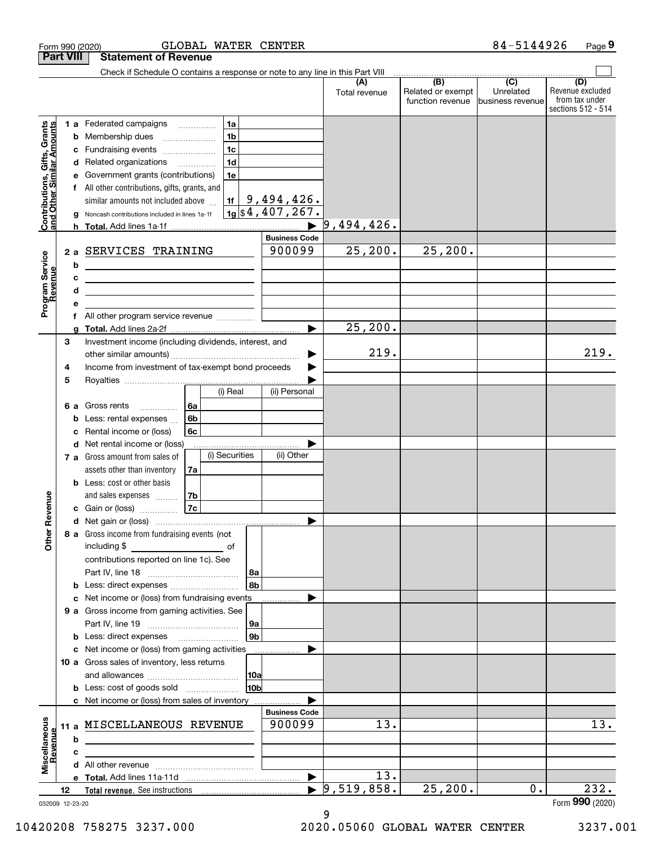|                                                           | <b>Part VIII</b> |     | <b>Statement of Revenue</b>                                                                                          |                     |                |                      |                                  |                                                           |                                                  |                                                                 |
|-----------------------------------------------------------|------------------|-----|----------------------------------------------------------------------------------------------------------------------|---------------------|----------------|----------------------|----------------------------------|-----------------------------------------------------------|--------------------------------------------------|-----------------------------------------------------------------|
|                                                           |                  |     | Check if Schedule O contains a response or note to any line in this Part VIII                                        |                     |                |                      |                                  |                                                           |                                                  |                                                                 |
|                                                           |                  |     |                                                                                                                      |                     |                |                      | (A)<br>Total revenue             | $\overline{(B)}$<br>Related or exempt<br>function revenue | $\overline{C}$<br>Unrelated<br> business revenue | (D)<br>Revenue excluded<br>from tax under<br>sections 512 - 514 |
|                                                           |                  |     | <b>1 a</b> Federated campaigns                                                                                       | 1a<br>$\cdots$      |                |                      |                                  |                                                           |                                                  |                                                                 |
| Contributions, Gifts, Grants<br>and Other Similar Amounts |                  | b   | Membership dues                                                                                                      | 1 <sub>b</sub>      |                |                      |                                  |                                                           |                                                  |                                                                 |
|                                                           |                  | с   | Fundraising events                                                                                                   | 1 <sub>c</sub>      |                |                      |                                  |                                                           |                                                  |                                                                 |
|                                                           |                  | d   | Related organizations                                                                                                | 1 <sub>d</sub><br>. |                |                      |                                  |                                                           |                                                  |                                                                 |
|                                                           |                  |     | Government grants (contributions)                                                                                    | 1e                  |                |                      |                                  |                                                           |                                                  |                                                                 |
|                                                           |                  | f   | All other contributions, gifts, grants, and                                                                          |                     |                |                      |                                  |                                                           |                                                  |                                                                 |
|                                                           |                  |     | similar amounts not included above                                                                                   | 1f                  |                | 9,494,426.           |                                  |                                                           |                                                  |                                                                 |
|                                                           |                  | a   | Noncash contributions included in lines 1a-1f                                                                        |                     |                | $1g$ \$4,407,267.    |                                  |                                                           |                                                  |                                                                 |
|                                                           |                  | h.  |                                                                                                                      |                     |                |                      | 9,494,426.                       |                                                           |                                                  |                                                                 |
|                                                           |                  |     |                                                                                                                      |                     |                | <b>Business Code</b> |                                  |                                                           |                                                  |                                                                 |
|                                                           |                  | 2a  | SERVICES TRAINING                                                                                                    |                     |                | 900099               | 25, 200.                         | 25, 200.                                                  |                                                  |                                                                 |
|                                                           |                  | b   |                                                                                                                      |                     |                |                      |                                  |                                                           |                                                  |                                                                 |
|                                                           |                  |     | <u> 1989 - Johann Barbara, marka a shekara tsa 1989 - An tsa 1989 - An tsa 1989 - An tsa 1989 - An tsa 1989 - An</u> |                     |                |                      |                                  |                                                           |                                                  |                                                                 |
|                                                           |                  | d   |                                                                                                                      |                     |                |                      |                                  |                                                           |                                                  |                                                                 |
| Program Service<br>Revenue                                |                  | f   | All other program service revenue                                                                                    |                     |                |                      |                                  |                                                           |                                                  |                                                                 |
|                                                           |                  |     |                                                                                                                      |                     |                | ь                    | 25, 200.                         |                                                           |                                                  |                                                                 |
|                                                           | 3                |     | Investment income (including dividends, interest, and                                                                |                     |                |                      |                                  |                                                           |                                                  |                                                                 |
|                                                           |                  |     |                                                                                                                      |                     |                |                      | 219.                             |                                                           |                                                  | 219.                                                            |
|                                                           | 4                |     | Income from investment of tax-exempt bond proceeds                                                                   |                     |                |                      |                                  |                                                           |                                                  |                                                                 |
|                                                           | 5                |     |                                                                                                                      |                     |                |                      |                                  |                                                           |                                                  |                                                                 |
|                                                           |                  |     |                                                                                                                      | (i) Real            |                | (ii) Personal        |                                  |                                                           |                                                  |                                                                 |
|                                                           | 6а               |     | Gross rents<br>.                                                                                                     | 6a                  |                |                      |                                  |                                                           |                                                  |                                                                 |
|                                                           |                  | b   | Less: rental expenses                                                                                                | 6b                  |                |                      |                                  |                                                           |                                                  |                                                                 |
|                                                           |                  |     | Rental income or (loss)                                                                                              | 6c                  |                |                      |                                  |                                                           |                                                  |                                                                 |
|                                                           |                  | d   | Net rental income or (loss)                                                                                          | (i) Securities      |                | (ii) Other           |                                  |                                                           |                                                  |                                                                 |
|                                                           |                  | 7 а | Gross amount from sales of                                                                                           |                     |                |                      |                                  |                                                           |                                                  |                                                                 |
|                                                           |                  |     | assets other than inventory<br><b>b</b> Less: cost or other basis                                                    | 7a                  |                |                      |                                  |                                                           |                                                  |                                                                 |
|                                                           |                  |     | and sales expenses                                                                                                   | 7b                  |                |                      |                                  |                                                           |                                                  |                                                                 |
|                                                           |                  |     | c Gain or (loss)                                                                                                     | 7c                  |                |                      |                                  |                                                           |                                                  |                                                                 |
| Revenue                                                   |                  |     |                                                                                                                      |                     |                | ▶                    |                                  |                                                           |                                                  |                                                                 |
|                                                           |                  |     | 8 a Gross income from fundraising events (not                                                                        |                     |                |                      |                                  |                                                           |                                                  |                                                                 |
| Othe                                                      |                  |     | including \$                                                                                                         | of                  |                |                      |                                  |                                                           |                                                  |                                                                 |
|                                                           |                  |     | contributions reported on line 1c). See                                                                              |                     |                |                      |                                  |                                                           |                                                  |                                                                 |
|                                                           |                  |     |                                                                                                                      |                     | 8a             |                      |                                  |                                                           |                                                  |                                                                 |
|                                                           |                  | b   |                                                                                                                      |                     | 8b             |                      |                                  |                                                           |                                                  |                                                                 |
|                                                           |                  | с   | Net income or (loss) from fundraising events                                                                         |                     |                |                      |                                  |                                                           |                                                  |                                                                 |
|                                                           |                  |     | 9 a Gross income from gaming activities. See                                                                         |                     |                |                      |                                  |                                                           |                                                  |                                                                 |
|                                                           |                  |     |                                                                                                                      |                     | 9а             |                      |                                  |                                                           |                                                  |                                                                 |
|                                                           |                  |     |                                                                                                                      |                     | 9 <sub>b</sub> |                      |                                  |                                                           |                                                  |                                                                 |
|                                                           |                  |     | c Net income or (loss) from gaming activities<br>10 a Gross sales of inventory, less returns                         |                     |                |                      |                                  |                                                           |                                                  |                                                                 |
|                                                           |                  |     |                                                                                                                      |                     | 10a            |                      |                                  |                                                           |                                                  |                                                                 |
|                                                           |                  |     | <b>b</b> Less: cost of goods sold                                                                                    |                     | 10b            |                      |                                  |                                                           |                                                  |                                                                 |
|                                                           |                  |     |                                                                                                                      |                     |                |                      |                                  |                                                           |                                                  |                                                                 |
|                                                           |                  |     |                                                                                                                      |                     |                | <b>Business Code</b> |                                  |                                                           |                                                  |                                                                 |
|                                                           | 11 a             |     | MISCELLANEOUS REVENUE                                                                                                |                     |                | 900099               | 13.                              |                                                           |                                                  | $\overline{13}$ .                                               |
| Revenue                                                   |                  | b   | <u> 1989 - Johann Barbara, martin amerikan basar dan berasal dalam basa dalam basar dalam basar dalam basar dala</u> |                     |                |                      |                                  |                                                           |                                                  |                                                                 |
|                                                           |                  | с   |                                                                                                                      |                     |                |                      |                                  |                                                           |                                                  |                                                                 |
| Miscellaneous                                             |                  |     |                                                                                                                      |                     |                |                      |                                  |                                                           |                                                  |                                                                 |
|                                                           |                  |     |                                                                                                                      |                     |                |                      | 13.                              |                                                           |                                                  |                                                                 |
|                                                           | 12               |     |                                                                                                                      |                     |                |                      | $\blacktriangleright$ 9,519,858. | 25, 200.                                                  | 0.                                               | 232.                                                            |
| 032009 12-23-20                                           |                  |     |                                                                                                                      |                     |                |                      |                                  |                                                           |                                                  | Form 990 (2020)                                                 |

<sup>9</sup>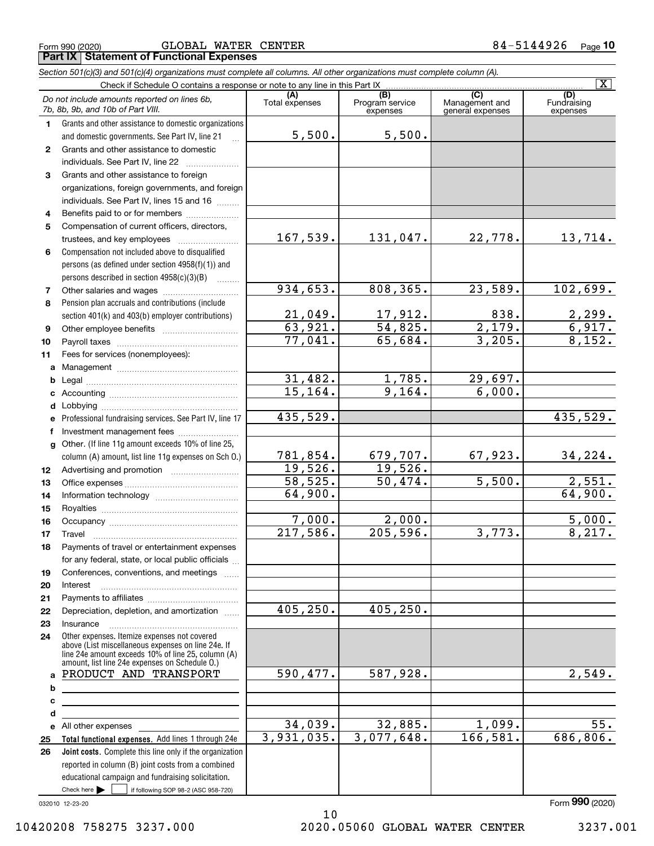|                                   | <b>Part IX   Statement of Functional Expenses</b>                                                                                                       |                       |                                    |                                           |                                |
|-----------------------------------|---------------------------------------------------------------------------------------------------------------------------------------------------------|-----------------------|------------------------------------|-------------------------------------------|--------------------------------|
|                                   | Section 501(c)(3) and 501(c)(4) organizations must complete all columns. All other organizations must complete column (A).                              |                       |                                    |                                           |                                |
|                                   | Check if Schedule O contains a response or note to any line in this Part IX                                                                             |                       |                                    |                                           |                                |
| 7b, 8b, 9b, and 10b of Part VIII. | Do not include amounts reported on lines 6b,                                                                                                            | (A)<br>Total expenses | (B)<br>Program service<br>expenses | (C)<br>Management and<br>general expenses | (D)<br>Fundraising<br>expenses |
|                                   | Grants and other assistance to domestic organizations<br>and domestic governments. See Part IV, line 21                                                 | 5,500.                | 5,500.                             |                                           |                                |
| $\mathbf{2}$                      | Grants and other assistance to domestic<br>individuals. See Part IV, line 22                                                                            |                       |                                    |                                           |                                |
| 3                                 | Grants and other assistance to foreign<br>organizations, foreign governments, and foreign<br>individuals. See Part IV, lines 15 and 16                  |                       |                                    |                                           |                                |
| 4                                 | Benefits paid to or for members                                                                                                                         |                       |                                    |                                           |                                |
| 5                                 | Compensation of current officers, directors,<br>trustees, and key employees                                                                             | 167,539.              | 131,047.                           | 22,778.                                   | 13,7                           |
| 6                                 | Compensation not included above to disqualified<br>persons (as defined under section $4958(f)(1)$ ) and<br>persons described in section $4958(c)(3)(B)$ |                       |                                    |                                           |                                |
|                                   | Other salaries and wages                                                                                                                                | 934,653.              | 808,365.                           | 23,589.                                   | 102,6                          |

 $\boxed{\text{X}}$ 

#### Check here  $\begin{array}{|c|c|c|c|c|}\hline \text{ } & \text{ if following SOP 98-2 (ASC 958-720)} \hline \end{array}$ 032010 12-23-20 **Total functional expenses.**  Add lines 1 through 24e **Joint costs.** Complete this line only if the organization **8910abcdefg12131419222324abcde2526**Pension plan accruals and contributions (include section 401(k) and 403(b) employer contributions) Professional fundraising services. See Part IV, line 17 Other. (If line 11g amount exceeds 10% of line 25, column (A) amount, list line 11g expenses on Sch O.) Other expenses. Itemize expenses not covered above (List miscellaneous expenses on line 24e. If line 24e amount exceeds 10% of line 25, column (A) amount, list line 24e expenses on Schedule O.) reported in column (B) joint costs from a combined educational campaign and fundraising solicitation. Other salaries and wages  $\ldots$  was alleged and wages and alleged and alleged and alleged and alleged and alleg Other employee benefits ~~~~~~~~~~ Payroll taxes ~~~~~~~~~~~~~~~~ Fees for services (nonemployees): Management ~~~~~~~~~~~~~~~~ Legal ~~~~~~~~~~~~~~~~~~~~ Accounting ~~~~~~~~~~~~~~~~~ Lobbying ~~~~~~~~~~~~~~~~~~ lnvestment management fees ....................... Advertising and promotion www.communication Office expenses ~~~~~~~~~~~~~~~ Information technology ~~~~~~~~~~~ Royalties ~~~~~~~~~~~~~~~~~~ Occupancy ~~~~~~~~~~~~~~~~~ Travel ……………………………………………… Payments of travel or entertainment expenses for any federal, state, or local public officials ... Conferences, conventions, and meetings Interest ……………………………………………… Payments to affiliates ~~~~~~~~~~~~ Depreciation, depletion, and amortization  $\,\,\ldots\,\,$ InsuranceAll other expenses Form (2020) **990**934,653. 21,049. 63,921. 77,041. 31,482. 15,164. 435,529. 781,854. 19,526. 58,525. 64,900. 7,000. 217,586. 405,250. 590,477. 34,039. 3,931,035. 131,047. 22,778. 13,714.  $23,589.$  102,699.  $17,912.$  838. 2,299. 54,825. 2,179. 6,917. 65,684. 3,205. 8,152. 1,785. 29,697. 9,164. 6,000. 435,529. 679,707. 67,923. 34,224. 19,526. 50,474. 5,500. 2,551. 64,900. 2,000. 5,000. 205,596. 3,773. 8,217. 405,250. 587,928. 2,549.  $32,885.$  1,099. 55. 3,077,648. 166,581. 686,806. PRODUCT AND TRANSPORT 10

**11**

**2021**

10420208 758275 3237.000 2020.05060 GLOBAL WATER CENTER 3237.001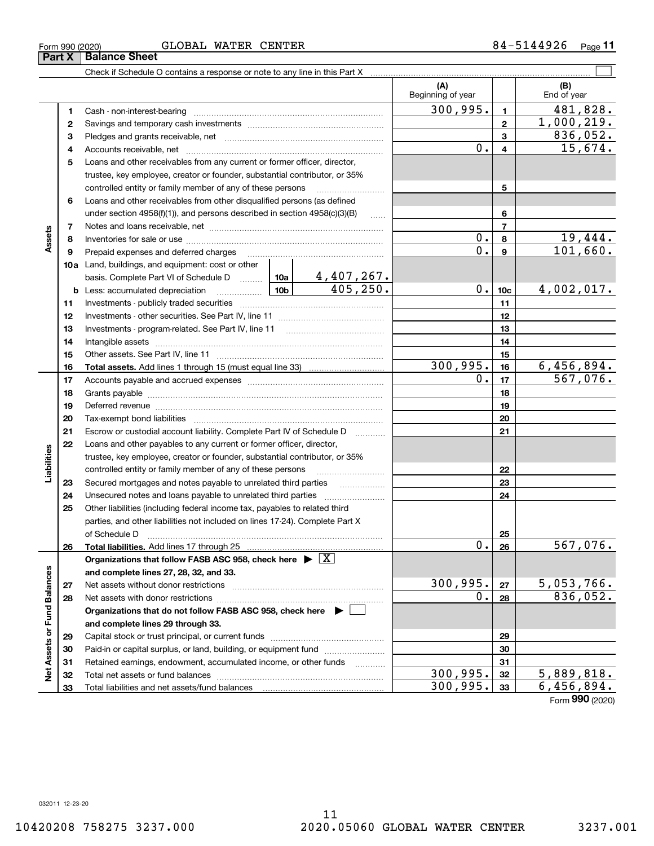|  | GLOBAL WATER CENTER |
|--|---------------------|

Form 990 (2020) Page **11** GLOBAL WATER CENTER 84-5144926

|                             |    |                                                                                                                 |                                                                                                                                                                 |                          | (A)<br>Beginning of year |                  | (B)<br>End of year     |
|-----------------------------|----|-----------------------------------------------------------------------------------------------------------------|-----------------------------------------------------------------------------------------------------------------------------------------------------------------|--------------------------|--------------------------|------------------|------------------------|
|                             | 1  |                                                                                                                 |                                                                                                                                                                 |                          | 300, 995.                | $\mathbf{1}$     | 481,828.               |
|                             | 2  |                                                                                                                 |                                                                                                                                                                 |                          |                          | $\mathbf{2}$     | 1,000,219.             |
|                             | 3  |                                                                                                                 |                                                                                                                                                                 |                          |                          | 3                | 836,052.               |
|                             | 4  |                                                                                                                 |                                                                                                                                                                 |                          | $0$ .                    | 4                | 15,674.                |
|                             | 5  | Loans and other receivables from any current or former officer, director,                                       |                                                                                                                                                                 |                          |                          |                  |                        |
|                             |    | trustee, key employee, creator or founder, substantial contributor, or 35%                                      |                                                                                                                                                                 |                          |                          |                  |                        |
|                             |    | controlled entity or family member of any of these persons                                                      |                                                                                                                                                                 |                          |                          | 5                |                        |
|                             | 6  | Loans and other receivables from other disqualified persons (as defined                                         |                                                                                                                                                                 |                          |                          |                  |                        |
|                             |    | under section $4958(f)(1)$ , and persons described in section $4958(c)(3)(B)$                                   |                                                                                                                                                                 | 6                        |                          |                  |                        |
|                             | 7  |                                                                                                                 |                                                                                                                                                                 |                          | $\overline{7}$           |                  |                        |
| Assets                      | 8  |                                                                                                                 |                                                                                                                                                                 |                          | 0.                       | 8                | 19,444.                |
|                             | 9  | Prepaid expenses and deferred charges                                                                           |                                                                                                                                                                 |                          | 0.                       | $\boldsymbol{9}$ | 101,660.               |
|                             |    | <b>10a</b> Land, buildings, and equipment: cost or other                                                        |                                                                                                                                                                 |                          |                          |                  |                        |
|                             |    |                                                                                                                 |                                                                                                                                                                 |                          | $0$ .                    |                  |                        |
|                             |    | <b>b</b> Less: accumulated depreciation                                                                         | basis. Complete Part VI of Schedule D $\begin{array}{ c c c c c }\n\hline\n10a & 4,407,267. \text{Less: accumulated depreciation} & & & \\ \hline\n\end{array}$ |                          |                          |                  | 4,002,017.             |
|                             | 11 |                                                                                                                 |                                                                                                                                                                 |                          | 11                       |                  |                        |
|                             | 12 |                                                                                                                 |                                                                                                                                                                 | 12                       |                          |                  |                        |
|                             | 13 |                                                                                                                 |                                                                                                                                                                 | 13                       |                          |                  |                        |
|                             | 14 |                                                                                                                 |                                                                                                                                                                 | 14                       |                          |                  |                        |
|                             | 15 |                                                                                                                 |                                                                                                                                                                 | 15                       |                          |                  |                        |
|                             | 16 |                                                                                                                 |                                                                                                                                                                 |                          | 300, 995.                | 16               | 6,456,894.             |
|                             | 17 |                                                                                                                 | $\overline{0}$ .                                                                                                                                                | 17                       | $\overline{567,076}$ .   |                  |                        |
|                             | 18 |                                                                                                                 |                                                                                                                                                                 |                          | 18                       |                  |                        |
|                             | 19 | Deferred revenue manual contracts and contracts are all the manual contracts and contracts are contracted and c |                                                                                                                                                                 |                          |                          | 19               |                        |
|                             | 20 |                                                                                                                 |                                                                                                                                                                 |                          |                          | 20               |                        |
|                             | 21 | Escrow or custodial account liability. Complete Part IV of Schedule D                                           |                                                                                                                                                                 | $\overline{\phantom{a}}$ |                          | 21               |                        |
|                             | 22 | Loans and other payables to any current or former officer, director,                                            |                                                                                                                                                                 |                          |                          |                  |                        |
| Liabilities                 |    | trustee, key employee, creator or founder, substantial contributor, or 35%                                      |                                                                                                                                                                 |                          |                          |                  |                        |
|                             |    | controlled entity or family member of any of these persons                                                      |                                                                                                                                                                 |                          |                          | 22               |                        |
|                             | 23 | Secured mortgages and notes payable to unrelated third parties                                                  |                                                                                                                                                                 | $\overline{\phantom{a}}$ |                          | 23               |                        |
|                             | 24 |                                                                                                                 |                                                                                                                                                                 |                          |                          | 24               |                        |
|                             | 25 | Other liabilities (including federal income tax, payables to related third                                      |                                                                                                                                                                 |                          |                          |                  |                        |
|                             |    | parties, and other liabilities not included on lines 17-24). Complete Part X                                    |                                                                                                                                                                 |                          |                          |                  |                        |
|                             | 26 | of Schedule D                                                                                                   |                                                                                                                                                                 |                          | 0.1                      | 25<br>26         | $\overline{567,076}$ . |
|                             |    | Organizations that follow FASB ASC 958, check here $\triangleright \lfloor X \rfloor$                           |                                                                                                                                                                 |                          |                          |                  |                        |
|                             |    | and complete lines 27, 28, 32, and 33.                                                                          |                                                                                                                                                                 |                          |                          |                  |                        |
|                             | 27 |                                                                                                                 |                                                                                                                                                                 |                          | 300, 995.                | 27               | 5,053,766.             |
|                             | 28 |                                                                                                                 |                                                                                                                                                                 |                          | 0.                       | 28               | 836,052.               |
|                             |    | Organizations that do not follow FASB ASC 958, check here $\blacktriangleright$                                 |                                                                                                                                                                 |                          |                          |                  |                        |
|                             |    | and complete lines 29 through 33.                                                                               |                                                                                                                                                                 |                          |                          |                  |                        |
|                             | 29 |                                                                                                                 |                                                                                                                                                                 |                          |                          | 29               |                        |
|                             | 30 | Paid-in or capital surplus, or land, building, or equipment fund                                                |                                                                                                                                                                 |                          |                          | 30               |                        |
|                             | 31 | Retained earnings, endowment, accumulated income, or other funds                                                |                                                                                                                                                                 |                          |                          | 31               |                        |
| Net Assets or Fund Balances | 32 |                                                                                                                 |                                                                                                                                                                 |                          | 300, 995.                | 32               | 5,889,818.             |
|                             | 33 |                                                                                                                 |                                                                                                                                                                 |                          | 300, 995.                | 33               | 6,456,894.             |
|                             |    |                                                                                                                 |                                                                                                                                                                 |                          |                          |                  |                        |

Form (2020) **990**

**Part X Balance Sheet**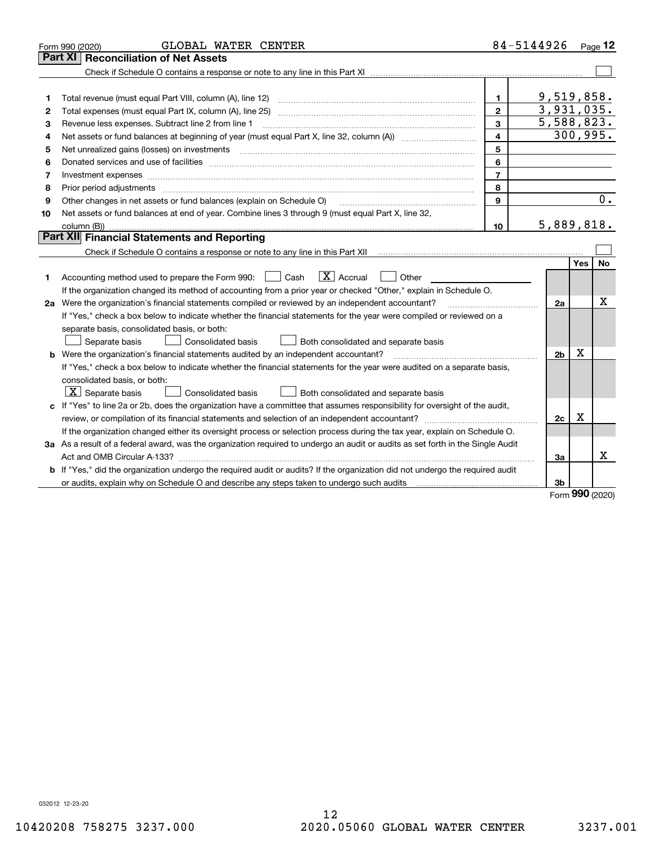| <b>Part XI Reconciliation of Net Assets</b><br>9,519,858.<br>1<br>1<br>3,931,035.<br>$\overline{2}$<br>2<br>5,588,823.<br>3<br>Revenue less expenses. Subtract line 2 from line 1<br>З<br>300, 995.<br>$\overline{4}$<br>Net assets or fund balances at beginning of year (must equal Part X, line 32, column (A)) <i></i><br>4<br>5<br>Net unrealized gains (losses) on investments<br>5<br>6<br>6<br>$\overline{7}$<br>7<br>Investment expenses<br>8<br>8<br>0.<br>9<br>Other changes in net assets or fund balances (explain on Schedule O)<br>9<br>Net assets or fund balances at end of year. Combine lines 3 through 9 (must equal Part X, line 32,<br>10<br>5,889,818.<br>10<br>Part XII Financial Statements and Reporting<br>Yes<br>No<br>$\boxed{\mathbf{X}}$ Accrual<br>Accounting method used to prepare the Form 990: <u>[</u> Cash<br>Other<br>1<br>If the organization changed its method of accounting from a prior year or checked "Other," explain in Schedule O.<br>X<br>2a Were the organization's financial statements compiled or reviewed by an independent accountant?<br>2a<br>If "Yes," check a box below to indicate whether the financial statements for the year were compiled or reviewed on a<br>separate basis, consolidated basis, or both:<br>Both consolidated and separate basis<br>Separate basis<br>Consolidated basis<br>X<br><b>b</b> Were the organization's financial statements audited by an independent accountant?<br>2 <sub>b</sub><br>If "Yes," check a box below to indicate whether the financial statements for the year were audited on a separate basis,<br>consolidated basis, or both:<br>$X$ Separate basis<br>Both consolidated and separate basis<br><b>Consolidated basis</b><br>c If "Yes" to line 2a or 2b, does the organization have a committee that assumes responsibility for oversight of the audit,<br>Χ<br>review, or compilation of its financial statements and selection of an independent accountant?<br>2c<br>If the organization changed either its oversight process or selection process during the tax year, explain on Schedule O.<br>3a As a result of a federal award, was the organization required to undergo an audit or audits as set forth in the Single Audit<br>Χ<br>За<br><b>b</b> If "Yes," did the organization undergo the required audit or audits? If the organization did not undergo the required audit<br>or audits, explain why on Schedule O and describe any steps taken to undergo such audits [11] content to under<br>3b | GLOBAL WATER CENTER<br>Form 990 (2020) | 84-5144926 | Page 12 |
|---------------------------------------------------------------------------------------------------------------------------------------------------------------------------------------------------------------------------------------------------------------------------------------------------------------------------------------------------------------------------------------------------------------------------------------------------------------------------------------------------------------------------------------------------------------------------------------------------------------------------------------------------------------------------------------------------------------------------------------------------------------------------------------------------------------------------------------------------------------------------------------------------------------------------------------------------------------------------------------------------------------------------------------------------------------------------------------------------------------------------------------------------------------------------------------------------------------------------------------------------------------------------------------------------------------------------------------------------------------------------------------------------------------------------------------------------------------------------------------------------------------------------------------------------------------------------------------------------------------------------------------------------------------------------------------------------------------------------------------------------------------------------------------------------------------------------------------------------------------------------------------------------------------------------------------------------------------------------------------------------------------------------------------------------------------------------------------------------------------------------------------------------------------------------------------------------------------------------------------------------------------------------------------------------------------------------------------------------------------------------------------------------------------------------------------------------------------------------------------------------------------------------------|----------------------------------------|------------|---------|
|                                                                                                                                                                                                                                                                                                                                                                                                                                                                                                                                                                                                                                                                                                                                                                                                                                                                                                                                                                                                                                                                                                                                                                                                                                                                                                                                                                                                                                                                                                                                                                                                                                                                                                                                                                                                                                                                                                                                                                                                                                                                                                                                                                                                                                                                                                                                                                                                                                                                                                                                 |                                        |            |         |
|                                                                                                                                                                                                                                                                                                                                                                                                                                                                                                                                                                                                                                                                                                                                                                                                                                                                                                                                                                                                                                                                                                                                                                                                                                                                                                                                                                                                                                                                                                                                                                                                                                                                                                                                                                                                                                                                                                                                                                                                                                                                                                                                                                                                                                                                                                                                                                                                                                                                                                                                 |                                        |            |         |
|                                                                                                                                                                                                                                                                                                                                                                                                                                                                                                                                                                                                                                                                                                                                                                                                                                                                                                                                                                                                                                                                                                                                                                                                                                                                                                                                                                                                                                                                                                                                                                                                                                                                                                                                                                                                                                                                                                                                                                                                                                                                                                                                                                                                                                                                                                                                                                                                                                                                                                                                 |                                        |            |         |
|                                                                                                                                                                                                                                                                                                                                                                                                                                                                                                                                                                                                                                                                                                                                                                                                                                                                                                                                                                                                                                                                                                                                                                                                                                                                                                                                                                                                                                                                                                                                                                                                                                                                                                                                                                                                                                                                                                                                                                                                                                                                                                                                                                                                                                                                                                                                                                                                                                                                                                                                 |                                        |            |         |
|                                                                                                                                                                                                                                                                                                                                                                                                                                                                                                                                                                                                                                                                                                                                                                                                                                                                                                                                                                                                                                                                                                                                                                                                                                                                                                                                                                                                                                                                                                                                                                                                                                                                                                                                                                                                                                                                                                                                                                                                                                                                                                                                                                                                                                                                                                                                                                                                                                                                                                                                 |                                        |            |         |
|                                                                                                                                                                                                                                                                                                                                                                                                                                                                                                                                                                                                                                                                                                                                                                                                                                                                                                                                                                                                                                                                                                                                                                                                                                                                                                                                                                                                                                                                                                                                                                                                                                                                                                                                                                                                                                                                                                                                                                                                                                                                                                                                                                                                                                                                                                                                                                                                                                                                                                                                 |                                        |            |         |
|                                                                                                                                                                                                                                                                                                                                                                                                                                                                                                                                                                                                                                                                                                                                                                                                                                                                                                                                                                                                                                                                                                                                                                                                                                                                                                                                                                                                                                                                                                                                                                                                                                                                                                                                                                                                                                                                                                                                                                                                                                                                                                                                                                                                                                                                                                                                                                                                                                                                                                                                 |                                        |            |         |
|                                                                                                                                                                                                                                                                                                                                                                                                                                                                                                                                                                                                                                                                                                                                                                                                                                                                                                                                                                                                                                                                                                                                                                                                                                                                                                                                                                                                                                                                                                                                                                                                                                                                                                                                                                                                                                                                                                                                                                                                                                                                                                                                                                                                                                                                                                                                                                                                                                                                                                                                 |                                        |            |         |
|                                                                                                                                                                                                                                                                                                                                                                                                                                                                                                                                                                                                                                                                                                                                                                                                                                                                                                                                                                                                                                                                                                                                                                                                                                                                                                                                                                                                                                                                                                                                                                                                                                                                                                                                                                                                                                                                                                                                                                                                                                                                                                                                                                                                                                                                                                                                                                                                                                                                                                                                 |                                        |            |         |
|                                                                                                                                                                                                                                                                                                                                                                                                                                                                                                                                                                                                                                                                                                                                                                                                                                                                                                                                                                                                                                                                                                                                                                                                                                                                                                                                                                                                                                                                                                                                                                                                                                                                                                                                                                                                                                                                                                                                                                                                                                                                                                                                                                                                                                                                                                                                                                                                                                                                                                                                 |                                        |            |         |
|                                                                                                                                                                                                                                                                                                                                                                                                                                                                                                                                                                                                                                                                                                                                                                                                                                                                                                                                                                                                                                                                                                                                                                                                                                                                                                                                                                                                                                                                                                                                                                                                                                                                                                                                                                                                                                                                                                                                                                                                                                                                                                                                                                                                                                                                                                                                                                                                                                                                                                                                 |                                        |            |         |
|                                                                                                                                                                                                                                                                                                                                                                                                                                                                                                                                                                                                                                                                                                                                                                                                                                                                                                                                                                                                                                                                                                                                                                                                                                                                                                                                                                                                                                                                                                                                                                                                                                                                                                                                                                                                                                                                                                                                                                                                                                                                                                                                                                                                                                                                                                                                                                                                                                                                                                                                 |                                        |            |         |
|                                                                                                                                                                                                                                                                                                                                                                                                                                                                                                                                                                                                                                                                                                                                                                                                                                                                                                                                                                                                                                                                                                                                                                                                                                                                                                                                                                                                                                                                                                                                                                                                                                                                                                                                                                                                                                                                                                                                                                                                                                                                                                                                                                                                                                                                                                                                                                                                                                                                                                                                 |                                        |            |         |
|                                                                                                                                                                                                                                                                                                                                                                                                                                                                                                                                                                                                                                                                                                                                                                                                                                                                                                                                                                                                                                                                                                                                                                                                                                                                                                                                                                                                                                                                                                                                                                                                                                                                                                                                                                                                                                                                                                                                                                                                                                                                                                                                                                                                                                                                                                                                                                                                                                                                                                                                 |                                        |            |         |
|                                                                                                                                                                                                                                                                                                                                                                                                                                                                                                                                                                                                                                                                                                                                                                                                                                                                                                                                                                                                                                                                                                                                                                                                                                                                                                                                                                                                                                                                                                                                                                                                                                                                                                                                                                                                                                                                                                                                                                                                                                                                                                                                                                                                                                                                                                                                                                                                                                                                                                                                 |                                        |            |         |
|                                                                                                                                                                                                                                                                                                                                                                                                                                                                                                                                                                                                                                                                                                                                                                                                                                                                                                                                                                                                                                                                                                                                                                                                                                                                                                                                                                                                                                                                                                                                                                                                                                                                                                                                                                                                                                                                                                                                                                                                                                                                                                                                                                                                                                                                                                                                                                                                                                                                                                                                 |                                        |            |         |
|                                                                                                                                                                                                                                                                                                                                                                                                                                                                                                                                                                                                                                                                                                                                                                                                                                                                                                                                                                                                                                                                                                                                                                                                                                                                                                                                                                                                                                                                                                                                                                                                                                                                                                                                                                                                                                                                                                                                                                                                                                                                                                                                                                                                                                                                                                                                                                                                                                                                                                                                 |                                        |            |         |
|                                                                                                                                                                                                                                                                                                                                                                                                                                                                                                                                                                                                                                                                                                                                                                                                                                                                                                                                                                                                                                                                                                                                                                                                                                                                                                                                                                                                                                                                                                                                                                                                                                                                                                                                                                                                                                                                                                                                                                                                                                                                                                                                                                                                                                                                                                                                                                                                                                                                                                                                 |                                        |            |         |
|                                                                                                                                                                                                                                                                                                                                                                                                                                                                                                                                                                                                                                                                                                                                                                                                                                                                                                                                                                                                                                                                                                                                                                                                                                                                                                                                                                                                                                                                                                                                                                                                                                                                                                                                                                                                                                                                                                                                                                                                                                                                                                                                                                                                                                                                                                                                                                                                                                                                                                                                 |                                        |            |         |
|                                                                                                                                                                                                                                                                                                                                                                                                                                                                                                                                                                                                                                                                                                                                                                                                                                                                                                                                                                                                                                                                                                                                                                                                                                                                                                                                                                                                                                                                                                                                                                                                                                                                                                                                                                                                                                                                                                                                                                                                                                                                                                                                                                                                                                                                                                                                                                                                                                                                                                                                 |                                        |            |         |
|                                                                                                                                                                                                                                                                                                                                                                                                                                                                                                                                                                                                                                                                                                                                                                                                                                                                                                                                                                                                                                                                                                                                                                                                                                                                                                                                                                                                                                                                                                                                                                                                                                                                                                                                                                                                                                                                                                                                                                                                                                                                                                                                                                                                                                                                                                                                                                                                                                                                                                                                 |                                        |            |         |
|                                                                                                                                                                                                                                                                                                                                                                                                                                                                                                                                                                                                                                                                                                                                                                                                                                                                                                                                                                                                                                                                                                                                                                                                                                                                                                                                                                                                                                                                                                                                                                                                                                                                                                                                                                                                                                                                                                                                                                                                                                                                                                                                                                                                                                                                                                                                                                                                                                                                                                                                 |                                        |            |         |
|                                                                                                                                                                                                                                                                                                                                                                                                                                                                                                                                                                                                                                                                                                                                                                                                                                                                                                                                                                                                                                                                                                                                                                                                                                                                                                                                                                                                                                                                                                                                                                                                                                                                                                                                                                                                                                                                                                                                                                                                                                                                                                                                                                                                                                                                                                                                                                                                                                                                                                                                 |                                        |            |         |
|                                                                                                                                                                                                                                                                                                                                                                                                                                                                                                                                                                                                                                                                                                                                                                                                                                                                                                                                                                                                                                                                                                                                                                                                                                                                                                                                                                                                                                                                                                                                                                                                                                                                                                                                                                                                                                                                                                                                                                                                                                                                                                                                                                                                                                                                                                                                                                                                                                                                                                                                 |                                        |            |         |
|                                                                                                                                                                                                                                                                                                                                                                                                                                                                                                                                                                                                                                                                                                                                                                                                                                                                                                                                                                                                                                                                                                                                                                                                                                                                                                                                                                                                                                                                                                                                                                                                                                                                                                                                                                                                                                                                                                                                                                                                                                                                                                                                                                                                                                                                                                                                                                                                                                                                                                                                 |                                        |            |         |
|                                                                                                                                                                                                                                                                                                                                                                                                                                                                                                                                                                                                                                                                                                                                                                                                                                                                                                                                                                                                                                                                                                                                                                                                                                                                                                                                                                                                                                                                                                                                                                                                                                                                                                                                                                                                                                                                                                                                                                                                                                                                                                                                                                                                                                                                                                                                                                                                                                                                                                                                 |                                        |            |         |
|                                                                                                                                                                                                                                                                                                                                                                                                                                                                                                                                                                                                                                                                                                                                                                                                                                                                                                                                                                                                                                                                                                                                                                                                                                                                                                                                                                                                                                                                                                                                                                                                                                                                                                                                                                                                                                                                                                                                                                                                                                                                                                                                                                                                                                                                                                                                                                                                                                                                                                                                 |                                        |            |         |
|                                                                                                                                                                                                                                                                                                                                                                                                                                                                                                                                                                                                                                                                                                                                                                                                                                                                                                                                                                                                                                                                                                                                                                                                                                                                                                                                                                                                                                                                                                                                                                                                                                                                                                                                                                                                                                                                                                                                                                                                                                                                                                                                                                                                                                                                                                                                                                                                                                                                                                                                 |                                        |            |         |
|                                                                                                                                                                                                                                                                                                                                                                                                                                                                                                                                                                                                                                                                                                                                                                                                                                                                                                                                                                                                                                                                                                                                                                                                                                                                                                                                                                                                                                                                                                                                                                                                                                                                                                                                                                                                                                                                                                                                                                                                                                                                                                                                                                                                                                                                                                                                                                                                                                                                                                                                 |                                        |            |         |
|                                                                                                                                                                                                                                                                                                                                                                                                                                                                                                                                                                                                                                                                                                                                                                                                                                                                                                                                                                                                                                                                                                                                                                                                                                                                                                                                                                                                                                                                                                                                                                                                                                                                                                                                                                                                                                                                                                                                                                                                                                                                                                                                                                                                                                                                                                                                                                                                                                                                                                                                 |                                        |            |         |
|                                                                                                                                                                                                                                                                                                                                                                                                                                                                                                                                                                                                                                                                                                                                                                                                                                                                                                                                                                                                                                                                                                                                                                                                                                                                                                                                                                                                                                                                                                                                                                                                                                                                                                                                                                                                                                                                                                                                                                                                                                                                                                                                                                                                                                                                                                                                                                                                                                                                                                                                 |                                        |            |         |
|                                                                                                                                                                                                                                                                                                                                                                                                                                                                                                                                                                                                                                                                                                                                                                                                                                                                                                                                                                                                                                                                                                                                                                                                                                                                                                                                                                                                                                                                                                                                                                                                                                                                                                                                                                                                                                                                                                                                                                                                                                                                                                                                                                                                                                                                                                                                                                                                                                                                                                                                 |                                        |            |         |
|                                                                                                                                                                                                                                                                                                                                                                                                                                                                                                                                                                                                                                                                                                                                                                                                                                                                                                                                                                                                                                                                                                                                                                                                                                                                                                                                                                                                                                                                                                                                                                                                                                                                                                                                                                                                                                                                                                                                                                                                                                                                                                                                                                                                                                                                                                                                                                                                                                                                                                                                 |                                        |            |         |
|                                                                                                                                                                                                                                                                                                                                                                                                                                                                                                                                                                                                                                                                                                                                                                                                                                                                                                                                                                                                                                                                                                                                                                                                                                                                                                                                                                                                                                                                                                                                                                                                                                                                                                                                                                                                                                                                                                                                                                                                                                                                                                                                                                                                                                                                                                                                                                                                                                                                                                                                 |                                        |            |         |

Form (2020) **990**

032012 12-23-20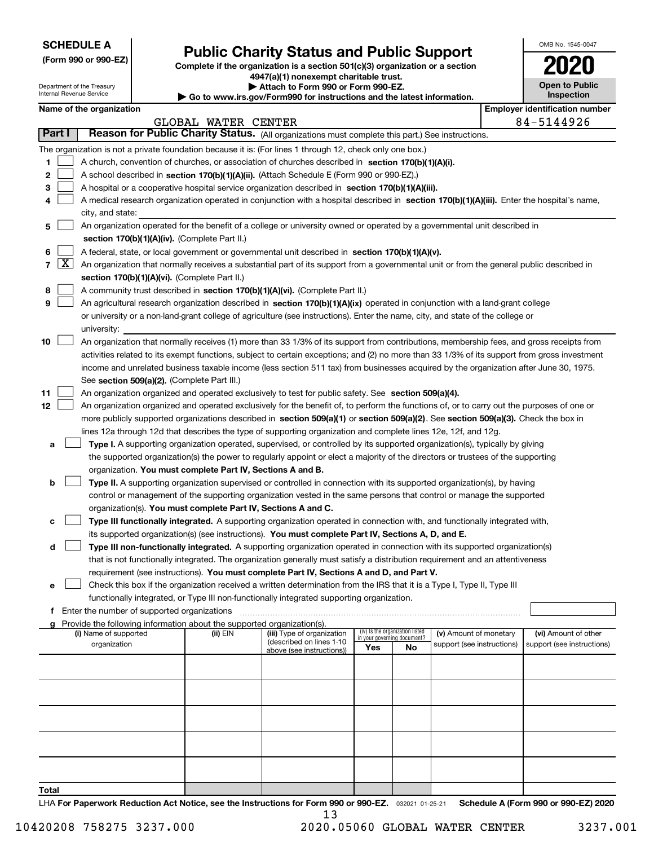| <b>SCHEDULE A</b> |
|-------------------|
|-------------------|

Department of the Treasury Internal Revenue Service

**(Form 990 or 990-EZ)**

# **Public Charity Status and Public Support**

**Complete if the organization is a section 501(c)(3) organization or a section 4947(a)(1) nonexempt charitable trust.**

**| Attach to Form 990 or Form 990-EZ.** 

**| Go to www.irs.gov/Form990 for instructions and the latest information.**

| OMB No. 1545-0047                   |
|-------------------------------------|
| 2020                                |
| <b>Open to Public</b><br>Inspection |

| Name of the organization                                                                                   | <b>Employer identification number</b> |
|------------------------------------------------------------------------------------------------------------|---------------------------------------|
| GLOBAL WATER CENTER                                                                                        | 84-5144926                            |
| Reason for Public Charity Status. (All organizations must complete this part.) See instructions.<br>Part I |                                       |
| The organization is not a private foundation because it is: (For lines 1 through 12, check only one box.)  |                                       |
| A church, convention of churches, or association of churches described in section 170(b)(1)(A)(i).         |                                       |

|    | The organization is not a private foundation because it is: (For lines 1 through 12, check only one box.)                                                      |          |                                                        |                                                                |    |                            |                            |  |
|----|----------------------------------------------------------------------------------------------------------------------------------------------------------------|----------|--------------------------------------------------------|----------------------------------------------------------------|----|----------------------------|----------------------------|--|
| 1  | A church, convention of churches, or association of churches described in section 170(b)(1)(A)(i).                                                             |          |                                                        |                                                                |    |                            |                            |  |
| 2  | A school described in section 170(b)(1)(A)(ii). (Attach Schedule E (Form 990 or 990-EZ).)                                                                      |          |                                                        |                                                                |    |                            |                            |  |
| з  | A hospital or a cooperative hospital service organization described in section 170(b)(1)(A)(iii).                                                              |          |                                                        |                                                                |    |                            |                            |  |
| 4  | A medical research organization operated in conjunction with a hospital described in section 170(b)(1)(A)(iii). Enter the hospital's name,                     |          |                                                        |                                                                |    |                            |                            |  |
|    | city, and state:                                                                                                                                               |          |                                                        |                                                                |    |                            |                            |  |
| 5. | An organization operated for the benefit of a college or university owned or operated by a governmental unit described in                                      |          |                                                        |                                                                |    |                            |                            |  |
|    | section 170(b)(1)(A)(iv). (Complete Part II.)                                                                                                                  |          |                                                        |                                                                |    |                            |                            |  |
| 6  | A federal, state, or local government or governmental unit described in section 170(b)(1)(A)(v).                                                               |          |                                                        |                                                                |    |                            |                            |  |
|    | 7 $\boxed{\text{X}}$ An organization that normally receives a substantial part of its support from a governmental unit or from the general public described in |          |                                                        |                                                                |    |                            |                            |  |
|    | section 170(b)(1)(A)(vi). (Complete Part II.)                                                                                                                  |          |                                                        |                                                                |    |                            |                            |  |
| 8  | A community trust described in section 170(b)(1)(A)(vi). (Complete Part II.)                                                                                   |          |                                                        |                                                                |    |                            |                            |  |
| 9  | An agricultural research organization described in section 170(b)(1)(A)(ix) operated in conjunction with a land-grant college                                  |          |                                                        |                                                                |    |                            |                            |  |
|    | or university or a non-land-grant college of agriculture (see instructions). Enter the name, city, and state of the college or                                 |          |                                                        |                                                                |    |                            |                            |  |
|    | university:                                                                                                                                                    |          |                                                        |                                                                |    |                            |                            |  |
| 10 | An organization that normally receives (1) more than 33 1/3% of its support from contributions, membership fees, and gross receipts from                       |          |                                                        |                                                                |    |                            |                            |  |
|    | activities related to its exempt functions, subject to certain exceptions; and (2) no more than 33 1/3% of its support from gross investment                   |          |                                                        |                                                                |    |                            |                            |  |
|    | income and unrelated business taxable income (less section 511 tax) from businesses acquired by the organization after June 30, 1975.                          |          |                                                        |                                                                |    |                            |                            |  |
|    | See section 509(a)(2). (Complete Part III.)                                                                                                                    |          |                                                        |                                                                |    |                            |                            |  |
| 11 | An organization organized and operated exclusively to test for public safety. See section 509(a)(4).                                                           |          |                                                        |                                                                |    |                            |                            |  |
| 12 | An organization organized and operated exclusively for the benefit of, to perform the functions of, or to carry out the purposes of one or                     |          |                                                        |                                                                |    |                            |                            |  |
|    | more publicly supported organizations described in section 509(a)(1) or section 509(a)(2). See section 509(a)(3). Check the box in                             |          |                                                        |                                                                |    |                            |                            |  |
|    | lines 12a through 12d that describes the type of supporting organization and complete lines 12e, 12f, and 12g.                                                 |          |                                                        |                                                                |    |                            |                            |  |
| a  | Type I. A supporting organization operated, supervised, or controlled by its supported organization(s), typically by giving                                    |          |                                                        |                                                                |    |                            |                            |  |
|    | the supported organization(s) the power to regularly appoint or elect a majority of the directors or trustees of the supporting                                |          |                                                        |                                                                |    |                            |                            |  |
|    | organization. You must complete Part IV, Sections A and B.                                                                                                     |          |                                                        |                                                                |    |                            |                            |  |
| b  | Type II. A supporting organization supervised or controlled in connection with its supported organization(s), by having                                        |          |                                                        |                                                                |    |                            |                            |  |
|    | control or management of the supporting organization vested in the same persons that control or manage the supported                                           |          |                                                        |                                                                |    |                            |                            |  |
|    | organization(s). You must complete Part IV, Sections A and C.                                                                                                  |          |                                                        |                                                                |    |                            |                            |  |
| с  | Type III functionally integrated. A supporting organization operated in connection with, and functionally integrated with,                                     |          |                                                        |                                                                |    |                            |                            |  |
|    | its supported organization(s) (see instructions). You must complete Part IV, Sections A, D, and E.                                                             |          |                                                        |                                                                |    |                            |                            |  |
| d  | Type III non-functionally integrated. A supporting organization operated in connection with its supported organization(s)                                      |          |                                                        |                                                                |    |                            |                            |  |
|    | that is not functionally integrated. The organization generally must satisfy a distribution requirement and an attentiveness                                   |          |                                                        |                                                                |    |                            |                            |  |
|    | requirement (see instructions). You must complete Part IV, Sections A and D, and Part V.                                                                       |          |                                                        |                                                                |    |                            |                            |  |
| е  | Check this box if the organization received a written determination from the IRS that it is a Type I, Type II, Type III                                        |          |                                                        |                                                                |    |                            |                            |  |
|    | functionally integrated, or Type III non-functionally integrated supporting organization.                                                                      |          |                                                        |                                                                |    |                            |                            |  |
|    | f Enter the number of supported organizations                                                                                                                  |          |                                                        |                                                                |    |                            |                            |  |
| q  | Provide the following information about the supported organization(s).                                                                                         |          |                                                        |                                                                |    |                            |                            |  |
|    | (i) Name of supported                                                                                                                                          | (ii) EIN | (iii) Type of organization<br>(described on lines 1-10 | (iv) Is the organization listed<br>in your governing document? |    | (v) Amount of monetary     | (vi) Amount of other       |  |
|    | organization                                                                                                                                                   |          | above (see instructions))                              | Yes                                                            | No | support (see instructions) | support (see instructions) |  |
|    |                                                                                                                                                                |          |                                                        |                                                                |    |                            |                            |  |
|    |                                                                                                                                                                |          |                                                        |                                                                |    |                            |                            |  |
|    |                                                                                                                                                                |          |                                                        |                                                                |    |                            |                            |  |
|    |                                                                                                                                                                |          |                                                        |                                                                |    |                            |                            |  |
|    |                                                                                                                                                                |          |                                                        |                                                                |    |                            |                            |  |
|    |                                                                                                                                                                |          |                                                        |                                                                |    |                            |                            |  |
|    |                                                                                                                                                                |          |                                                        |                                                                |    |                            |                            |  |
|    |                                                                                                                                                                |          |                                                        |                                                                |    |                            |                            |  |
|    |                                                                                                                                                                |          |                                                        |                                                                |    |                            |                            |  |

LHA For Paperwork Reduction Act Notice, see the Instructions for Form 990 or 990-EZ. <sub>032021</sub> o1-25-21 Schedule A (Form 990 or 990-EZ) 2020 **Total** 13

٦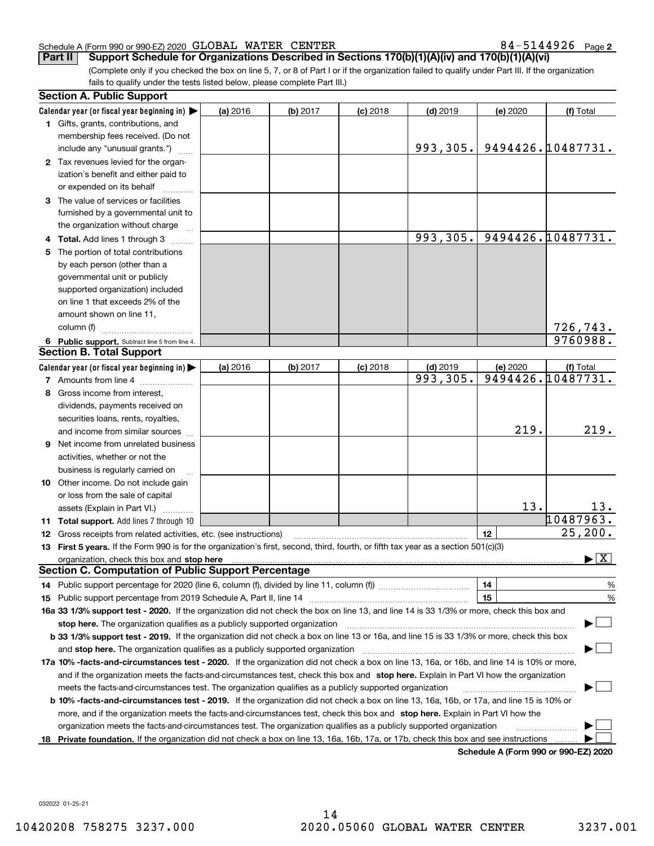## Schedule A (Form 990 or 990-EZ) 2020 Page GLOBAL WATER CENTER 84-5144926

84-5144926 Page 2

(Complete only if you checked the box on line 5, 7, or 8 of Part I or if the organization failed to qualify under Part III. If the organization fails to qualify under the tests listed below, please complete Part III.) **Part II** Support Schedule for Organizations Described in Sections 170(b)(1)(A)(iv) and 170(b)(1)(A)(vi)

|    | <b>Section A. Public Support</b>                                                                                                               |          |          |            |            |          |                                          |
|----|------------------------------------------------------------------------------------------------------------------------------------------------|----------|----------|------------|------------|----------|------------------------------------------|
|    | Calendar year (or fiscal year beginning in)                                                                                                    | (a) 2016 | (b) 2017 | $(c)$ 2018 | $(d)$ 2019 | (e) 2020 | (f) Total                                |
|    | 1 Gifts, grants, contributions, and                                                                                                            |          |          |            |            |          |                                          |
|    | membership fees received. (Do not                                                                                                              |          |          |            |            |          |                                          |
|    | include any "unusual grants.")                                                                                                                 |          |          |            | 993,305.   |          | 9494426.10487731.                        |
|    | 2 Tax revenues levied for the organ-                                                                                                           |          |          |            |            |          |                                          |
|    | ization's benefit and either paid to                                                                                                           |          |          |            |            |          |                                          |
|    | or expended on its behalf                                                                                                                      |          |          |            |            |          |                                          |
|    | 3 The value of services or facilities                                                                                                          |          |          |            |            |          |                                          |
|    | furnished by a governmental unit to                                                                                                            |          |          |            |            |          |                                          |
|    | the organization without charge                                                                                                                |          |          |            |            |          |                                          |
|    | 4 Total. Add lines 1 through 3                                                                                                                 |          |          |            | 993,305.   |          | 9494426.10487731.                        |
|    | 5 The portion of total contributions                                                                                                           |          |          |            |            |          |                                          |
|    | by each person (other than a                                                                                                                   |          |          |            |            |          |                                          |
|    | governmental unit or publicly                                                                                                                  |          |          |            |            |          |                                          |
|    | supported organization) included                                                                                                               |          |          |            |            |          |                                          |
|    | on line 1 that exceeds 2% of the                                                                                                               |          |          |            |            |          |                                          |
|    | amount shown on line 11,                                                                                                                       |          |          |            |            |          |                                          |
|    | column (f)                                                                                                                                     |          |          |            |            |          | 726,743.                                 |
|    | 6 Public support. Subtract line 5 from line 4.                                                                                                 |          |          |            |            |          | 9760988.                                 |
|    | <b>Section B. Total Support</b>                                                                                                                |          |          |            |            |          |                                          |
|    | Calendar year (or fiscal year beginning in)                                                                                                    | (a) 2016 | (b) 2017 | $(c)$ 2018 | $(d)$ 2019 | (e) 2020 | (f) Total                                |
|    | 7 Amounts from line 4                                                                                                                          |          |          |            | 993,305.   |          | 9494426.10487731.                        |
|    | 8 Gross income from interest,                                                                                                                  |          |          |            |            |          |                                          |
|    | dividends, payments received on                                                                                                                |          |          |            |            |          |                                          |
|    | securities loans, rents, royalties,                                                                                                            |          |          |            |            |          |                                          |
|    | and income from similar sources                                                                                                                |          |          |            |            | 219.     | 219.                                     |
|    | <b>9</b> Net income from unrelated business                                                                                                    |          |          |            |            |          |                                          |
|    | activities, whether or not the                                                                                                                 |          |          |            |            |          |                                          |
|    | business is regularly carried on                                                                                                               |          |          |            |            |          |                                          |
|    | 10 Other income. Do not include gain                                                                                                           |          |          |            |            |          |                                          |
|    | or loss from the sale of capital                                                                                                               |          |          |            |            |          |                                          |
|    | assets (Explain in Part VI.)                                                                                                                   |          |          |            |            | 13.      | 13.                                      |
|    | <b>11 Total support.</b> Add lines 7 through 10                                                                                                |          |          |            |            |          | 10487963.                                |
|    | <b>12</b> Gross receipts from related activities, etc. (see instructions)                                                                      |          |          |            |            | 12       | 25, 200.                                 |
|    | 13 First 5 years. If the Form 990 is for the organization's first, second, third, fourth, or fifth tax year as a section 501(c)(3)             |          |          |            |            |          |                                          |
|    | organization, check this box and <b>stop here</b> www.communicalisation.communications are constructed and <b>stop here</b>                    |          |          |            |            |          | $\blacktriangleright$ $\boxed{\text{X}}$ |
|    | <b>Section C. Computation of Public Support Percentage</b>                                                                                     |          |          |            |            |          |                                          |
|    | 14 Public support percentage for 2020 (line 6, column (f), divided by line 11, column (f) <i>mummumumum</i>                                    |          |          |            |            | 14       | %                                        |
|    |                                                                                                                                                |          |          |            |            | 15       | $\%$                                     |
|    | 16a 33 1/3% support test - 2020. If the organization did not check the box on line 13, and line 14 is 33 1/3% or more, check this box and      |          |          |            |            |          |                                          |
|    | stop here. The organization qualifies as a publicly supported organization                                                                     |          |          |            |            |          |                                          |
|    | b 33 1/3% support test - 2019. If the organization did not check a box on line 13 or 16a, and line 15 is 33 1/3% or more, check this box       |          |          |            |            |          |                                          |
|    | and stop here. The organization qualifies as a publicly supported organization                                                                 |          |          |            |            |          |                                          |
|    | 17a 10% -facts-and-circumstances test - 2020. If the organization did not check a box on line 13, 16a, or 16b, and line 14 is 10% or more,     |          |          |            |            |          |                                          |
|    | and if the organization meets the facts-and-circumstances test, check this box and stop here. Explain in Part VI how the organization          |          |          |            |            |          |                                          |
|    | meets the facts-and-circumstances test. The organization qualifies as a publicly supported organization                                        |          |          |            |            |          |                                          |
|    | <b>b 10% -facts-and-circumstances test - 2019.</b> If the organization did not check a box on line 13, 16a, 16b, or 17a, and line 15 is 10% or |          |          |            |            |          |                                          |
|    | more, and if the organization meets the facts-and-circumstances test, check this box and stop here. Explain in Part VI how the                 |          |          |            |            |          |                                          |
|    | organization meets the facts-and-circumstances test. The organization qualifies as a publicly supported organization                           |          |          |            |            |          |                                          |
| 18 | Private foundation. If the organization did not check a box on line 13, 16a, 16b, 17a, or 17b, check this box and see instructions             |          |          |            |            |          |                                          |
|    |                                                                                                                                                |          |          |            |            |          | Schodule A (Form 000 or 000 F7) 2020     |

**Schedule A (Form 990 or 990-EZ) 2020**

032022 01-25-21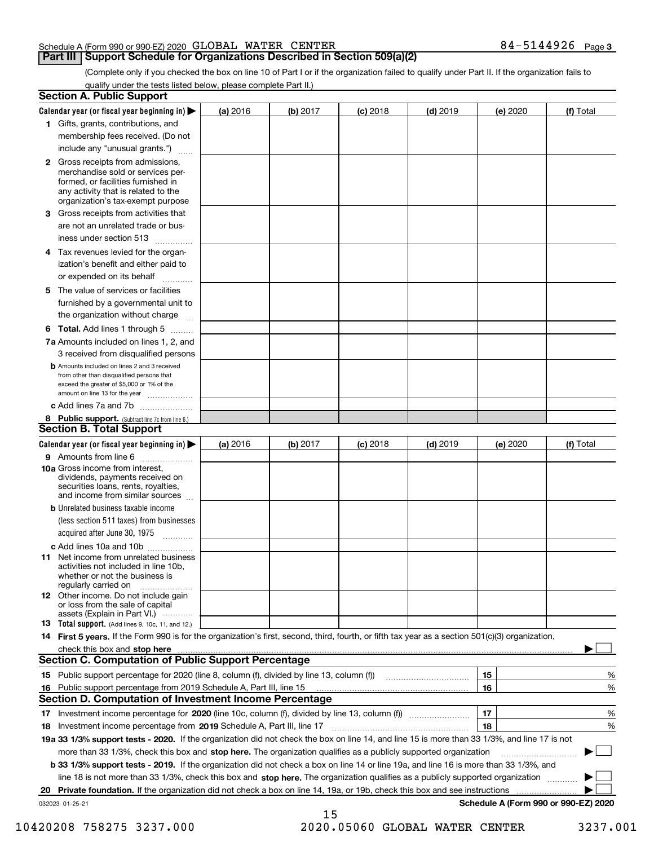## Schedule A (Form 990 or 990-EZ) 2020 Page GLOBAL WATER CENTER 84-5144926

# **Part III Support Schedule for Organizations Described in Section 509(a)(2)**

**3**

(Complete only if you checked the box on line 10 of Part I or if the organization failed to qualify under Part II. If the organization fails to qualify under the tests listed below, please complete Part II.)

| <b>Section A. Public Support</b>                                                                                                                                                         |          |          |            |            |          |                                      |
|------------------------------------------------------------------------------------------------------------------------------------------------------------------------------------------|----------|----------|------------|------------|----------|--------------------------------------|
| Calendar year (or fiscal year beginning in) $\blacktriangleright$                                                                                                                        | (a) 2016 | (b) 2017 | $(c)$ 2018 | $(d)$ 2019 | (e) 2020 | (f) Total                            |
| 1 Gifts, grants, contributions, and                                                                                                                                                      |          |          |            |            |          |                                      |
| membership fees received. (Do not                                                                                                                                                        |          |          |            |            |          |                                      |
| include any "unusual grants.")                                                                                                                                                           |          |          |            |            |          |                                      |
| 2 Gross receipts from admissions,<br>merchandise sold or services per-<br>formed, or facilities furnished in<br>any activity that is related to the<br>organization's tax-exempt purpose |          |          |            |            |          |                                      |
| 3 Gross receipts from activities that                                                                                                                                                    |          |          |            |            |          |                                      |
| are not an unrelated trade or bus-<br>iness under section 513                                                                                                                            |          |          |            |            |          |                                      |
| 4 Tax revenues levied for the organ-                                                                                                                                                     |          |          |            |            |          |                                      |
| ization's benefit and either paid to<br>or expended on its behalf<br>.                                                                                                                   |          |          |            |            |          |                                      |
| 5 The value of services or facilities                                                                                                                                                    |          |          |            |            |          |                                      |
| furnished by a governmental unit to                                                                                                                                                      |          |          |            |            |          |                                      |
| the organization without charge                                                                                                                                                          |          |          |            |            |          |                                      |
| <b>6 Total.</b> Add lines 1 through 5                                                                                                                                                    |          |          |            |            |          |                                      |
| 7a Amounts included on lines 1, 2, and<br>3 received from disqualified persons                                                                                                           |          |          |            |            |          |                                      |
| <b>b</b> Amounts included on lines 2 and 3 received<br>from other than disqualified persons that<br>exceed the greater of \$5,000 or 1% of the<br>amount on line 13 for the year         |          |          |            |            |          |                                      |
| c Add lines 7a and 7b                                                                                                                                                                    |          |          |            |            |          |                                      |
| 8 Public support. (Subtract line 7c from line 6.)<br><b>Section B. Total Support</b>                                                                                                     |          |          |            |            |          |                                      |
| Calendar year (or fiscal year beginning in) $\blacktriangleright$                                                                                                                        | (a) 2016 | (b) 2017 | $(c)$ 2018 | $(d)$ 2019 | (e) 2020 | (f) Total                            |
| 9 Amounts from line 6                                                                                                                                                                    |          |          |            |            |          |                                      |
| 10a Gross income from interest,<br>dividends, payments received on<br>securities loans, rents, royalties,<br>and income from similar sources                                             |          |          |            |            |          |                                      |
| <b>b</b> Unrelated business taxable income                                                                                                                                               |          |          |            |            |          |                                      |
| (less section 511 taxes) from businesses                                                                                                                                                 |          |          |            |            |          |                                      |
| acquired after June 30, 1975<br>1.1.1.1.1.1.1.1.1.1                                                                                                                                      |          |          |            |            |          |                                      |
| c Add lines 10a and 10b                                                                                                                                                                  |          |          |            |            |          |                                      |
| <b>11</b> Net income from unrelated business<br>activities not included in line 10b.<br>whether or not the business is<br>regularly carried on                                           |          |          |            |            |          |                                      |
| <b>12</b> Other income. Do not include gain<br>or loss from the sale of capital<br>assets (Explain in Part VI.)                                                                          |          |          |            |            |          |                                      |
| <b>13</b> Total support. (Add lines 9, 10c, 11, and 12.)                                                                                                                                 |          |          |            |            |          |                                      |
| 14 First 5 years. If the Form 990 is for the organization's first, second, third, fourth, or fifth tax year as a section 501(c)(3) organization,                                         |          |          |            |            |          |                                      |
| <b>Section C. Computation of Public Support Percentage</b>                                                                                                                               |          |          |            |            |          |                                      |
|                                                                                                                                                                                          |          |          |            |            | 15       | %                                    |
| 16 Public support percentage from 2019 Schedule A, Part III, line 15                                                                                                                     |          |          |            |            | 16       | %                                    |
| <b>Section D. Computation of Investment Income Percentage</b>                                                                                                                            |          |          |            |            |          |                                      |
| 17 Investment income percentage for 2020 (line 10c, column (f), divided by line 13, column (f))<br>18 Investment income percentage from 2019 Schedule A, Part III, line 17               |          |          |            |            | 17<br>18 | %<br>%                               |
| 19a 33 1/3% support tests - 2020. If the organization did not check the box on line 14, and line 15 is more than 33 1/3%, and line 17 is not                                             |          |          |            |            |          |                                      |
| more than 33 1/3%, check this box and stop here. The organization qualifies as a publicly supported organization                                                                         |          |          |            |            |          |                                      |
| b 33 1/3% support tests - 2019. If the organization did not check a box on line 14 or line 19a, and line 16 is more than 33 1/3%, and                                                    |          |          |            |            |          |                                      |
| line 18 is not more than 33 1/3%, check this box and stop here. The organization qualifies as a publicly supported organization                                                          |          |          |            |            |          |                                      |
| 20 Private foundation. If the organization did not check a box on line 14, 19a, or 19b, check this box and see instructions                                                              |          |          |            |            |          |                                      |
| 032023 01-25-21                                                                                                                                                                          |          |          |            |            |          | Schedule A (Form 990 or 990-EZ) 2020 |
|                                                                                                                                                                                          |          | 15       |            |            |          |                                      |

10420208 758275 3237.000 2020.05060 GLOBAL WATER CENTER 3237.001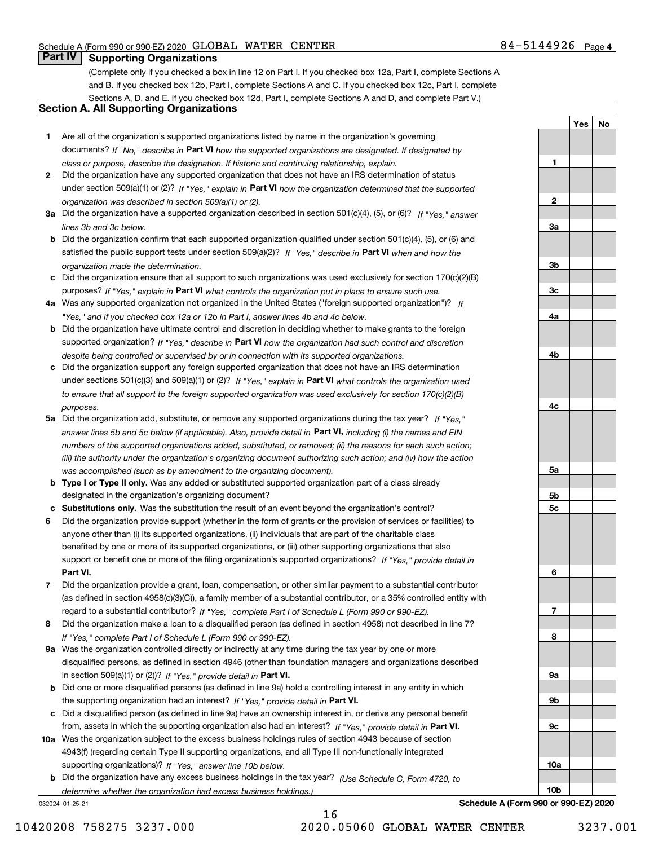**1**

**2**

**3a**

**3b**

**3c**

**4a**

**4b**

**4c**

**5a**

**5b5c**

**6**

**7**

**8**

**9a**

**9b**

**9c**

**10a**

**10b**

**YesNo**

# **Part IV Supporting Organizations**

(Complete only if you checked a box in line 12 on Part I. If you checked box 12a, Part I, complete Sections A and B. If you checked box 12b, Part I, complete Sections A and C. If you checked box 12c, Part I, complete Sections A, D, and E. If you checked box 12d, Part I, complete Sections A and D, and complete Part V.)

# **Section A. All Supporting Organizations**

- **1** Are all of the organization's supported organizations listed by name in the organization's governing documents? If "No," describe in **Part VI** how the supported organizations are designated. If designated by *class or purpose, describe the designation. If historic and continuing relationship, explain.*
- **2** Did the organization have any supported organization that does not have an IRS determination of status under section 509(a)(1) or (2)? If "Yes," explain in Part VI how the organization determined that the supported *organization was described in section 509(a)(1) or (2).*
- **3a** Did the organization have a supported organization described in section 501(c)(4), (5), or (6)? If "Yes," answer *lines 3b and 3c below.*
- **b** Did the organization confirm that each supported organization qualified under section 501(c)(4), (5), or (6) and satisfied the public support tests under section 509(a)(2)? If "Yes," describe in **Part VI** when and how the *organization made the determination.*
- **c**Did the organization ensure that all support to such organizations was used exclusively for section 170(c)(2)(B) purposes? If "Yes," explain in **Part VI** what controls the organization put in place to ensure such use.
- **4a***If* Was any supported organization not organized in the United States ("foreign supported organization")? *"Yes," and if you checked box 12a or 12b in Part I, answer lines 4b and 4c below.*
- **b** Did the organization have ultimate control and discretion in deciding whether to make grants to the foreign supported organization? If "Yes," describe in **Part VI** how the organization had such control and discretion *despite being controlled or supervised by or in connection with its supported organizations.*
- **c** Did the organization support any foreign supported organization that does not have an IRS determination under sections 501(c)(3) and 509(a)(1) or (2)? If "Yes," explain in **Part VI** what controls the organization used *to ensure that all support to the foreign supported organization was used exclusively for section 170(c)(2)(B) purposes.*
- **5a** Did the organization add, substitute, or remove any supported organizations during the tax year? If "Yes," answer lines 5b and 5c below (if applicable). Also, provide detail in **Part VI,** including (i) the names and EIN *numbers of the supported organizations added, substituted, or removed; (ii) the reasons for each such action; (iii) the authority under the organization's organizing document authorizing such action; and (iv) how the action was accomplished (such as by amendment to the organizing document).*
- **b** Type I or Type II only. Was any added or substituted supported organization part of a class already designated in the organization's organizing document?
- **cSubstitutions only.**  Was the substitution the result of an event beyond the organization's control?
- **6** Did the organization provide support (whether in the form of grants or the provision of services or facilities) to **Part VI.** *If "Yes," provide detail in* support or benefit one or more of the filing organization's supported organizations? anyone other than (i) its supported organizations, (ii) individuals that are part of the charitable class benefited by one or more of its supported organizations, or (iii) other supporting organizations that also
- **7**Did the organization provide a grant, loan, compensation, or other similar payment to a substantial contributor *If "Yes," complete Part I of Schedule L (Form 990 or 990-EZ).* regard to a substantial contributor? (as defined in section 4958(c)(3)(C)), a family member of a substantial contributor, or a 35% controlled entity with
- **8** Did the organization make a loan to a disqualified person (as defined in section 4958) not described in line 7? *If "Yes," complete Part I of Schedule L (Form 990 or 990-EZ).*
- **9a** Was the organization controlled directly or indirectly at any time during the tax year by one or more in section 509(a)(1) or (2))? If "Yes," *provide detail in* <code>Part VI.</code> disqualified persons, as defined in section 4946 (other than foundation managers and organizations described
- **b** Did one or more disqualified persons (as defined in line 9a) hold a controlling interest in any entity in which the supporting organization had an interest? If "Yes," provide detail in P**art VI**.
- **c**Did a disqualified person (as defined in line 9a) have an ownership interest in, or derive any personal benefit from, assets in which the supporting organization also had an interest? If "Yes," provide detail in P**art VI.**
- **10a** Was the organization subject to the excess business holdings rules of section 4943 because of section supporting organizations)? If "Yes," answer line 10b below. 4943(f) (regarding certain Type II supporting organizations, and all Type III non-functionally integrated
- **b** Did the organization have any excess business holdings in the tax year? (Use Schedule C, Form 4720, to *determine whether the organization had excess business holdings.)*

032024 01-25-21

**Schedule A (Form 990 or 990-EZ) 2020**

10420208 758275 3237.000 2020.05060 GLOBAL WATER CENTER 3237.001

16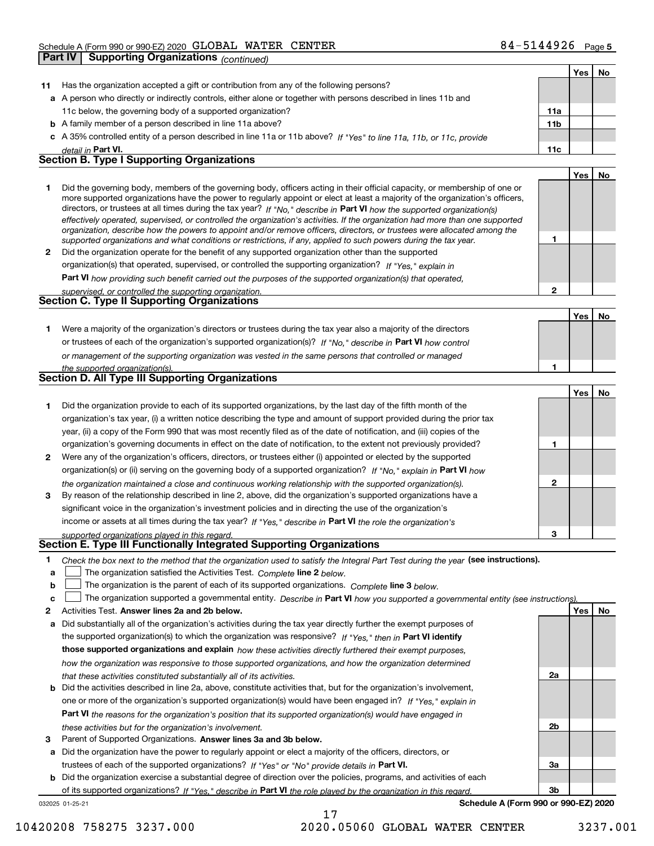|    | <b>Supporting Organizations (continued)</b><br>Part IV                                                                                                                                                                                                                                                                                                                                                                                                                                                                                                                                                                                               |              |     |    |
|----|------------------------------------------------------------------------------------------------------------------------------------------------------------------------------------------------------------------------------------------------------------------------------------------------------------------------------------------------------------------------------------------------------------------------------------------------------------------------------------------------------------------------------------------------------------------------------------------------------------------------------------------------------|--------------|-----|----|
|    |                                                                                                                                                                                                                                                                                                                                                                                                                                                                                                                                                                                                                                                      |              | Yes | No |
| 11 | Has the organization accepted a gift or contribution from any of the following persons?                                                                                                                                                                                                                                                                                                                                                                                                                                                                                                                                                              |              |     |    |
|    | a A person who directly or indirectly controls, either alone or together with persons described in lines 11b and                                                                                                                                                                                                                                                                                                                                                                                                                                                                                                                                     |              |     |    |
|    | 11c below, the governing body of a supported organization?                                                                                                                                                                                                                                                                                                                                                                                                                                                                                                                                                                                           | 11a          |     |    |
|    | <b>b</b> A family member of a person described in line 11a above?                                                                                                                                                                                                                                                                                                                                                                                                                                                                                                                                                                                    | 11b          |     |    |
|    | c A 35% controlled entity of a person described in line 11a or 11b above? If "Yes" to line 11a, 11b, or 11c, provide                                                                                                                                                                                                                                                                                                                                                                                                                                                                                                                                 |              |     |    |
|    | detail in Part VI.                                                                                                                                                                                                                                                                                                                                                                                                                                                                                                                                                                                                                                   | 11c          |     |    |
|    | <b>Section B. Type I Supporting Organizations</b>                                                                                                                                                                                                                                                                                                                                                                                                                                                                                                                                                                                                    |              |     |    |
|    |                                                                                                                                                                                                                                                                                                                                                                                                                                                                                                                                                                                                                                                      |              | Yes | No |
| 1  | Did the governing body, members of the governing body, officers acting in their official capacity, or membership of one or<br>more supported organizations have the power to regularly appoint or elect at least a majority of the organization's officers,<br>directors, or trustees at all times during the tax year? If "No," describe in Part VI how the supported organization(s)<br>effectively operated, supervised, or controlled the organization's activities. If the organization had more than one supported<br>organization, describe how the powers to appoint and/or remove officers, directors, or trustees were allocated among the |              |     |    |
|    | supported organizations and what conditions or restrictions, if any, applied to such powers during the tax year.                                                                                                                                                                                                                                                                                                                                                                                                                                                                                                                                     | 1            |     |    |
| 2  | Did the organization operate for the benefit of any supported organization other than the supported                                                                                                                                                                                                                                                                                                                                                                                                                                                                                                                                                  |              |     |    |
|    | organization(s) that operated, supervised, or controlled the supporting organization? If "Yes," explain in                                                                                                                                                                                                                                                                                                                                                                                                                                                                                                                                           |              |     |    |
|    | <b>Part VI</b> how providing such benefit carried out the purposes of the supported organization(s) that operated.                                                                                                                                                                                                                                                                                                                                                                                                                                                                                                                                   |              |     |    |
|    | supervised, or controlled the supporting organization.                                                                                                                                                                                                                                                                                                                                                                                                                                                                                                                                                                                               | $\mathbf{2}$ |     |    |
|    | Section C. Type II Supporting Organizations                                                                                                                                                                                                                                                                                                                                                                                                                                                                                                                                                                                                          |              |     |    |
|    |                                                                                                                                                                                                                                                                                                                                                                                                                                                                                                                                                                                                                                                      |              | Yes | No |
| 1  | Were a majority of the organization's directors or trustees during the tax year also a majority of the directors                                                                                                                                                                                                                                                                                                                                                                                                                                                                                                                                     |              |     |    |
|    | or trustees of each of the organization's supported organization(s)? If "No," describe in Part VI how control                                                                                                                                                                                                                                                                                                                                                                                                                                                                                                                                        |              |     |    |
|    | or management of the supporting organization was vested in the same persons that controlled or managed                                                                                                                                                                                                                                                                                                                                                                                                                                                                                                                                               |              |     |    |
|    | the supported organization(s).<br>Section D. All Type III Supporting Organizations                                                                                                                                                                                                                                                                                                                                                                                                                                                                                                                                                                   | 1            |     |    |
|    |                                                                                                                                                                                                                                                                                                                                                                                                                                                                                                                                                                                                                                                      |              |     |    |
|    |                                                                                                                                                                                                                                                                                                                                                                                                                                                                                                                                                                                                                                                      |              | Yes | No |
| 1  | Did the organization provide to each of its supported organizations, by the last day of the fifth month of the                                                                                                                                                                                                                                                                                                                                                                                                                                                                                                                                       |              |     |    |
|    | organization's tax year, (i) a written notice describing the type and amount of support provided during the prior tax                                                                                                                                                                                                                                                                                                                                                                                                                                                                                                                                |              |     |    |
|    | year, (ii) a copy of the Form 990 that was most recently filed as of the date of notification, and (iii) copies of the                                                                                                                                                                                                                                                                                                                                                                                                                                                                                                                               |              |     |    |
|    | organization's governing documents in effect on the date of notification, to the extent not previously provided?                                                                                                                                                                                                                                                                                                                                                                                                                                                                                                                                     | 1            |     |    |
| 2  | Were any of the organization's officers, directors, or trustees either (i) appointed or elected by the supported                                                                                                                                                                                                                                                                                                                                                                                                                                                                                                                                     |              |     |    |
|    | organization(s) or (ii) serving on the governing body of a supported organization? If "No," explain in Part VI how                                                                                                                                                                                                                                                                                                                                                                                                                                                                                                                                   | 2            |     |    |
| 3  | the organization maintained a close and continuous working relationship with the supported organization(s).<br>By reason of the relationship described in line 2, above, did the organization's supported organizations have a                                                                                                                                                                                                                                                                                                                                                                                                                       |              |     |    |
|    | significant voice in the organization's investment policies and in directing the use of the organization's                                                                                                                                                                                                                                                                                                                                                                                                                                                                                                                                           |              |     |    |
|    | income or assets at all times during the tax year? If "Yes," describe in Part VI the role the organization's                                                                                                                                                                                                                                                                                                                                                                                                                                                                                                                                         |              |     |    |
|    |                                                                                                                                                                                                                                                                                                                                                                                                                                                                                                                                                                                                                                                      | 3            |     |    |
|    | supported organizations played in this regard.<br>Section E. Type III Functionally Integrated Supporting Organizations                                                                                                                                                                                                                                                                                                                                                                                                                                                                                                                               |              |     |    |
| 1  | Check the box next to the method that the organization used to satisfy the Integral Part Test during the year (see instructions).                                                                                                                                                                                                                                                                                                                                                                                                                                                                                                                    |              |     |    |
| a  | The organization satisfied the Activities Test. Complete line 2 below.                                                                                                                                                                                                                                                                                                                                                                                                                                                                                                                                                                               |              |     |    |
| b  | The organization is the parent of each of its supported organizations. Complete line 3 below.                                                                                                                                                                                                                                                                                                                                                                                                                                                                                                                                                        |              |     |    |
| c  | The organization supported a governmental entity. Describe in Part VI how you supported a governmental entity (see instructions).                                                                                                                                                                                                                                                                                                                                                                                                                                                                                                                    |              |     |    |
| 2  | Activities Test. Answer lines 2a and 2b below.                                                                                                                                                                                                                                                                                                                                                                                                                                                                                                                                                                                                       |              | Yes | No |
| а  | Did substantially all of the organization's activities during the tax year directly further the exempt purposes of                                                                                                                                                                                                                                                                                                                                                                                                                                                                                                                                   |              |     |    |
|    |                                                                                                                                                                                                                                                                                                                                                                                                                                                                                                                                                                                                                                                      |              |     |    |

the supported organization(s) to which the organization was responsive? If "Yes," then in **Part VI identify those supported organizations and explain**  *how these activities directly furthered their exempt purposes, how the organization was responsive to those supported organizations, and how the organization determined that these activities constituted substantially all of its activities.*

- **b** Did the activities described in line 2a, above, constitute activities that, but for the organization's involvement, **Part VI**  *the reasons for the organization's position that its supported organization(s) would have engaged in* one or more of the organization's supported organization(s) would have been engaged in? If "Yes," e*xplain in these activities but for the organization's involvement.*
- **3** Parent of Supported Organizations. Answer lines 3a and 3b below.

**a** Did the organization have the power to regularly appoint or elect a majority of the officers, directors, or trustees of each of the supported organizations? If "Yes" or "No" provide details in **Part VI.** 

**b** Did the organization exercise a substantial degree of direction over the policies, programs, and activities of each of its supported organizations? If "Yes," describe in Part VI the role played by the organization in this regard.

17

032025 01-25-21

**Schedule A (Form 990 or 990-EZ) 2020**

**2a**

**2b**

**3a**

**3b**

10420208 758275 3237.000 2020.05060 GLOBAL WATER CENTER 3237.001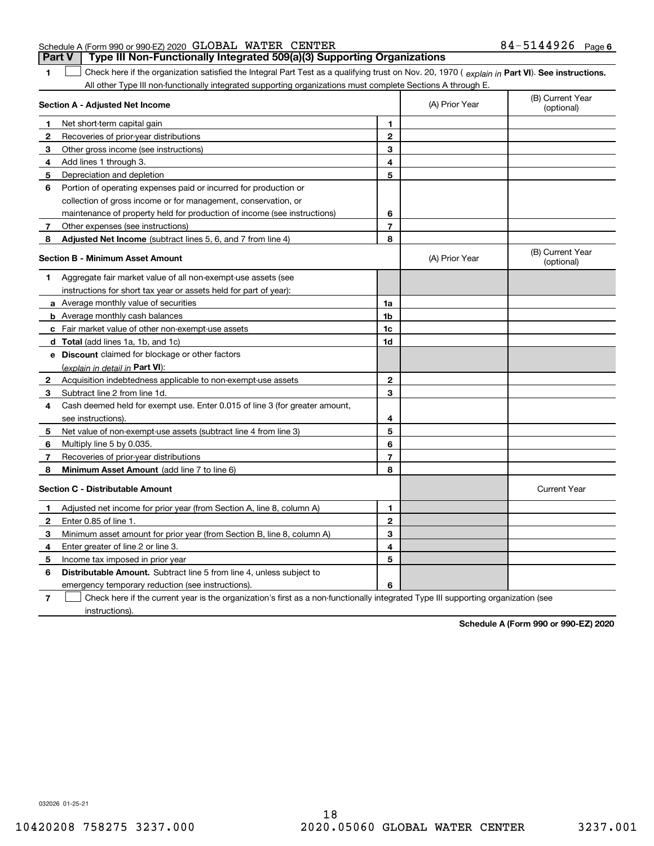| Schedule A (Form 990 or 990-EZ) 2020 GLOBAL WATER CENTER |                                                                                  | 84-5144926 <sub>Page 6</sub> |  |
|----------------------------------------------------------|----------------------------------------------------------------------------------|------------------------------|--|
|                                                          | Part V   Type III Non-Functionally Integrated 509(a)(3) Supporting Organizations |                              |  |

**1**

1 Check here if the organization satisfied the Integral Part Test as a qualifying trust on Nov. 20, 1970 (explain in Part VI). See instructions. All other Type III non-functionally integrated supporting organizations must complete Sections A through E.

|              | Section A - Adjusted Net Income                                             |                | (A) Prior Year | (B) Current Year<br>(optional) |
|--------------|-----------------------------------------------------------------------------|----------------|----------------|--------------------------------|
| 1            | Net short-term capital gain                                                 | 1              |                |                                |
| 2            | Recoveries of prior-year distributions                                      | $\overline{2}$ |                |                                |
| з            | Other gross income (see instructions)                                       | 3              |                |                                |
| 4            | Add lines 1 through 3.                                                      | 4              |                |                                |
| 5            | Depreciation and depletion                                                  | 5              |                |                                |
| 6            | Portion of operating expenses paid or incurred for production or            |                |                |                                |
|              | collection of gross income or for management, conservation, or              |                |                |                                |
|              | maintenance of property held for production of income (see instructions)    | 6              |                |                                |
| 7            | Other expenses (see instructions)                                           | $\overline{7}$ |                |                                |
| 8            | Adjusted Net Income (subtract lines 5, 6, and 7 from line 4)                | 8              |                |                                |
|              | <b>Section B - Minimum Asset Amount</b>                                     |                | (A) Prior Year | (B) Current Year<br>(optional) |
| 1            | Aggregate fair market value of all non-exempt-use assets (see               |                |                |                                |
|              | instructions for short tax year or assets held for part of year):           |                |                |                                |
|              | a Average monthly value of securities                                       | 1a             |                |                                |
|              | <b>b</b> Average monthly cash balances                                      | 1b             |                |                                |
|              | c Fair market value of other non-exempt-use assets                          | 1c             |                |                                |
|              | <b>d</b> Total (add lines 1a, 1b, and 1c)                                   | 1d             |                |                                |
|              | <b>e</b> Discount claimed for blockage or other factors                     |                |                |                                |
|              | (explain in detail in <b>Part VI</b> ):                                     |                |                |                                |
| $\mathbf{2}$ | Acquisition indebtedness applicable to non-exempt-use assets                | $\overline{2}$ |                |                                |
| 3            | Subtract line 2 from line 1d.                                               | 3              |                |                                |
| 4            | Cash deemed held for exempt use. Enter 0.015 of line 3 (for greater amount, |                |                |                                |
|              | see instructions).                                                          | 4              |                |                                |
| 5            | Net value of non-exempt-use assets (subtract line 4 from line 3)            | 5              |                |                                |
| 6            | Multiply line 5 by 0.035.                                                   | 6              |                |                                |
| 7            | Recoveries of prior-year distributions                                      | $\overline{7}$ |                |                                |
| 8            | Minimum Asset Amount (add line 7 to line 6)                                 | 8              |                |                                |
|              | <b>Section C - Distributable Amount</b>                                     |                |                | <b>Current Year</b>            |
| 1            | Adjusted net income for prior year (from Section A, line 8, column A)       | 1              |                |                                |
| $\mathbf{2}$ | Enter 0.85 of line 1.                                                       | $\overline{2}$ |                |                                |
| 3            | Minimum asset amount for prior year (from Section B, line 8, column A)      | 3              |                |                                |
| 4            | Enter greater of line 2 or line 3.                                          | 4              |                |                                |
| 5            | Income tax imposed in prior year                                            | 5              |                |                                |
| 6            | <b>Distributable Amount.</b> Subtract line 5 from line 4, unless subject to |                |                |                                |
|              | emergency temporary reduction (see instructions).                           | 6              |                |                                |
|              |                                                                             |                |                |                                |

**7**Check here if the current year is the organization's first as a non-functionally integrated Type III supporting organization (see instructions).

**Schedule A (Form 990 or 990-EZ) 2020**

032026 01-25-21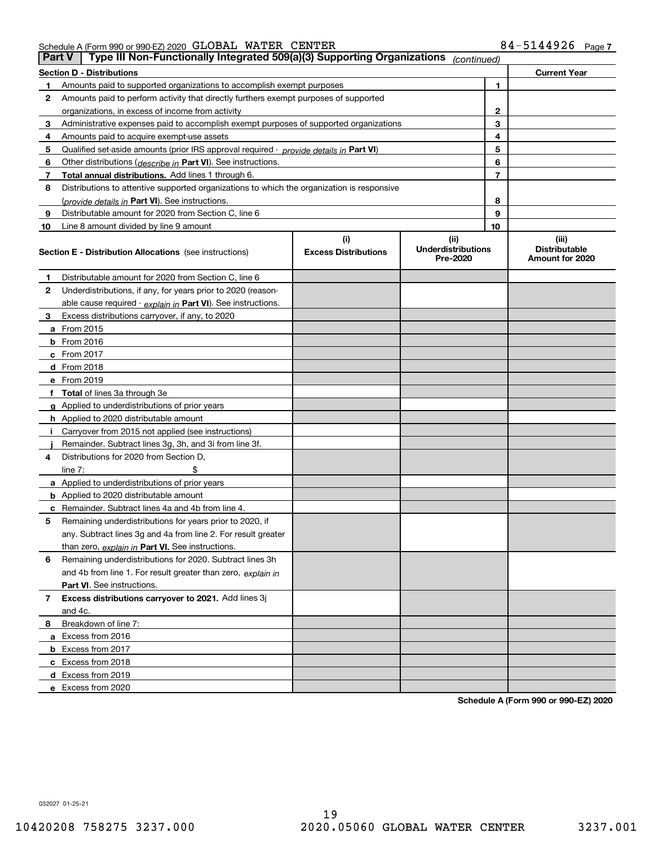Schedule A (Form 990 or 990-EZ) 2020 Page GLOBAL WATER CENTER 84-5144926

|    | Type III Non-Functionally Integrated 509(a)(3) Supporting Organizations<br><b>Part V</b><br>(continued) |                             |                                       |                                         |  |  |  |  |  |
|----|---------------------------------------------------------------------------------------------------------|-----------------------------|---------------------------------------|-----------------------------------------|--|--|--|--|--|
|    | <b>Section D - Distributions</b>                                                                        |                             |                                       | <b>Current Year</b>                     |  |  |  |  |  |
| 1  | Amounts paid to supported organizations to accomplish exempt purposes                                   | 1                           |                                       |                                         |  |  |  |  |  |
| 2  | Amounts paid to perform activity that directly furthers exempt purposes of supported                    |                             |                                       |                                         |  |  |  |  |  |
|    | organizations, in excess of income from activity                                                        |                             | $\mathbf{2}$                          |                                         |  |  |  |  |  |
| 3  | Administrative expenses paid to accomplish exempt purposes of supported organizations                   |                             | 3                                     |                                         |  |  |  |  |  |
| 4  | Amounts paid to acquire exempt-use assets                                                               |                             |                                       | 4                                       |  |  |  |  |  |
| 5  | Qualified set-aside amounts (prior IRS approval required - provide details in Part VI)                  |                             |                                       | 5                                       |  |  |  |  |  |
| 6  | Other distributions ( <i>describe in</i> Part VI). See instructions.                                    |                             |                                       | 6                                       |  |  |  |  |  |
| 7  | Total annual distributions. Add lines 1 through 6.                                                      |                             |                                       | $\overline{7}$                          |  |  |  |  |  |
| 8  | Distributions to attentive supported organizations to which the organization is responsive              |                             |                                       |                                         |  |  |  |  |  |
|    | (provide details in Part VI). See instructions.                                                         |                             |                                       | 8                                       |  |  |  |  |  |
| 9  | Distributable amount for 2020 from Section C, line 6                                                    |                             |                                       | 9                                       |  |  |  |  |  |
| 10 | Line 8 amount divided by line 9 amount                                                                  |                             | 10                                    |                                         |  |  |  |  |  |
|    |                                                                                                         | (i)                         | (ii)                                  | (iii)                                   |  |  |  |  |  |
|    | <b>Section E - Distribution Allocations</b> (see instructions)                                          | <b>Excess Distributions</b> | <b>Underdistributions</b><br>Pre-2020 | <b>Distributable</b><br>Amount for 2020 |  |  |  |  |  |
| 1  | Distributable amount for 2020 from Section C, line 6                                                    |                             |                                       |                                         |  |  |  |  |  |
| 2  | Underdistributions, if any, for years prior to 2020 (reason-                                            |                             |                                       |                                         |  |  |  |  |  |
|    | able cause required - explain in Part VI). See instructions.                                            |                             |                                       |                                         |  |  |  |  |  |
| 3  | Excess distributions carryover, if any, to 2020                                                         |                             |                                       |                                         |  |  |  |  |  |
|    | a From 2015                                                                                             |                             |                                       |                                         |  |  |  |  |  |
|    | <b>b</b> From 2016                                                                                      |                             |                                       |                                         |  |  |  |  |  |
|    | $c$ From 2017                                                                                           |                             |                                       |                                         |  |  |  |  |  |
|    | d From 2018                                                                                             |                             |                                       |                                         |  |  |  |  |  |
|    | e From 2019                                                                                             |                             |                                       |                                         |  |  |  |  |  |
|    | f Total of lines 3a through 3e                                                                          |                             |                                       |                                         |  |  |  |  |  |
|    | g Applied to underdistributions of prior years                                                          |                             |                                       |                                         |  |  |  |  |  |
|    | <b>h</b> Applied to 2020 distributable amount                                                           |                             |                                       |                                         |  |  |  |  |  |
|    | Carryover from 2015 not applied (see instructions)                                                      |                             |                                       |                                         |  |  |  |  |  |
|    | Remainder. Subtract lines 3g, 3h, and 3i from line 3f.                                                  |                             |                                       |                                         |  |  |  |  |  |
| 4  | Distributions for 2020 from Section D,                                                                  |                             |                                       |                                         |  |  |  |  |  |
|    | line $7:$                                                                                               |                             |                                       |                                         |  |  |  |  |  |
|    | a Applied to underdistributions of prior years                                                          |                             |                                       |                                         |  |  |  |  |  |
|    | <b>b</b> Applied to 2020 distributable amount                                                           |                             |                                       |                                         |  |  |  |  |  |
|    | c Remainder. Subtract lines 4a and 4b from line 4.                                                      |                             |                                       |                                         |  |  |  |  |  |
| 5. | Remaining underdistributions for years prior to 2020, if                                                |                             |                                       |                                         |  |  |  |  |  |
|    | any. Subtract lines 3g and 4a from line 2. For result greater                                           |                             |                                       |                                         |  |  |  |  |  |
|    | than zero, explain in Part VI. See instructions.                                                        |                             |                                       |                                         |  |  |  |  |  |
| 6  | Remaining underdistributions for 2020. Subtract lines 3h                                                |                             |                                       |                                         |  |  |  |  |  |
|    | and 4b from line 1. For result greater than zero, explain in                                            |                             |                                       |                                         |  |  |  |  |  |
|    | Part VI. See instructions.                                                                              |                             |                                       |                                         |  |  |  |  |  |
| 7  | Excess distributions carryover to 2021. Add lines 3j                                                    |                             |                                       |                                         |  |  |  |  |  |
|    | and 4c.                                                                                                 |                             |                                       |                                         |  |  |  |  |  |
| 8  | Breakdown of line 7:                                                                                    |                             |                                       |                                         |  |  |  |  |  |
|    | a Excess from 2016                                                                                      |                             |                                       |                                         |  |  |  |  |  |
|    | <b>b</b> Excess from 2017                                                                               |                             |                                       |                                         |  |  |  |  |  |
|    | c Excess from 2018                                                                                      |                             |                                       |                                         |  |  |  |  |  |
|    | d Excess from 2019                                                                                      |                             |                                       |                                         |  |  |  |  |  |
|    | e Excess from 2020                                                                                      |                             |                                       |                                         |  |  |  |  |  |

**Schedule A (Form 990 or 990-EZ) 2020**

032027 01-25-21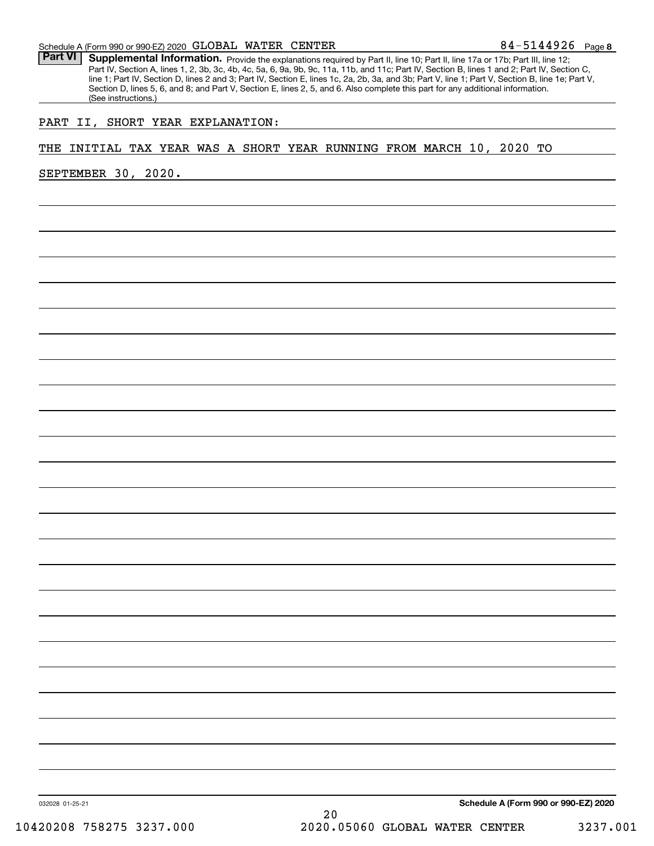Part VI | Supplemental Information. Provide the explanations required by Part II, line 10; Part II, line 17a or 17b; Part III, line 12; Part IV, Section A, lines 1, 2, 3b, 3c, 4b, 4c, 5a, 6, 9a, 9b, 9c, 11a, 11b, and 11c; Part IV, Section B, lines 1 and 2; Part IV, Section C, line 1; Part IV, Section D, lines 2 and 3; Part IV, Section E, lines 1c, 2a, 2b, 3a, and 3b; Part V, line 1; Part V, Section B, line 1e; Part V, Section D, lines 5, 6, and 8; and Part V, Section E, lines 2, 5, and 6. Also complete this part for any additional information. (See instructions.)

# PART II, SHORT YEAR EXPLANATION:

## THE INITIAL TAX YEAR WAS A SHORT YEAR RUNNING FROM MARCH 10, 2020 TO

SEPTEMBER 30, 2020.

**Schedule A (Form 990 or 990-EZ) 2020**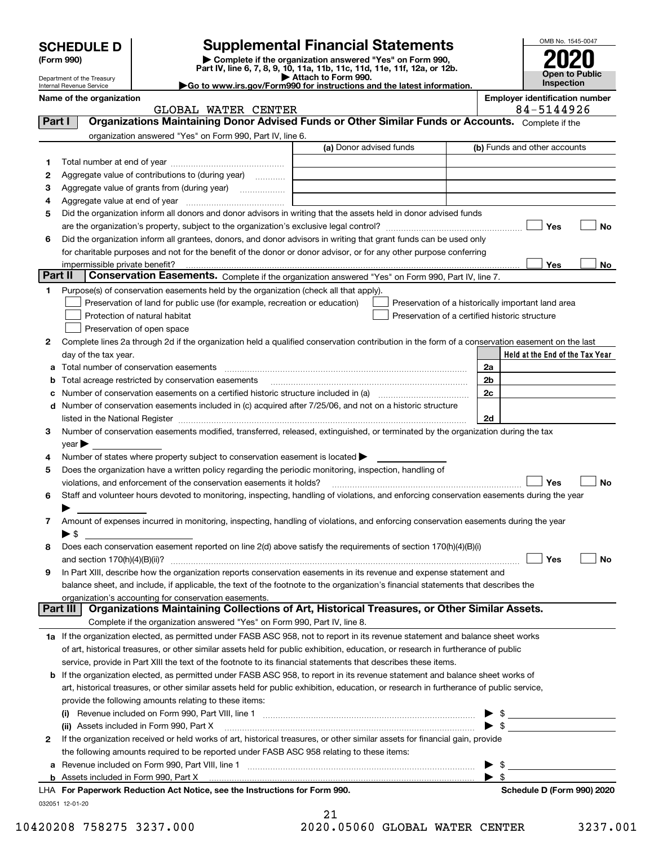|         | <b>Supplemental Financial Statements</b><br><b>SCHEDULE D</b><br>Complete if the organization answered "Yes" on Form 990,<br>(Form 990)<br>Part IV, line 6, 7, 8, 9, 10, 11a, 11b, 11c, 11d, 11e, 11f, 12a, or 12b.<br>Attach to Form 990.<br>Department of the Treasury<br>Go to www.irs.gov/Form990 for instructions and the latest information.<br>Internal Revenue Service |                                                                                                        |                                                                                                                                                                                                                                                                                                                                                                                                                                               |  |                                       | OMB No. 1545-0047<br><b>Open to Public</b><br>Inspection |  |    |  |
|---------|--------------------------------------------------------------------------------------------------------------------------------------------------------------------------------------------------------------------------------------------------------------------------------------------------------------------------------------------------------------------------------|--------------------------------------------------------------------------------------------------------|-----------------------------------------------------------------------------------------------------------------------------------------------------------------------------------------------------------------------------------------------------------------------------------------------------------------------------------------------------------------------------------------------------------------------------------------------|--|---------------------------------------|----------------------------------------------------------|--|----|--|
|         | Name of the organization                                                                                                                                                                                                                                                                                                                                                       |                                                                                                        |                                                                                                                                                                                                                                                                                                                                                                                                                                               |  | <b>Employer identification number</b> |                                                          |  |    |  |
|         |                                                                                                                                                                                                                                                                                                                                                                                | GLOBAL WATER CENTER                                                                                    |                                                                                                                                                                                                                                                                                                                                                                                                                                               |  |                                       | 84-5144926                                               |  |    |  |
| Part I  |                                                                                                                                                                                                                                                                                                                                                                                |                                                                                                        | Organizations Maintaining Donor Advised Funds or Other Similar Funds or Accounts. Complete if the                                                                                                                                                                                                                                                                                                                                             |  |                                       |                                                          |  |    |  |
|         |                                                                                                                                                                                                                                                                                                                                                                                | organization answered "Yes" on Form 990, Part IV, line 6.                                              |                                                                                                                                                                                                                                                                                                                                                                                                                                               |  |                                       |                                                          |  |    |  |
|         |                                                                                                                                                                                                                                                                                                                                                                                |                                                                                                        | (a) Donor advised funds                                                                                                                                                                                                                                                                                                                                                                                                                       |  | (b) Funds and other accounts          |                                                          |  |    |  |
| 1       |                                                                                                                                                                                                                                                                                                                                                                                |                                                                                                        |                                                                                                                                                                                                                                                                                                                                                                                                                                               |  |                                       |                                                          |  |    |  |
| 2       |                                                                                                                                                                                                                                                                                                                                                                                | Aggregate value of contributions to (during year)                                                      |                                                                                                                                                                                                                                                                                                                                                                                                                                               |  |                                       |                                                          |  |    |  |
| 3       |                                                                                                                                                                                                                                                                                                                                                                                |                                                                                                        |                                                                                                                                                                                                                                                                                                                                                                                                                                               |  |                                       |                                                          |  |    |  |
| 4<br>5  |                                                                                                                                                                                                                                                                                                                                                                                |                                                                                                        | Did the organization inform all donors and donor advisors in writing that the assets held in donor advised funds                                                                                                                                                                                                                                                                                                                              |  |                                       |                                                          |  |    |  |
|         |                                                                                                                                                                                                                                                                                                                                                                                |                                                                                                        |                                                                                                                                                                                                                                                                                                                                                                                                                                               |  |                                       | I Yes                                                    |  | No |  |
| 6       |                                                                                                                                                                                                                                                                                                                                                                                |                                                                                                        | Did the organization inform all grantees, donors, and donor advisors in writing that grant funds can be used only                                                                                                                                                                                                                                                                                                                             |  |                                       |                                                          |  |    |  |
|         |                                                                                                                                                                                                                                                                                                                                                                                |                                                                                                        | for charitable purposes and not for the benefit of the donor or donor advisor, or for any other purpose conferring                                                                                                                                                                                                                                                                                                                            |  |                                       |                                                          |  |    |  |
|         | impermissible private benefit?                                                                                                                                                                                                                                                                                                                                                 |                                                                                                        |                                                                                                                                                                                                                                                                                                                                                                                                                                               |  |                                       | Yes                                                      |  | No |  |
| Part II |                                                                                                                                                                                                                                                                                                                                                                                |                                                                                                        | Conservation Easements. Complete if the organization answered "Yes" on Form 990, Part IV, line 7.                                                                                                                                                                                                                                                                                                                                             |  |                                       |                                                          |  |    |  |
| 1       |                                                                                                                                                                                                                                                                                                                                                                                | Purpose(s) of conservation easements held by the organization (check all that apply).                  |                                                                                                                                                                                                                                                                                                                                                                                                                                               |  |                                       |                                                          |  |    |  |
|         |                                                                                                                                                                                                                                                                                                                                                                                | Preservation of land for public use (for example, recreation or education)                             | Preservation of a historically important land area                                                                                                                                                                                                                                                                                                                                                                                            |  |                                       |                                                          |  |    |  |
|         |                                                                                                                                                                                                                                                                                                                                                                                | Protection of natural habitat                                                                          | Preservation of a certified historic structure                                                                                                                                                                                                                                                                                                                                                                                                |  |                                       |                                                          |  |    |  |
|         |                                                                                                                                                                                                                                                                                                                                                                                | Preservation of open space                                                                             |                                                                                                                                                                                                                                                                                                                                                                                                                                               |  |                                       |                                                          |  |    |  |
| 2       |                                                                                                                                                                                                                                                                                                                                                                                |                                                                                                        | Complete lines 2a through 2d if the organization held a qualified conservation contribution in the form of a conservation easement on the last                                                                                                                                                                                                                                                                                                |  |                                       |                                                          |  |    |  |
|         | day of the tax year.                                                                                                                                                                                                                                                                                                                                                           |                                                                                                        |                                                                                                                                                                                                                                                                                                                                                                                                                                               |  |                                       | Held at the End of the Tax Year                          |  |    |  |
| а       |                                                                                                                                                                                                                                                                                                                                                                                | Total number of conservation easements                                                                 |                                                                                                                                                                                                                                                                                                                                                                                                                                               |  | 2a                                    |                                                          |  |    |  |
| b       |                                                                                                                                                                                                                                                                                                                                                                                | Total acreage restricted by conservation easements                                                     |                                                                                                                                                                                                                                                                                                                                                                                                                                               |  | 2 <sub>b</sub>                        |                                                          |  |    |  |
| c       |                                                                                                                                                                                                                                                                                                                                                                                |                                                                                                        |                                                                                                                                                                                                                                                                                                                                                                                                                                               |  | 2c                                    |                                                          |  |    |  |
| d       |                                                                                                                                                                                                                                                                                                                                                                                |                                                                                                        | Number of conservation easements included in (c) acquired after 7/25/06, and not on a historic structure                                                                                                                                                                                                                                                                                                                                      |  |                                       |                                                          |  |    |  |
|         |                                                                                                                                                                                                                                                                                                                                                                                |                                                                                                        |                                                                                                                                                                                                                                                                                                                                                                                                                                               |  | 2d                                    |                                                          |  |    |  |
| З       |                                                                                                                                                                                                                                                                                                                                                                                |                                                                                                        | Number of conservation easements modified, transferred, released, extinguished, or terminated by the organization during the tax                                                                                                                                                                                                                                                                                                              |  |                                       |                                                          |  |    |  |
|         | $year \blacktriangleright$                                                                                                                                                                                                                                                                                                                                                     |                                                                                                        |                                                                                                                                                                                                                                                                                                                                                                                                                                               |  |                                       |                                                          |  |    |  |
| 4       |                                                                                                                                                                                                                                                                                                                                                                                | Number of states where property subject to conservation easement is located >                          |                                                                                                                                                                                                                                                                                                                                                                                                                                               |  |                                       |                                                          |  |    |  |
| 5       |                                                                                                                                                                                                                                                                                                                                                                                | Does the organization have a written policy regarding the periodic monitoring, inspection, handling of |                                                                                                                                                                                                                                                                                                                                                                                                                                               |  |                                       |                                                          |  |    |  |
|         |                                                                                                                                                                                                                                                                                                                                                                                | violations, and enforcement of the conservation easements it holds?                                    | $\begin{minipage}{0.5\textwidth} \begin{tabular}{ l l l } \hline & \multicolumn{1}{ l l } \hline & \multicolumn{1}{ l } \multicolumn{1}{ l } \multicolumn{1}{ l } \multicolumn{1}{ l } \multicolumn{1}{ l } \multicolumn{1}{ l } \multicolumn{1}{ l } \multicolumn{1}{ l } \multicolumn{1}{ l } \multicolumn{1}{ l } \multicolumn{1}{ l } \multicolumn{1}{ l } \multicolumn{1}{ l } \multicolumn{1}{ l } \multicolumn{1}{ l } \multicolumn{1$ |  |                                       | Yes                                                      |  | No |  |
|         |                                                                                                                                                                                                                                                                                                                                                                                |                                                                                                        | Staff and volunteer hours devoted to monitoring, inspecting, handling of violations, and enforcing conservation easements during the year                                                                                                                                                                                                                                                                                                     |  |                                       |                                                          |  |    |  |
|         |                                                                                                                                                                                                                                                                                                                                                                                |                                                                                                        | Amount of expenses incurred in monitoring, inspecting, handling of violations, and enforcing conservation easements during the year                                                                                                                                                                                                                                                                                                           |  |                                       |                                                          |  |    |  |
| 7       | $\blacktriangleright$ \$                                                                                                                                                                                                                                                                                                                                                       |                                                                                                        |                                                                                                                                                                                                                                                                                                                                                                                                                                               |  |                                       |                                                          |  |    |  |
| 8       |                                                                                                                                                                                                                                                                                                                                                                                |                                                                                                        | Does each conservation easement reported on line 2(d) above satisfy the requirements of section 170(h)(4)(B)(i)                                                                                                                                                                                                                                                                                                                               |  |                                       |                                                          |  |    |  |
|         |                                                                                                                                                                                                                                                                                                                                                                                |                                                                                                        |                                                                                                                                                                                                                                                                                                                                                                                                                                               |  |                                       | Yes                                                      |  | No |  |
| 9       |                                                                                                                                                                                                                                                                                                                                                                                |                                                                                                        | In Part XIII, describe how the organization reports conservation easements in its revenue and expense statement and                                                                                                                                                                                                                                                                                                                           |  |                                       |                                                          |  |    |  |
|         |                                                                                                                                                                                                                                                                                                                                                                                |                                                                                                        | balance sheet, and include, if applicable, the text of the footnote to the organization's financial statements that describes the                                                                                                                                                                                                                                                                                                             |  |                                       |                                                          |  |    |  |
|         |                                                                                                                                                                                                                                                                                                                                                                                | organization's accounting for conservation easements.                                                  |                                                                                                                                                                                                                                                                                                                                                                                                                                               |  |                                       |                                                          |  |    |  |
|         | Part III                                                                                                                                                                                                                                                                                                                                                                       |                                                                                                        | Organizations Maintaining Collections of Art, Historical Treasures, or Other Similar Assets.                                                                                                                                                                                                                                                                                                                                                  |  |                                       |                                                          |  |    |  |
|         |                                                                                                                                                                                                                                                                                                                                                                                | Complete if the organization answered "Yes" on Form 990, Part IV, line 8.                              |                                                                                                                                                                                                                                                                                                                                                                                                                                               |  |                                       |                                                          |  |    |  |
|         |                                                                                                                                                                                                                                                                                                                                                                                |                                                                                                        | 1a If the organization elected, as permitted under FASB ASC 958, not to report in its revenue statement and balance sheet works                                                                                                                                                                                                                                                                                                               |  |                                       |                                                          |  |    |  |
|         |                                                                                                                                                                                                                                                                                                                                                                                |                                                                                                        | of art, historical treasures, or other similar assets held for public exhibition, education, or research in furtherance of public                                                                                                                                                                                                                                                                                                             |  |                                       |                                                          |  |    |  |
|         |                                                                                                                                                                                                                                                                                                                                                                                |                                                                                                        | service, provide in Part XIII the text of the footnote to its financial statements that describes these items.                                                                                                                                                                                                                                                                                                                                |  |                                       |                                                          |  |    |  |

| <b>b</b> If the organization elected, as permitted under FASB ASC 958, to report in its revenue statement and balance sheet works of    |
|-----------------------------------------------------------------------------------------------------------------------------------------|
| art, historical treasures, or other similar assets held for public exhibition, education, or research in furtherance of public service, |
| provide the following amounts relating to these items:                                                                                  |
| Revenue included on Form 990, Part VIII, line 1<br>(i)                                                                                  |

|   | (ii) Assets included in Form 990, Part X [11] [12] Assets included in Form 990, Part X                                       |                            |
|---|------------------------------------------------------------------------------------------------------------------------------|----------------------------|
| 2 | If the organization received or held works of art, historical treasures, or other similar assets for financial gain, provide |                            |
|   | the following amounts required to be reported under FASB ASC 958 relating to these items:                                    |                            |
|   | a Revenue included on Form 990, Part VIII, line 1                                                                            |                            |
|   |                                                                                                                              |                            |
|   | LHA For Paperwork Reduction Act Notice, see the Instructions for Form 990.                                                   | Schedule D (Form 990) 2020 |
|   | 032051 12-01-20                                                                                                              |                            |

21 10420208 758275 3237.000 2020.05060 GLOBAL WATER CENTER 3237.001

 $\overline{\phantom{a}}$  $\overline{a}$ 

 $\overline{a}$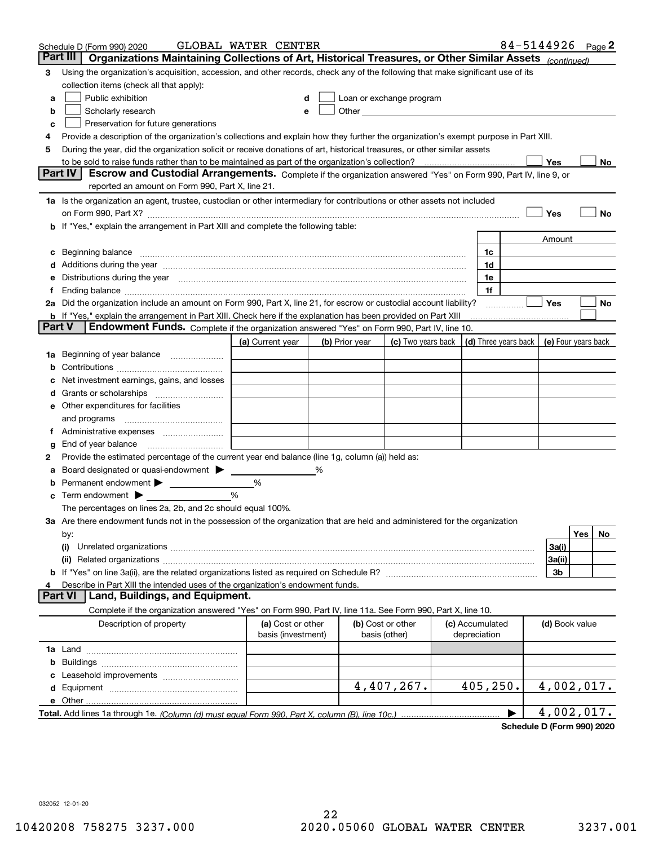| Part III<br>Organizations Maintaining Collections of Art, Historical Treasures, or Other Similar Assets (continued)<br>Using the organization's acquisition, accession, and other records, check any of the following that make significant use of its<br>3<br>collection items (check all that apply):<br>Public exhibition<br>Loan or exchange program<br>d<br>а<br>Scholarly research<br>Other and the contract of the contract of the contract of the contract of the contract of the contract of the contract of the contract of the contract of the contract of the contract of the contract of the contract of the<br>b<br>e<br>Preservation for future generations<br>с<br>Provide a description of the organization's collections and explain how they further the organization's exempt purpose in Part XIII.<br>4<br>During the year, did the organization solicit or receive donations of art, historical treasures, or other similar assets<br>5<br>to be sold to raise funds rather than to be maintained as part of the organization's collection?<br>Yes<br>No<br>Escrow and Custodial Arrangements. Complete if the organization answered "Yes" on Form 990, Part IV, line 9, or<br><b>Part IV</b><br>reported an amount on Form 990, Part X, line 21.<br>1a Is the organization an agent, trustee, custodian or other intermediary for contributions or other assets not included<br>Yes<br>No<br>on Form 990, Part X? [11] matter continuum matter contract to the contract of the contract of the contract of the contract of the contract of the contract of the contract of the contract of the contract of the contract of<br>b If "Yes," explain the arrangement in Part XIII and complete the following table:<br>Amount<br>Beginning balance <u>www.maren.communication.communication.communication.communication.com</u><br>1c<br>c<br>1d<br>e Distributions during the year manufactured and an according to the distributions during the year manufactured and the state of the state of the state of the state of the state of the state of the state of the state of th<br>1e<br>1f<br>Yes<br>2a Did the organization include an amount on Form 990, Part X, line 21, for escrow or custodial account liability?<br>No<br><b>b</b> If "Yes," explain the arrangement in Part XIII. Check here if the explanation has been provided on Part XIII<br>Part V<br>Endowment Funds. Complete if the organization answered "Yes" on Form 990, Part IV, line 10.<br>(d) Three years back<br>(c) Two years back  <br>(e) Four years back<br>(a) Current year<br>(b) Prior year<br>1a Beginning of year balance<br>b<br>Net investment earnings, gains, and losses<br>c<br>e Other expenditures for facilities<br>and programs<br>g<br>Provide the estimated percentage of the current year end balance (line 1g, column (a)) held as:<br>2<br>Board designated or quasi-endowment > _____<br>%<br>а<br>Permanent endowment > 1<br>%<br>b<br>%<br><b>c</b> Term endowment $\blacktriangleright$<br>The percentages on lines 2a, 2b, and 2c should equal 100%.<br>3a Are there endowment funds not in the possession of the organization that are held and administered for the organization<br>Yes<br>No<br>by:<br>(i)<br>3a(i)<br>3a(ii)<br>3b<br>Describe in Part XIII the intended uses of the organization's endowment funds.<br>4<br>Land, Buildings, and Equipment.<br><b>Part VI</b><br>Complete if the organization answered "Yes" on Form 990, Part IV, line 11a. See Form 990, Part X, line 10.<br>Description of property<br>(a) Cost or other<br>(b) Cost or other<br>(c) Accumulated<br>(d) Book value<br>basis (investment)<br>basis (other)<br>depreciation<br>с<br>4,407,267.<br>405,250.<br>4,002,017.<br>4,002,017. |  | Schedule D (Form 990) 2020 | GLOBAL WATER CENTER |  |  |  |  |  | 84-5144926 Page 2 |  |  |
|------------------------------------------------------------------------------------------------------------------------------------------------------------------------------------------------------------------------------------------------------------------------------------------------------------------------------------------------------------------------------------------------------------------------------------------------------------------------------------------------------------------------------------------------------------------------------------------------------------------------------------------------------------------------------------------------------------------------------------------------------------------------------------------------------------------------------------------------------------------------------------------------------------------------------------------------------------------------------------------------------------------------------------------------------------------------------------------------------------------------------------------------------------------------------------------------------------------------------------------------------------------------------------------------------------------------------------------------------------------------------------------------------------------------------------------------------------------------------------------------------------------------------------------------------------------------------------------------------------------------------------------------------------------------------------------------------------------------------------------------------------------------------------------------------------------------------------------------------------------------------------------------------------------------------------------------------------------------------------------------------------------------------------------------------------------------------------------------------------------------------------------------------------------------------------------------------------------------------------------------------------------------------------------------------------------------------------------------------------------------------------------------------------------------------------------------------------------------------------------------------------------------------------------------------------------------------------------------------------------------------------------------------------------------------------------------------------------------------------------------------------------------------------------------------------------------------------------------------------------------------------------------------------------------------------------------------------------------------------------------------------------------------------------------------------------------------------------------------------------------------------------------------------------------------------------------------------------------------------------------------------------------------------------------------------------------------------------------------------------------------------------------------------------------------------------------------------------------------------------------------------------------------------------------------------------------------------------------------------------------------------------------------------------------------------------------------------------------------------------------------------|--|----------------------------|---------------------|--|--|--|--|--|-------------------|--|--|
|                                                                                                                                                                                                                                                                                                                                                                                                                                                                                                                                                                                                                                                                                                                                                                                                                                                                                                                                                                                                                                                                                                                                                                                                                                                                                                                                                                                                                                                                                                                                                                                                                                                                                                                                                                                                                                                                                                                                                                                                                                                                                                                                                                                                                                                                                                                                                                                                                                                                                                                                                                                                                                                                                                                                                                                                                                                                                                                                                                                                                                                                                                                                                                                                                                                                                                                                                                                                                                                                                                                                                                                                                                                                                                                                                            |  |                            |                     |  |  |  |  |  |                   |  |  |
|                                                                                                                                                                                                                                                                                                                                                                                                                                                                                                                                                                                                                                                                                                                                                                                                                                                                                                                                                                                                                                                                                                                                                                                                                                                                                                                                                                                                                                                                                                                                                                                                                                                                                                                                                                                                                                                                                                                                                                                                                                                                                                                                                                                                                                                                                                                                                                                                                                                                                                                                                                                                                                                                                                                                                                                                                                                                                                                                                                                                                                                                                                                                                                                                                                                                                                                                                                                                                                                                                                                                                                                                                                                                                                                                                            |  |                            |                     |  |  |  |  |  |                   |  |  |
|                                                                                                                                                                                                                                                                                                                                                                                                                                                                                                                                                                                                                                                                                                                                                                                                                                                                                                                                                                                                                                                                                                                                                                                                                                                                                                                                                                                                                                                                                                                                                                                                                                                                                                                                                                                                                                                                                                                                                                                                                                                                                                                                                                                                                                                                                                                                                                                                                                                                                                                                                                                                                                                                                                                                                                                                                                                                                                                                                                                                                                                                                                                                                                                                                                                                                                                                                                                                                                                                                                                                                                                                                                                                                                                                                            |  |                            |                     |  |  |  |  |  |                   |  |  |
|                                                                                                                                                                                                                                                                                                                                                                                                                                                                                                                                                                                                                                                                                                                                                                                                                                                                                                                                                                                                                                                                                                                                                                                                                                                                                                                                                                                                                                                                                                                                                                                                                                                                                                                                                                                                                                                                                                                                                                                                                                                                                                                                                                                                                                                                                                                                                                                                                                                                                                                                                                                                                                                                                                                                                                                                                                                                                                                                                                                                                                                                                                                                                                                                                                                                                                                                                                                                                                                                                                                                                                                                                                                                                                                                                            |  |                            |                     |  |  |  |  |  |                   |  |  |
|                                                                                                                                                                                                                                                                                                                                                                                                                                                                                                                                                                                                                                                                                                                                                                                                                                                                                                                                                                                                                                                                                                                                                                                                                                                                                                                                                                                                                                                                                                                                                                                                                                                                                                                                                                                                                                                                                                                                                                                                                                                                                                                                                                                                                                                                                                                                                                                                                                                                                                                                                                                                                                                                                                                                                                                                                                                                                                                                                                                                                                                                                                                                                                                                                                                                                                                                                                                                                                                                                                                                                                                                                                                                                                                                                            |  |                            |                     |  |  |  |  |  |                   |  |  |
|                                                                                                                                                                                                                                                                                                                                                                                                                                                                                                                                                                                                                                                                                                                                                                                                                                                                                                                                                                                                                                                                                                                                                                                                                                                                                                                                                                                                                                                                                                                                                                                                                                                                                                                                                                                                                                                                                                                                                                                                                                                                                                                                                                                                                                                                                                                                                                                                                                                                                                                                                                                                                                                                                                                                                                                                                                                                                                                                                                                                                                                                                                                                                                                                                                                                                                                                                                                                                                                                                                                                                                                                                                                                                                                                                            |  |                            |                     |  |  |  |  |  |                   |  |  |
|                                                                                                                                                                                                                                                                                                                                                                                                                                                                                                                                                                                                                                                                                                                                                                                                                                                                                                                                                                                                                                                                                                                                                                                                                                                                                                                                                                                                                                                                                                                                                                                                                                                                                                                                                                                                                                                                                                                                                                                                                                                                                                                                                                                                                                                                                                                                                                                                                                                                                                                                                                                                                                                                                                                                                                                                                                                                                                                                                                                                                                                                                                                                                                                                                                                                                                                                                                                                                                                                                                                                                                                                                                                                                                                                                            |  |                            |                     |  |  |  |  |  |                   |  |  |
|                                                                                                                                                                                                                                                                                                                                                                                                                                                                                                                                                                                                                                                                                                                                                                                                                                                                                                                                                                                                                                                                                                                                                                                                                                                                                                                                                                                                                                                                                                                                                                                                                                                                                                                                                                                                                                                                                                                                                                                                                                                                                                                                                                                                                                                                                                                                                                                                                                                                                                                                                                                                                                                                                                                                                                                                                                                                                                                                                                                                                                                                                                                                                                                                                                                                                                                                                                                                                                                                                                                                                                                                                                                                                                                                                            |  |                            |                     |  |  |  |  |  |                   |  |  |
|                                                                                                                                                                                                                                                                                                                                                                                                                                                                                                                                                                                                                                                                                                                                                                                                                                                                                                                                                                                                                                                                                                                                                                                                                                                                                                                                                                                                                                                                                                                                                                                                                                                                                                                                                                                                                                                                                                                                                                                                                                                                                                                                                                                                                                                                                                                                                                                                                                                                                                                                                                                                                                                                                                                                                                                                                                                                                                                                                                                                                                                                                                                                                                                                                                                                                                                                                                                                                                                                                                                                                                                                                                                                                                                                                            |  |                            |                     |  |  |  |  |  |                   |  |  |
|                                                                                                                                                                                                                                                                                                                                                                                                                                                                                                                                                                                                                                                                                                                                                                                                                                                                                                                                                                                                                                                                                                                                                                                                                                                                                                                                                                                                                                                                                                                                                                                                                                                                                                                                                                                                                                                                                                                                                                                                                                                                                                                                                                                                                                                                                                                                                                                                                                                                                                                                                                                                                                                                                                                                                                                                                                                                                                                                                                                                                                                                                                                                                                                                                                                                                                                                                                                                                                                                                                                                                                                                                                                                                                                                                            |  |                            |                     |  |  |  |  |  |                   |  |  |
|                                                                                                                                                                                                                                                                                                                                                                                                                                                                                                                                                                                                                                                                                                                                                                                                                                                                                                                                                                                                                                                                                                                                                                                                                                                                                                                                                                                                                                                                                                                                                                                                                                                                                                                                                                                                                                                                                                                                                                                                                                                                                                                                                                                                                                                                                                                                                                                                                                                                                                                                                                                                                                                                                                                                                                                                                                                                                                                                                                                                                                                                                                                                                                                                                                                                                                                                                                                                                                                                                                                                                                                                                                                                                                                                                            |  |                            |                     |  |  |  |  |  |                   |  |  |
|                                                                                                                                                                                                                                                                                                                                                                                                                                                                                                                                                                                                                                                                                                                                                                                                                                                                                                                                                                                                                                                                                                                                                                                                                                                                                                                                                                                                                                                                                                                                                                                                                                                                                                                                                                                                                                                                                                                                                                                                                                                                                                                                                                                                                                                                                                                                                                                                                                                                                                                                                                                                                                                                                                                                                                                                                                                                                                                                                                                                                                                                                                                                                                                                                                                                                                                                                                                                                                                                                                                                                                                                                                                                                                                                                            |  |                            |                     |  |  |  |  |  |                   |  |  |
|                                                                                                                                                                                                                                                                                                                                                                                                                                                                                                                                                                                                                                                                                                                                                                                                                                                                                                                                                                                                                                                                                                                                                                                                                                                                                                                                                                                                                                                                                                                                                                                                                                                                                                                                                                                                                                                                                                                                                                                                                                                                                                                                                                                                                                                                                                                                                                                                                                                                                                                                                                                                                                                                                                                                                                                                                                                                                                                                                                                                                                                                                                                                                                                                                                                                                                                                                                                                                                                                                                                                                                                                                                                                                                                                                            |  |                            |                     |  |  |  |  |  |                   |  |  |
|                                                                                                                                                                                                                                                                                                                                                                                                                                                                                                                                                                                                                                                                                                                                                                                                                                                                                                                                                                                                                                                                                                                                                                                                                                                                                                                                                                                                                                                                                                                                                                                                                                                                                                                                                                                                                                                                                                                                                                                                                                                                                                                                                                                                                                                                                                                                                                                                                                                                                                                                                                                                                                                                                                                                                                                                                                                                                                                                                                                                                                                                                                                                                                                                                                                                                                                                                                                                                                                                                                                                                                                                                                                                                                                                                            |  |                            |                     |  |  |  |  |  |                   |  |  |
|                                                                                                                                                                                                                                                                                                                                                                                                                                                                                                                                                                                                                                                                                                                                                                                                                                                                                                                                                                                                                                                                                                                                                                                                                                                                                                                                                                                                                                                                                                                                                                                                                                                                                                                                                                                                                                                                                                                                                                                                                                                                                                                                                                                                                                                                                                                                                                                                                                                                                                                                                                                                                                                                                                                                                                                                                                                                                                                                                                                                                                                                                                                                                                                                                                                                                                                                                                                                                                                                                                                                                                                                                                                                                                                                                            |  |                            |                     |  |  |  |  |  |                   |  |  |
|                                                                                                                                                                                                                                                                                                                                                                                                                                                                                                                                                                                                                                                                                                                                                                                                                                                                                                                                                                                                                                                                                                                                                                                                                                                                                                                                                                                                                                                                                                                                                                                                                                                                                                                                                                                                                                                                                                                                                                                                                                                                                                                                                                                                                                                                                                                                                                                                                                                                                                                                                                                                                                                                                                                                                                                                                                                                                                                                                                                                                                                                                                                                                                                                                                                                                                                                                                                                                                                                                                                                                                                                                                                                                                                                                            |  |                            |                     |  |  |  |  |  |                   |  |  |
|                                                                                                                                                                                                                                                                                                                                                                                                                                                                                                                                                                                                                                                                                                                                                                                                                                                                                                                                                                                                                                                                                                                                                                                                                                                                                                                                                                                                                                                                                                                                                                                                                                                                                                                                                                                                                                                                                                                                                                                                                                                                                                                                                                                                                                                                                                                                                                                                                                                                                                                                                                                                                                                                                                                                                                                                                                                                                                                                                                                                                                                                                                                                                                                                                                                                                                                                                                                                                                                                                                                                                                                                                                                                                                                                                            |  |                            |                     |  |  |  |  |  |                   |  |  |
|                                                                                                                                                                                                                                                                                                                                                                                                                                                                                                                                                                                                                                                                                                                                                                                                                                                                                                                                                                                                                                                                                                                                                                                                                                                                                                                                                                                                                                                                                                                                                                                                                                                                                                                                                                                                                                                                                                                                                                                                                                                                                                                                                                                                                                                                                                                                                                                                                                                                                                                                                                                                                                                                                                                                                                                                                                                                                                                                                                                                                                                                                                                                                                                                                                                                                                                                                                                                                                                                                                                                                                                                                                                                                                                                                            |  |                            |                     |  |  |  |  |  |                   |  |  |
|                                                                                                                                                                                                                                                                                                                                                                                                                                                                                                                                                                                                                                                                                                                                                                                                                                                                                                                                                                                                                                                                                                                                                                                                                                                                                                                                                                                                                                                                                                                                                                                                                                                                                                                                                                                                                                                                                                                                                                                                                                                                                                                                                                                                                                                                                                                                                                                                                                                                                                                                                                                                                                                                                                                                                                                                                                                                                                                                                                                                                                                                                                                                                                                                                                                                                                                                                                                                                                                                                                                                                                                                                                                                                                                                                            |  |                            |                     |  |  |  |  |  |                   |  |  |
|                                                                                                                                                                                                                                                                                                                                                                                                                                                                                                                                                                                                                                                                                                                                                                                                                                                                                                                                                                                                                                                                                                                                                                                                                                                                                                                                                                                                                                                                                                                                                                                                                                                                                                                                                                                                                                                                                                                                                                                                                                                                                                                                                                                                                                                                                                                                                                                                                                                                                                                                                                                                                                                                                                                                                                                                                                                                                                                                                                                                                                                                                                                                                                                                                                                                                                                                                                                                                                                                                                                                                                                                                                                                                                                                                            |  |                            |                     |  |  |  |  |  |                   |  |  |
|                                                                                                                                                                                                                                                                                                                                                                                                                                                                                                                                                                                                                                                                                                                                                                                                                                                                                                                                                                                                                                                                                                                                                                                                                                                                                                                                                                                                                                                                                                                                                                                                                                                                                                                                                                                                                                                                                                                                                                                                                                                                                                                                                                                                                                                                                                                                                                                                                                                                                                                                                                                                                                                                                                                                                                                                                                                                                                                                                                                                                                                                                                                                                                                                                                                                                                                                                                                                                                                                                                                                                                                                                                                                                                                                                            |  |                            |                     |  |  |  |  |  |                   |  |  |
|                                                                                                                                                                                                                                                                                                                                                                                                                                                                                                                                                                                                                                                                                                                                                                                                                                                                                                                                                                                                                                                                                                                                                                                                                                                                                                                                                                                                                                                                                                                                                                                                                                                                                                                                                                                                                                                                                                                                                                                                                                                                                                                                                                                                                                                                                                                                                                                                                                                                                                                                                                                                                                                                                                                                                                                                                                                                                                                                                                                                                                                                                                                                                                                                                                                                                                                                                                                                                                                                                                                                                                                                                                                                                                                                                            |  |                            |                     |  |  |  |  |  |                   |  |  |
|                                                                                                                                                                                                                                                                                                                                                                                                                                                                                                                                                                                                                                                                                                                                                                                                                                                                                                                                                                                                                                                                                                                                                                                                                                                                                                                                                                                                                                                                                                                                                                                                                                                                                                                                                                                                                                                                                                                                                                                                                                                                                                                                                                                                                                                                                                                                                                                                                                                                                                                                                                                                                                                                                                                                                                                                                                                                                                                                                                                                                                                                                                                                                                                                                                                                                                                                                                                                                                                                                                                                                                                                                                                                                                                                                            |  |                            |                     |  |  |  |  |  |                   |  |  |
|                                                                                                                                                                                                                                                                                                                                                                                                                                                                                                                                                                                                                                                                                                                                                                                                                                                                                                                                                                                                                                                                                                                                                                                                                                                                                                                                                                                                                                                                                                                                                                                                                                                                                                                                                                                                                                                                                                                                                                                                                                                                                                                                                                                                                                                                                                                                                                                                                                                                                                                                                                                                                                                                                                                                                                                                                                                                                                                                                                                                                                                                                                                                                                                                                                                                                                                                                                                                                                                                                                                                                                                                                                                                                                                                                            |  |                            |                     |  |  |  |  |  |                   |  |  |
|                                                                                                                                                                                                                                                                                                                                                                                                                                                                                                                                                                                                                                                                                                                                                                                                                                                                                                                                                                                                                                                                                                                                                                                                                                                                                                                                                                                                                                                                                                                                                                                                                                                                                                                                                                                                                                                                                                                                                                                                                                                                                                                                                                                                                                                                                                                                                                                                                                                                                                                                                                                                                                                                                                                                                                                                                                                                                                                                                                                                                                                                                                                                                                                                                                                                                                                                                                                                                                                                                                                                                                                                                                                                                                                                                            |  |                            |                     |  |  |  |  |  |                   |  |  |
|                                                                                                                                                                                                                                                                                                                                                                                                                                                                                                                                                                                                                                                                                                                                                                                                                                                                                                                                                                                                                                                                                                                                                                                                                                                                                                                                                                                                                                                                                                                                                                                                                                                                                                                                                                                                                                                                                                                                                                                                                                                                                                                                                                                                                                                                                                                                                                                                                                                                                                                                                                                                                                                                                                                                                                                                                                                                                                                                                                                                                                                                                                                                                                                                                                                                                                                                                                                                                                                                                                                                                                                                                                                                                                                                                            |  |                            |                     |  |  |  |  |  |                   |  |  |
|                                                                                                                                                                                                                                                                                                                                                                                                                                                                                                                                                                                                                                                                                                                                                                                                                                                                                                                                                                                                                                                                                                                                                                                                                                                                                                                                                                                                                                                                                                                                                                                                                                                                                                                                                                                                                                                                                                                                                                                                                                                                                                                                                                                                                                                                                                                                                                                                                                                                                                                                                                                                                                                                                                                                                                                                                                                                                                                                                                                                                                                                                                                                                                                                                                                                                                                                                                                                                                                                                                                                                                                                                                                                                                                                                            |  |                            |                     |  |  |  |  |  |                   |  |  |
|                                                                                                                                                                                                                                                                                                                                                                                                                                                                                                                                                                                                                                                                                                                                                                                                                                                                                                                                                                                                                                                                                                                                                                                                                                                                                                                                                                                                                                                                                                                                                                                                                                                                                                                                                                                                                                                                                                                                                                                                                                                                                                                                                                                                                                                                                                                                                                                                                                                                                                                                                                                                                                                                                                                                                                                                                                                                                                                                                                                                                                                                                                                                                                                                                                                                                                                                                                                                                                                                                                                                                                                                                                                                                                                                                            |  |                            |                     |  |  |  |  |  |                   |  |  |
|                                                                                                                                                                                                                                                                                                                                                                                                                                                                                                                                                                                                                                                                                                                                                                                                                                                                                                                                                                                                                                                                                                                                                                                                                                                                                                                                                                                                                                                                                                                                                                                                                                                                                                                                                                                                                                                                                                                                                                                                                                                                                                                                                                                                                                                                                                                                                                                                                                                                                                                                                                                                                                                                                                                                                                                                                                                                                                                                                                                                                                                                                                                                                                                                                                                                                                                                                                                                                                                                                                                                                                                                                                                                                                                                                            |  |                            |                     |  |  |  |  |  |                   |  |  |
|                                                                                                                                                                                                                                                                                                                                                                                                                                                                                                                                                                                                                                                                                                                                                                                                                                                                                                                                                                                                                                                                                                                                                                                                                                                                                                                                                                                                                                                                                                                                                                                                                                                                                                                                                                                                                                                                                                                                                                                                                                                                                                                                                                                                                                                                                                                                                                                                                                                                                                                                                                                                                                                                                                                                                                                                                                                                                                                                                                                                                                                                                                                                                                                                                                                                                                                                                                                                                                                                                                                                                                                                                                                                                                                                                            |  |                            |                     |  |  |  |  |  |                   |  |  |
|                                                                                                                                                                                                                                                                                                                                                                                                                                                                                                                                                                                                                                                                                                                                                                                                                                                                                                                                                                                                                                                                                                                                                                                                                                                                                                                                                                                                                                                                                                                                                                                                                                                                                                                                                                                                                                                                                                                                                                                                                                                                                                                                                                                                                                                                                                                                                                                                                                                                                                                                                                                                                                                                                                                                                                                                                                                                                                                                                                                                                                                                                                                                                                                                                                                                                                                                                                                                                                                                                                                                                                                                                                                                                                                                                            |  |                            |                     |  |  |  |  |  |                   |  |  |
|                                                                                                                                                                                                                                                                                                                                                                                                                                                                                                                                                                                                                                                                                                                                                                                                                                                                                                                                                                                                                                                                                                                                                                                                                                                                                                                                                                                                                                                                                                                                                                                                                                                                                                                                                                                                                                                                                                                                                                                                                                                                                                                                                                                                                                                                                                                                                                                                                                                                                                                                                                                                                                                                                                                                                                                                                                                                                                                                                                                                                                                                                                                                                                                                                                                                                                                                                                                                                                                                                                                                                                                                                                                                                                                                                            |  |                            |                     |  |  |  |  |  |                   |  |  |
|                                                                                                                                                                                                                                                                                                                                                                                                                                                                                                                                                                                                                                                                                                                                                                                                                                                                                                                                                                                                                                                                                                                                                                                                                                                                                                                                                                                                                                                                                                                                                                                                                                                                                                                                                                                                                                                                                                                                                                                                                                                                                                                                                                                                                                                                                                                                                                                                                                                                                                                                                                                                                                                                                                                                                                                                                                                                                                                                                                                                                                                                                                                                                                                                                                                                                                                                                                                                                                                                                                                                                                                                                                                                                                                                                            |  |                            |                     |  |  |  |  |  |                   |  |  |
|                                                                                                                                                                                                                                                                                                                                                                                                                                                                                                                                                                                                                                                                                                                                                                                                                                                                                                                                                                                                                                                                                                                                                                                                                                                                                                                                                                                                                                                                                                                                                                                                                                                                                                                                                                                                                                                                                                                                                                                                                                                                                                                                                                                                                                                                                                                                                                                                                                                                                                                                                                                                                                                                                                                                                                                                                                                                                                                                                                                                                                                                                                                                                                                                                                                                                                                                                                                                                                                                                                                                                                                                                                                                                                                                                            |  |                            |                     |  |  |  |  |  |                   |  |  |
|                                                                                                                                                                                                                                                                                                                                                                                                                                                                                                                                                                                                                                                                                                                                                                                                                                                                                                                                                                                                                                                                                                                                                                                                                                                                                                                                                                                                                                                                                                                                                                                                                                                                                                                                                                                                                                                                                                                                                                                                                                                                                                                                                                                                                                                                                                                                                                                                                                                                                                                                                                                                                                                                                                                                                                                                                                                                                                                                                                                                                                                                                                                                                                                                                                                                                                                                                                                                                                                                                                                                                                                                                                                                                                                                                            |  |                            |                     |  |  |  |  |  |                   |  |  |
|                                                                                                                                                                                                                                                                                                                                                                                                                                                                                                                                                                                                                                                                                                                                                                                                                                                                                                                                                                                                                                                                                                                                                                                                                                                                                                                                                                                                                                                                                                                                                                                                                                                                                                                                                                                                                                                                                                                                                                                                                                                                                                                                                                                                                                                                                                                                                                                                                                                                                                                                                                                                                                                                                                                                                                                                                                                                                                                                                                                                                                                                                                                                                                                                                                                                                                                                                                                                                                                                                                                                                                                                                                                                                                                                                            |  |                            |                     |  |  |  |  |  |                   |  |  |
|                                                                                                                                                                                                                                                                                                                                                                                                                                                                                                                                                                                                                                                                                                                                                                                                                                                                                                                                                                                                                                                                                                                                                                                                                                                                                                                                                                                                                                                                                                                                                                                                                                                                                                                                                                                                                                                                                                                                                                                                                                                                                                                                                                                                                                                                                                                                                                                                                                                                                                                                                                                                                                                                                                                                                                                                                                                                                                                                                                                                                                                                                                                                                                                                                                                                                                                                                                                                                                                                                                                                                                                                                                                                                                                                                            |  |                            |                     |  |  |  |  |  |                   |  |  |
|                                                                                                                                                                                                                                                                                                                                                                                                                                                                                                                                                                                                                                                                                                                                                                                                                                                                                                                                                                                                                                                                                                                                                                                                                                                                                                                                                                                                                                                                                                                                                                                                                                                                                                                                                                                                                                                                                                                                                                                                                                                                                                                                                                                                                                                                                                                                                                                                                                                                                                                                                                                                                                                                                                                                                                                                                                                                                                                                                                                                                                                                                                                                                                                                                                                                                                                                                                                                                                                                                                                                                                                                                                                                                                                                                            |  |                            |                     |  |  |  |  |  |                   |  |  |
|                                                                                                                                                                                                                                                                                                                                                                                                                                                                                                                                                                                                                                                                                                                                                                                                                                                                                                                                                                                                                                                                                                                                                                                                                                                                                                                                                                                                                                                                                                                                                                                                                                                                                                                                                                                                                                                                                                                                                                                                                                                                                                                                                                                                                                                                                                                                                                                                                                                                                                                                                                                                                                                                                                                                                                                                                                                                                                                                                                                                                                                                                                                                                                                                                                                                                                                                                                                                                                                                                                                                                                                                                                                                                                                                                            |  |                            |                     |  |  |  |  |  |                   |  |  |
|                                                                                                                                                                                                                                                                                                                                                                                                                                                                                                                                                                                                                                                                                                                                                                                                                                                                                                                                                                                                                                                                                                                                                                                                                                                                                                                                                                                                                                                                                                                                                                                                                                                                                                                                                                                                                                                                                                                                                                                                                                                                                                                                                                                                                                                                                                                                                                                                                                                                                                                                                                                                                                                                                                                                                                                                                                                                                                                                                                                                                                                                                                                                                                                                                                                                                                                                                                                                                                                                                                                                                                                                                                                                                                                                                            |  |                            |                     |  |  |  |  |  |                   |  |  |
|                                                                                                                                                                                                                                                                                                                                                                                                                                                                                                                                                                                                                                                                                                                                                                                                                                                                                                                                                                                                                                                                                                                                                                                                                                                                                                                                                                                                                                                                                                                                                                                                                                                                                                                                                                                                                                                                                                                                                                                                                                                                                                                                                                                                                                                                                                                                                                                                                                                                                                                                                                                                                                                                                                                                                                                                                                                                                                                                                                                                                                                                                                                                                                                                                                                                                                                                                                                                                                                                                                                                                                                                                                                                                                                                                            |  |                            |                     |  |  |  |  |  |                   |  |  |
|                                                                                                                                                                                                                                                                                                                                                                                                                                                                                                                                                                                                                                                                                                                                                                                                                                                                                                                                                                                                                                                                                                                                                                                                                                                                                                                                                                                                                                                                                                                                                                                                                                                                                                                                                                                                                                                                                                                                                                                                                                                                                                                                                                                                                                                                                                                                                                                                                                                                                                                                                                                                                                                                                                                                                                                                                                                                                                                                                                                                                                                                                                                                                                                                                                                                                                                                                                                                                                                                                                                                                                                                                                                                                                                                                            |  |                            |                     |  |  |  |  |  |                   |  |  |
|                                                                                                                                                                                                                                                                                                                                                                                                                                                                                                                                                                                                                                                                                                                                                                                                                                                                                                                                                                                                                                                                                                                                                                                                                                                                                                                                                                                                                                                                                                                                                                                                                                                                                                                                                                                                                                                                                                                                                                                                                                                                                                                                                                                                                                                                                                                                                                                                                                                                                                                                                                                                                                                                                                                                                                                                                                                                                                                                                                                                                                                                                                                                                                                                                                                                                                                                                                                                                                                                                                                                                                                                                                                                                                                                                            |  |                            |                     |  |  |  |  |  |                   |  |  |
|                                                                                                                                                                                                                                                                                                                                                                                                                                                                                                                                                                                                                                                                                                                                                                                                                                                                                                                                                                                                                                                                                                                                                                                                                                                                                                                                                                                                                                                                                                                                                                                                                                                                                                                                                                                                                                                                                                                                                                                                                                                                                                                                                                                                                                                                                                                                                                                                                                                                                                                                                                                                                                                                                                                                                                                                                                                                                                                                                                                                                                                                                                                                                                                                                                                                                                                                                                                                                                                                                                                                                                                                                                                                                                                                                            |  |                            |                     |  |  |  |  |  |                   |  |  |
|                                                                                                                                                                                                                                                                                                                                                                                                                                                                                                                                                                                                                                                                                                                                                                                                                                                                                                                                                                                                                                                                                                                                                                                                                                                                                                                                                                                                                                                                                                                                                                                                                                                                                                                                                                                                                                                                                                                                                                                                                                                                                                                                                                                                                                                                                                                                                                                                                                                                                                                                                                                                                                                                                                                                                                                                                                                                                                                                                                                                                                                                                                                                                                                                                                                                                                                                                                                                                                                                                                                                                                                                                                                                                                                                                            |  |                            |                     |  |  |  |  |  |                   |  |  |
|                                                                                                                                                                                                                                                                                                                                                                                                                                                                                                                                                                                                                                                                                                                                                                                                                                                                                                                                                                                                                                                                                                                                                                                                                                                                                                                                                                                                                                                                                                                                                                                                                                                                                                                                                                                                                                                                                                                                                                                                                                                                                                                                                                                                                                                                                                                                                                                                                                                                                                                                                                                                                                                                                                                                                                                                                                                                                                                                                                                                                                                                                                                                                                                                                                                                                                                                                                                                                                                                                                                                                                                                                                                                                                                                                            |  |                            |                     |  |  |  |  |  |                   |  |  |
|                                                                                                                                                                                                                                                                                                                                                                                                                                                                                                                                                                                                                                                                                                                                                                                                                                                                                                                                                                                                                                                                                                                                                                                                                                                                                                                                                                                                                                                                                                                                                                                                                                                                                                                                                                                                                                                                                                                                                                                                                                                                                                                                                                                                                                                                                                                                                                                                                                                                                                                                                                                                                                                                                                                                                                                                                                                                                                                                                                                                                                                                                                                                                                                                                                                                                                                                                                                                                                                                                                                                                                                                                                                                                                                                                            |  |                            |                     |  |  |  |  |  |                   |  |  |
|                                                                                                                                                                                                                                                                                                                                                                                                                                                                                                                                                                                                                                                                                                                                                                                                                                                                                                                                                                                                                                                                                                                                                                                                                                                                                                                                                                                                                                                                                                                                                                                                                                                                                                                                                                                                                                                                                                                                                                                                                                                                                                                                                                                                                                                                                                                                                                                                                                                                                                                                                                                                                                                                                                                                                                                                                                                                                                                                                                                                                                                                                                                                                                                                                                                                                                                                                                                                                                                                                                                                                                                                                                                                                                                                                            |  |                            |                     |  |  |  |  |  |                   |  |  |
|                                                                                                                                                                                                                                                                                                                                                                                                                                                                                                                                                                                                                                                                                                                                                                                                                                                                                                                                                                                                                                                                                                                                                                                                                                                                                                                                                                                                                                                                                                                                                                                                                                                                                                                                                                                                                                                                                                                                                                                                                                                                                                                                                                                                                                                                                                                                                                                                                                                                                                                                                                                                                                                                                                                                                                                                                                                                                                                                                                                                                                                                                                                                                                                                                                                                                                                                                                                                                                                                                                                                                                                                                                                                                                                                                            |  |                            |                     |  |  |  |  |  |                   |  |  |
|                                                                                                                                                                                                                                                                                                                                                                                                                                                                                                                                                                                                                                                                                                                                                                                                                                                                                                                                                                                                                                                                                                                                                                                                                                                                                                                                                                                                                                                                                                                                                                                                                                                                                                                                                                                                                                                                                                                                                                                                                                                                                                                                                                                                                                                                                                                                                                                                                                                                                                                                                                                                                                                                                                                                                                                                                                                                                                                                                                                                                                                                                                                                                                                                                                                                                                                                                                                                                                                                                                                                                                                                                                                                                                                                                            |  |                            |                     |  |  |  |  |  |                   |  |  |

**Schedule D (Form 990) 2020**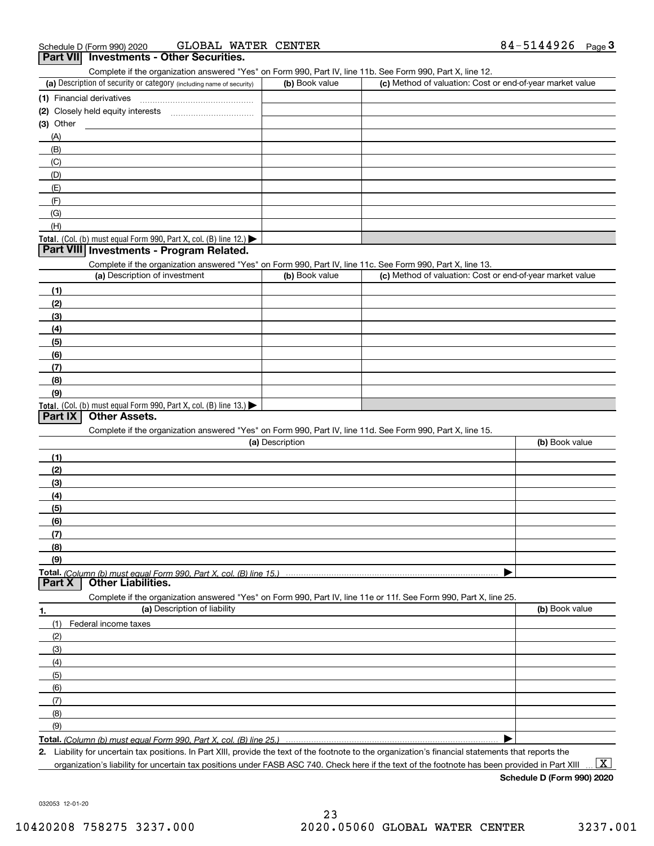|           | GLOBAL WATER CENTER<br>Schedule D (Form 990) 2020                                                                 |                 |                                                           | 84-5144926 $_{Page}$ 3 |
|-----------|-------------------------------------------------------------------------------------------------------------------|-----------------|-----------------------------------------------------------|------------------------|
|           | Part VII Investments - Other Securities.                                                                          |                 |                                                           |                        |
|           | Complete if the organization answered "Yes" on Form 990, Part IV, line 11b. See Form 990, Part X, line 12.        |                 |                                                           |                        |
|           | (a) Description of security or category (including name of security)                                              | (b) Book value  | (c) Method of valuation: Cost or end-of-year market value |                        |
|           | (1) Financial derivatives                                                                                         |                 |                                                           |                        |
|           |                                                                                                                   |                 |                                                           |                        |
| (3) Other |                                                                                                                   |                 |                                                           |                        |
| (A)       |                                                                                                                   |                 |                                                           |                        |
| (B)       |                                                                                                                   |                 |                                                           |                        |
| (C)       |                                                                                                                   |                 |                                                           |                        |
| (D)       |                                                                                                                   |                 |                                                           |                        |
| (E)       |                                                                                                                   |                 |                                                           |                        |
| (F)       |                                                                                                                   |                 |                                                           |                        |
| (G)       |                                                                                                                   |                 |                                                           |                        |
| (H)       |                                                                                                                   |                 |                                                           |                        |
|           | Total. (Col. (b) must equal Form 990, Part X, col. (B) line 12.)                                                  |                 |                                                           |                        |
|           | Part VIII Investments - Program Related.                                                                          |                 |                                                           |                        |
|           | Complete if the organization answered "Yes" on Form 990, Part IV, line 11c. See Form 990, Part X, line 13.        |                 |                                                           |                        |
|           | (a) Description of investment                                                                                     | (b) Book value  | (c) Method of valuation: Cost or end-of-year market value |                        |
| (1)       |                                                                                                                   |                 |                                                           |                        |
| (2)       |                                                                                                                   |                 |                                                           |                        |
| (3)       |                                                                                                                   |                 |                                                           |                        |
| (4)       |                                                                                                                   |                 |                                                           |                        |
| (5)       |                                                                                                                   |                 |                                                           |                        |
| (6)       |                                                                                                                   |                 |                                                           |                        |
| (7)       |                                                                                                                   |                 |                                                           |                        |
| (8)       |                                                                                                                   |                 |                                                           |                        |
| (9)       |                                                                                                                   |                 |                                                           |                        |
|           | Total. (Col. (b) must equal Form 990, Part X, col. (B) line 13.)                                                  |                 |                                                           |                        |
| Part IX   | <b>Other Assets.</b>                                                                                              |                 |                                                           |                        |
|           | Complete if the organization answered "Yes" on Form 990, Part IV, line 11d. See Form 990, Part X, line 15.        |                 |                                                           |                        |
|           |                                                                                                                   | (a) Description |                                                           | (b) Book value         |
| (1)       |                                                                                                                   |                 |                                                           |                        |
| (2)       |                                                                                                                   |                 |                                                           |                        |
| (3)       |                                                                                                                   |                 |                                                           |                        |
| (4)       |                                                                                                                   |                 |                                                           |                        |
| (5)       |                                                                                                                   |                 |                                                           |                        |
| (6)       |                                                                                                                   |                 |                                                           |                        |
| (7)       |                                                                                                                   |                 |                                                           |                        |
| (8)       |                                                                                                                   |                 |                                                           |                        |
| (9)       |                                                                                                                   |                 |                                                           |                        |
|           | Total. (Column (b) must equal Form 990. Part X. col. (B) line 15.)                                                |                 |                                                           |                        |
| Part X    | <b>Other Liabilities.</b>                                                                                         |                 |                                                           |                        |
|           | Complete if the organization answered "Yes" on Form 990, Part IV, line 11e or 11f. See Form 990, Part X, line 25. |                 |                                                           |                        |
| 1.        | (a) Description of liability                                                                                      |                 |                                                           | (b) Book value         |
| (1)       | Federal income taxes                                                                                              |                 |                                                           |                        |
|           |                                                                                                                   |                 |                                                           |                        |
| (2)       |                                                                                                                   |                 |                                                           |                        |
| (3)       |                                                                                                                   |                 |                                                           |                        |
| (4)       |                                                                                                                   |                 |                                                           |                        |
| (5)       |                                                                                                                   |                 |                                                           |                        |
| (6)       |                                                                                                                   |                 |                                                           |                        |
| (7)       |                                                                                                                   |                 |                                                           |                        |
| (8)       |                                                                                                                   |                 |                                                           |                        |
| (9)       |                                                                                                                   |                 |                                                           |                        |
|           | Total. (Column (b) must equal Form 990, Part X, col. (B) line 25.)                                                |                 |                                                           |                        |

**2.** Liability for uncertain tax positions. In Part XIII, provide the text of the footnote to the organization's financial statements that reports the organization's liability for uncertain tax positions under FASB ASC 740. Check here if the text of the footnote has been provided in Part XIII

**Schedule D (Form 990) 2020**

032053 12-01-20

 $\boxed{\text{X}}$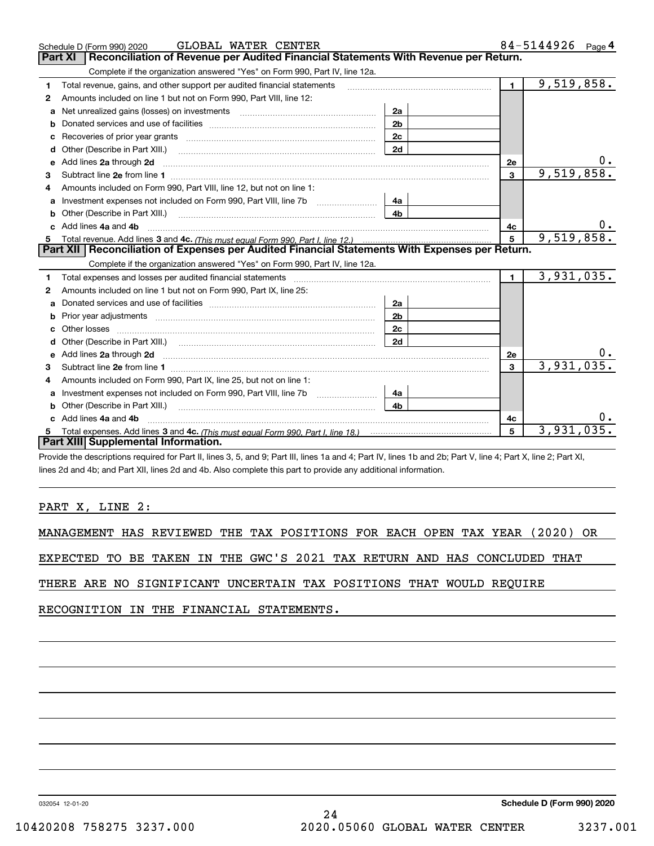|    | GLOBAL WATER CENTER<br>Schedule D (Form 990) 2020                                                                                                                                                                                   |                |              | 84-5144926 Page 4 |
|----|-------------------------------------------------------------------------------------------------------------------------------------------------------------------------------------------------------------------------------------|----------------|--------------|-------------------|
|    | Reconciliation of Revenue per Audited Financial Statements With Revenue per Return.<br>Part XI                                                                                                                                      |                |              |                   |
|    | Complete if the organization answered "Yes" on Form 990, Part IV, line 12a.                                                                                                                                                         |                |              |                   |
| 1  | Total revenue, gains, and other support per audited financial statements                                                                                                                                                            |                | $\mathbf{1}$ | 9,519,858.        |
| 2  | Amounts included on line 1 but not on Form 990, Part VIII, line 12:                                                                                                                                                                 |                |              |                   |
|    | Net unrealized gains (losses) on investments [11] matter contracts and the unrealized gains (losses) on investments                                                                                                                 | 2a             |              |                   |
| b  |                                                                                                                                                                                                                                     | 2 <sub>b</sub> |              |                   |
| c  | Recoveries of prior year grants material content and prior year grants and content and all prior year grants and all prior and the Recoveries of prior year grants and all prior years and the Recoveries of Recovering and Re      | 2c             |              |                   |
| d  | Other (Describe in Part XIII.)                                                                                                                                                                                                      | 2d             |              |                   |
| е  | Add lines 2a through 2d <b>[10]</b> University of the state of the state of the state of the state of the state of the state of the state of the state of the state of the state of the state of the state of the state of the stat |                | <b>2e</b>    |                   |
| 3  |                                                                                                                                                                                                                                     |                | 3            | 9,519,858.        |
|    | Amounts included on Form 990, Part VIII, line 12, but not on line 1:                                                                                                                                                                |                |              |                   |
| a  | Investment expenses not included on Form 990, Part VIII, line 7b                                                                                                                                                                    | 4a             |              |                   |
| b  |                                                                                                                                                                                                                                     | 4b             |              |                   |
|    | Add lines 4a and 4b                                                                                                                                                                                                                 |                | 4c           |                   |
| 5  |                                                                                                                                                                                                                                     |                | 5            | 9,519,858.        |
|    | Part XII   Reconciliation of Expenses per Audited Financial Statements With Expenses per Return.                                                                                                                                    |                |              |                   |
|    | Complete if the organization answered "Yes" on Form 990, Part IV, line 12a.                                                                                                                                                         |                |              |                   |
| 1. |                                                                                                                                                                                                                                     |                | $\mathbf{1}$ | 3,931,035.        |
| 2  | Amounts included on line 1 but not on Form 990, Part IX, line 25:                                                                                                                                                                   |                |              |                   |
| a  |                                                                                                                                                                                                                                     | 2a             |              |                   |
| b  |                                                                                                                                                                                                                                     | 2 <sub>b</sub> |              |                   |
| c  |                                                                                                                                                                                                                                     | 2 <sub>c</sub> |              |                   |
|    | Other (Describe in Part XIII.) (2000) (2000) (2000) (2010) (2010) (2010) (2010) (2010) (2010) (2010) (2010) (20                                                                                                                     | 2d             |              |                   |
| е  | Add lines 2a through 2d <b>contained a contained a contained a contained a</b> contained a contained a contained a contained a contained a contained a contained a contained a contained a contained a contained a contained a cont |                | 2e           |                   |
| 3  |                                                                                                                                                                                                                                     |                | $\mathbf{3}$ | 3,931,035.        |
| 4  | Amounts included on Form 990, Part IX, line 25, but not on line 1:                                                                                                                                                                  |                |              |                   |
| a  |                                                                                                                                                                                                                                     | 4a             |              |                   |
| b  |                                                                                                                                                                                                                                     | 4b             |              |                   |
|    | Add lines 4a and 4b                                                                                                                                                                                                                 |                | 4c           |                   |
|    |                                                                                                                                                                                                                                     |                | 5            | 3,931,035.        |
|    | Part XIII Supplemental Information.                                                                                                                                                                                                 |                |              |                   |

Provide the descriptions required for Part II, lines 3, 5, and 9; Part III, lines 1a and 4; Part IV, lines 1b and 2b; Part V, line 4; Part X, line 2; Part XI, lines 2d and 4b; and Part XII, lines 2d and 4b. Also complete this part to provide any additional information.

# PART X, LINE 2:

MANAGEMENT HAS REVIEWED THE TAX POSITIONS FOR EACH OPEN TAX YEAR (2020) OR

EXPECTED TO BE TAKEN IN THE GWC'S 2021 TAX RETURN AND HAS CONCLUDED THAT

THERE ARE NO SIGNIFICANT UNCERTAIN TAX POSITIONS THAT WOULD REQUIRE

RECOGNITION IN THE FINANCIAL STATEMENTS.

032054 12-01-20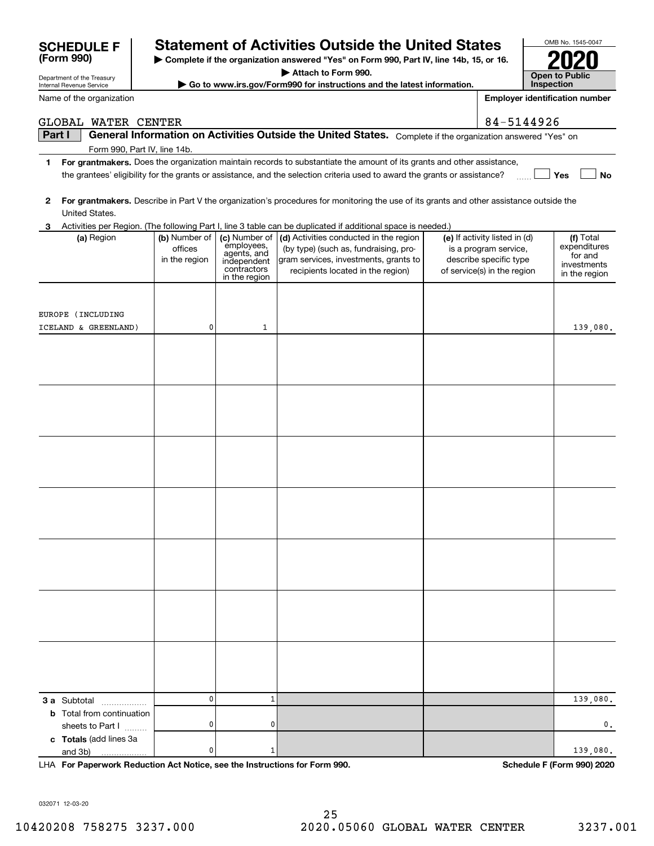| GLOBAL WATER CENTER                                                                                                   |                                                                                                                                         |                                             |                                                                                                                                                        |  | 84-5144926                    |                              |  |  |  |
|-----------------------------------------------------------------------------------------------------------------------|-----------------------------------------------------------------------------------------------------------------------------------------|---------------------------------------------|--------------------------------------------------------------------------------------------------------------------------------------------------------|--|-------------------------------|------------------------------|--|--|--|
| Part I<br>General Information on Activities Outside the United States. Complete if the organization answered "Yes" on |                                                                                                                                         |                                             |                                                                                                                                                        |  |                               |                              |  |  |  |
| Form 990, Part IV, line 14b.                                                                                          |                                                                                                                                         |                                             |                                                                                                                                                        |  |                               |                              |  |  |  |
| 1                                                                                                                     | For grantmakers. Does the organization maintain records to substantiate the amount of its grants and other assistance,                  |                                             |                                                                                                                                                        |  |                               |                              |  |  |  |
|                                                                                                                       | the grantees' eligibility for the grants or assistance, and the selection criteria used to award the grants or assistance?<br>Yes<br>No |                                             |                                                                                                                                                        |  |                               |                              |  |  |  |
|                                                                                                                       |                                                                                                                                         |                                             |                                                                                                                                                        |  |                               |                              |  |  |  |
| 2                                                                                                                     |                                                                                                                                         |                                             | For grantmakers. Describe in Part V the organization's procedures for monitoring the use of its grants and other assistance outside the                |  |                               |                              |  |  |  |
| United States.                                                                                                        |                                                                                                                                         |                                             |                                                                                                                                                        |  |                               |                              |  |  |  |
| 3<br>(a) Region                                                                                                       | (b) Number of                                                                                                                           | (c) Number of                               | Activities per Region. (The following Part I, line 3 table can be duplicated if additional space is needed.)<br>(d) Activities conducted in the region |  | (e) If activity listed in (d) | (f) Total                    |  |  |  |
|                                                                                                                       | offices                                                                                                                                 | employees,                                  | (by type) (such as, fundraising, pro-                                                                                                                  |  | is a program service,         | expenditures                 |  |  |  |
|                                                                                                                       | in the region                                                                                                                           | agents, and                                 | gram services, investments, grants to                                                                                                                  |  | describe specific type        | for and                      |  |  |  |
|                                                                                                                       |                                                                                                                                         | independent<br>contractors<br>in the region | recipients located in the region)                                                                                                                      |  | of service(s) in the region   | investments<br>in the region |  |  |  |
|                                                                                                                       |                                                                                                                                         |                                             |                                                                                                                                                        |  |                               |                              |  |  |  |
|                                                                                                                       |                                                                                                                                         |                                             |                                                                                                                                                        |  |                               |                              |  |  |  |
| EUROPE (INCLUDING                                                                                                     |                                                                                                                                         |                                             |                                                                                                                                                        |  |                               |                              |  |  |  |
| ICELAND & GREENLAND)                                                                                                  | 0                                                                                                                                       | 1                                           |                                                                                                                                                        |  |                               | 139,080.                     |  |  |  |
|                                                                                                                       |                                                                                                                                         |                                             |                                                                                                                                                        |  |                               |                              |  |  |  |
|                                                                                                                       |                                                                                                                                         |                                             |                                                                                                                                                        |  |                               |                              |  |  |  |
|                                                                                                                       |                                                                                                                                         |                                             |                                                                                                                                                        |  |                               |                              |  |  |  |
|                                                                                                                       |                                                                                                                                         |                                             |                                                                                                                                                        |  |                               |                              |  |  |  |
|                                                                                                                       |                                                                                                                                         |                                             |                                                                                                                                                        |  |                               |                              |  |  |  |
|                                                                                                                       |                                                                                                                                         |                                             |                                                                                                                                                        |  |                               |                              |  |  |  |
|                                                                                                                       |                                                                                                                                         |                                             |                                                                                                                                                        |  |                               |                              |  |  |  |
|                                                                                                                       |                                                                                                                                         |                                             |                                                                                                                                                        |  |                               |                              |  |  |  |
|                                                                                                                       |                                                                                                                                         |                                             |                                                                                                                                                        |  |                               |                              |  |  |  |
|                                                                                                                       |                                                                                                                                         |                                             |                                                                                                                                                        |  |                               |                              |  |  |  |
|                                                                                                                       |                                                                                                                                         |                                             |                                                                                                                                                        |  |                               |                              |  |  |  |
|                                                                                                                       |                                                                                                                                         |                                             |                                                                                                                                                        |  |                               |                              |  |  |  |
|                                                                                                                       |                                                                                                                                         |                                             |                                                                                                                                                        |  |                               |                              |  |  |  |
|                                                                                                                       |                                                                                                                                         |                                             |                                                                                                                                                        |  |                               |                              |  |  |  |
|                                                                                                                       |                                                                                                                                         |                                             |                                                                                                                                                        |  |                               |                              |  |  |  |
|                                                                                                                       |                                                                                                                                         |                                             |                                                                                                                                                        |  |                               |                              |  |  |  |
|                                                                                                                       |                                                                                                                                         |                                             |                                                                                                                                                        |  |                               |                              |  |  |  |
|                                                                                                                       |                                                                                                                                         |                                             |                                                                                                                                                        |  |                               |                              |  |  |  |
|                                                                                                                       |                                                                                                                                         |                                             |                                                                                                                                                        |  |                               |                              |  |  |  |
|                                                                                                                       |                                                                                                                                         |                                             |                                                                                                                                                        |  |                               |                              |  |  |  |
|                                                                                                                       |                                                                                                                                         |                                             |                                                                                                                                                        |  |                               |                              |  |  |  |
|                                                                                                                       |                                                                                                                                         |                                             |                                                                                                                                                        |  |                               |                              |  |  |  |
|                                                                                                                       |                                                                                                                                         |                                             |                                                                                                                                                        |  |                               |                              |  |  |  |
|                                                                                                                       |                                                                                                                                         |                                             |                                                                                                                                                        |  |                               |                              |  |  |  |
|                                                                                                                       |                                                                                                                                         |                                             |                                                                                                                                                        |  |                               |                              |  |  |  |
|                                                                                                                       |                                                                                                                                         |                                             |                                                                                                                                                        |  |                               |                              |  |  |  |
| <b>3 a</b> Subtotal                                                                                                   | 0                                                                                                                                       | 1                                           |                                                                                                                                                        |  |                               | 139,080.                     |  |  |  |
| <b>b</b> Total from continuation                                                                                      |                                                                                                                                         |                                             |                                                                                                                                                        |  |                               |                              |  |  |  |
| sheets to Part I                                                                                                      | 0                                                                                                                                       | 0                                           |                                                                                                                                                        |  |                               | 0.                           |  |  |  |
| c Totals (add lines 3a<br>and 3b)                                                                                     | 0                                                                                                                                       | 1                                           |                                                                                                                                                        |  |                               | 139,080.                     |  |  |  |
|                                                                                                                       |                                                                                                                                         |                                             |                                                                                                                                                        |  |                               |                              |  |  |  |

**For Paperwork Reduction Act Notice, see the Instructions for Form 990. Schedule F (Form 990) 2020** LHA

# **Statement of Activities Outside the United States**

**| Complete if the organization answered "Yes" on Form 990, Part IV, line 14b, 15, or 16.**

**| Attach to Form 990.**

**| Go to www.irs.gov/Form990 for instructions and the latest information.**

032071 12-03-20

**(Form 990)**

Name of the organization

Department of the Treasury Internal Revenue Service

| OMB No. 1545-0047                   |
|-------------------------------------|
| 2020                                |
| <b>Open to Public</b><br>Inspection |

**Employer identification number**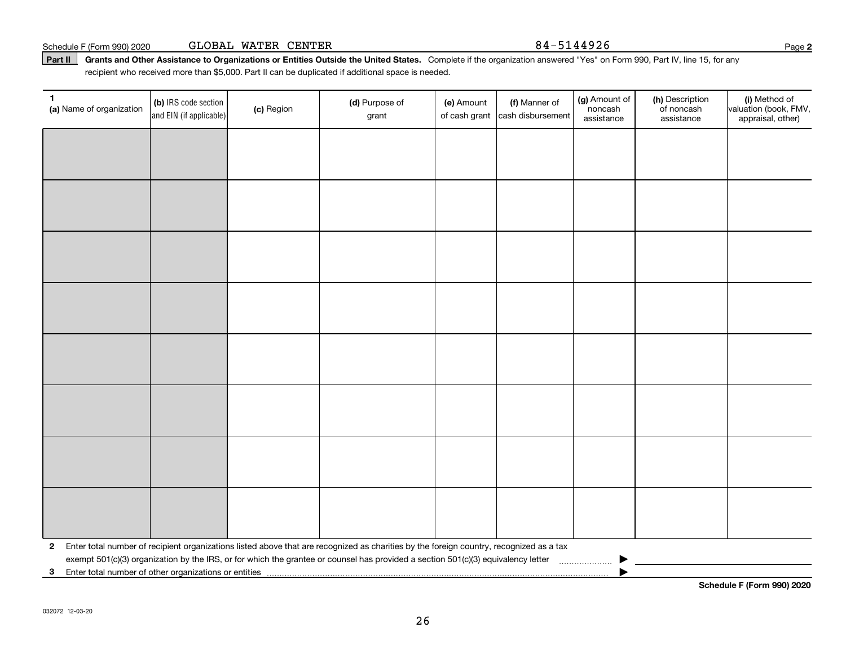|  | Schedule F (Form 990) 2020 | GLOBAL WATER CENTER |  |  |
|--|----------------------------|---------------------|--|--|
|--|----------------------------|---------------------|--|--|

Part II | Grants and Other Assistance to Organizations or Entities Outside the United States. Complete if the organization answered "Yes" on Form 990, Part IV, line 15, for any recipient who received more than \$5,000. Part II can be duplicated if additional space is needed.

| 1.<br>(a) Name of organization | (b) IRS code section<br>and EIN (if applicable)                                                                                                                                              | (c) Region | (d) Purpose of<br>grant                                                                                                                   | (e) Amount<br>of cash grant | (f) Manner of<br>cash disbursement | (g) Amount of<br>noncash<br>assistance | (h) Description<br>of noncash<br>assistance | (i) Method of<br>valuation (book, FMV,<br>appraisal, other) |  |  |
|--------------------------------|----------------------------------------------------------------------------------------------------------------------------------------------------------------------------------------------|------------|-------------------------------------------------------------------------------------------------------------------------------------------|-----------------------------|------------------------------------|----------------------------------------|---------------------------------------------|-------------------------------------------------------------|--|--|
|                                |                                                                                                                                                                                              |            |                                                                                                                                           |                             |                                    |                                        |                                             |                                                             |  |  |
|                                |                                                                                                                                                                                              |            |                                                                                                                                           |                             |                                    |                                        |                                             |                                                             |  |  |
|                                |                                                                                                                                                                                              |            |                                                                                                                                           |                             |                                    |                                        |                                             |                                                             |  |  |
|                                |                                                                                                                                                                                              |            |                                                                                                                                           |                             |                                    |                                        |                                             |                                                             |  |  |
|                                |                                                                                                                                                                                              |            |                                                                                                                                           |                             |                                    |                                        |                                             |                                                             |  |  |
|                                |                                                                                                                                                                                              |            |                                                                                                                                           |                             |                                    |                                        |                                             |                                                             |  |  |
|                                |                                                                                                                                                                                              |            |                                                                                                                                           |                             |                                    |                                        |                                             |                                                             |  |  |
|                                |                                                                                                                                                                                              |            |                                                                                                                                           |                             |                                    |                                        |                                             |                                                             |  |  |
|                                |                                                                                                                                                                                              |            |                                                                                                                                           |                             |                                    |                                        |                                             |                                                             |  |  |
|                                |                                                                                                                                                                                              |            |                                                                                                                                           |                             |                                    |                                        |                                             |                                                             |  |  |
|                                |                                                                                                                                                                                              |            |                                                                                                                                           |                             |                                    |                                        |                                             |                                                             |  |  |
|                                |                                                                                                                                                                                              |            |                                                                                                                                           |                             |                                    |                                        |                                             |                                                             |  |  |
|                                |                                                                                                                                                                                              |            |                                                                                                                                           |                             |                                    |                                        |                                             |                                                             |  |  |
|                                |                                                                                                                                                                                              |            |                                                                                                                                           |                             |                                    |                                        |                                             |                                                             |  |  |
|                                |                                                                                                                                                                                              |            |                                                                                                                                           |                             |                                    |                                        |                                             |                                                             |  |  |
|                                |                                                                                                                                                                                              |            |                                                                                                                                           |                             |                                    |                                        |                                             |                                                             |  |  |
|                                |                                                                                                                                                                                              |            | 2 Enter total number of recipient organizations listed above that are recognized as charities by the foreign country, recognized as a tax |                             |                                    |                                        |                                             |                                                             |  |  |
|                                |                                                                                                                                                                                              |            |                                                                                                                                           |                             |                                    |                                        |                                             |                                                             |  |  |
|                                | exempt 501(c)(3) organization by the IRS, or for which the grantee or counsel has provided a section 501(c)(3) equivalency letter<br>3 Enter total number of other organizations or entities |            |                                                                                                                                           |                             |                                    |                                        |                                             |                                                             |  |  |

**Schedule F (Form 990) 2020**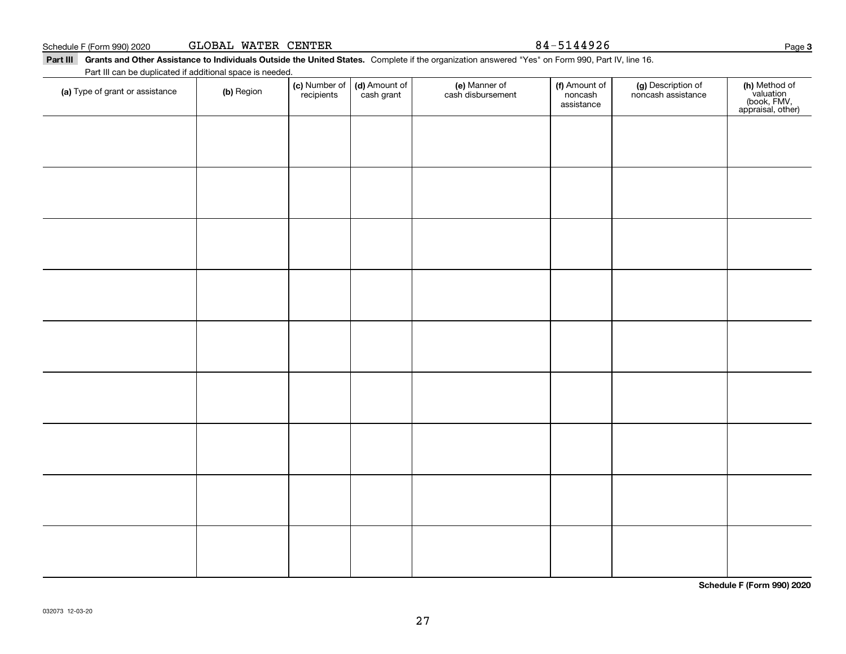**Part III Grants and Other Assistance to Individuals Outside the United States.**  Schedule F (Form 990) 2020 **GLOBAL WATER CENTER 84**-5144926 Page

| rt III |                                                           |            |            |                                               | Grants and Other Assistance to Individuals Outside the United States. Complete if the organization answered "Yes" on Form 990, Part IV, line 16. |                                        |                                          |                                                                |
|--------|-----------------------------------------------------------|------------|------------|-----------------------------------------------|--------------------------------------------------------------------------------------------------------------------------------------------------|----------------------------------------|------------------------------------------|----------------------------------------------------------------|
|        | Part III can be duplicated if additional space is needed. |            |            |                                               |                                                                                                                                                  |                                        |                                          |                                                                |
|        | (a) Type of grant or assistance                           | (b) Region | recipients | (c) Number of   (d) Amount of  <br>cash grant | (e) Manner of<br>cash disbursement                                                                                                               | (f) Amount of<br>noncash<br>assistance | (g) Description of<br>noncash assistance | (h) Method of<br>valuation<br>(book, FMV,<br>appraisal, other) |
|        |                                                           |            |            |                                               |                                                                                                                                                  |                                        |                                          |                                                                |
|        |                                                           |            |            |                                               |                                                                                                                                                  |                                        |                                          |                                                                |

**Schedule F (Form 990) 2020**

**3**

27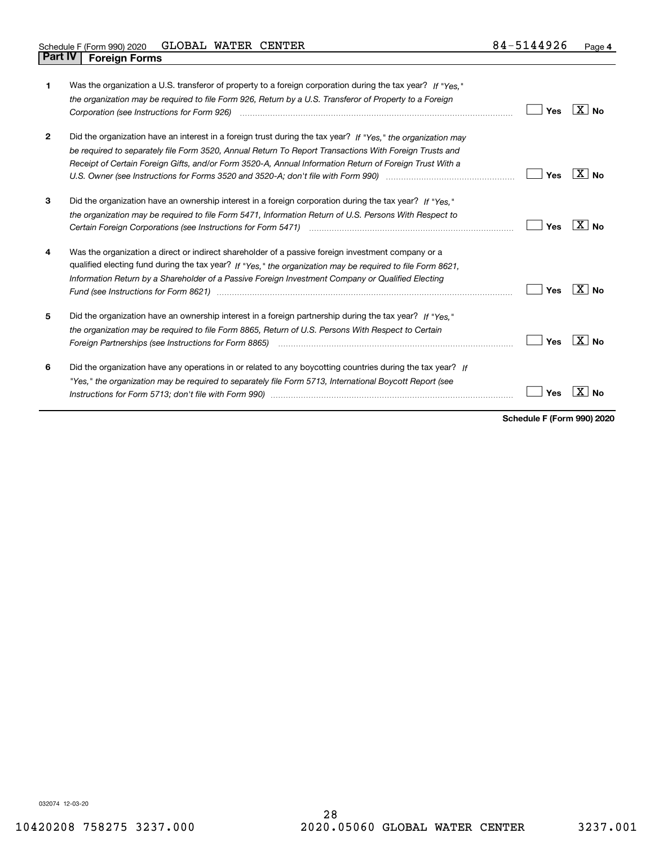| 1            | Was the organization a U.S. transferor of property to a foreign corporation during the tax year? If "Yes."<br>the organization may be required to file Form 926, Return by a U.S. Transferor of Property to a Foreign                                                                                                                                                                                                                                                                                                                                   | Yes | ⊟X I No        |
|--------------|---------------------------------------------------------------------------------------------------------------------------------------------------------------------------------------------------------------------------------------------------------------------------------------------------------------------------------------------------------------------------------------------------------------------------------------------------------------------------------------------------------------------------------------------------------|-----|----------------|
| $\mathbf{2}$ | Did the organization have an interest in a foreign trust during the tax year? If "Yes," the organization may<br>be required to separately file Form 3520, Annual Return To Report Transactions With Foreign Trusts and<br>Receipt of Certain Foreign Gifts, and/or Form 3520-A, Annual Information Return of Foreign Trust With a                                                                                                                                                                                                                       | Yes | ΧI<br>No       |
| 3            | Did the organization have an ownership interest in a foreign corporation during the tax year? If "Yes."<br>the organization may be required to file Form 5471, Information Return of U.S. Persons With Respect to                                                                                                                                                                                                                                                                                                                                       | Yes | $X \mid N_0$   |
| 4            | Was the organization a direct or indirect shareholder of a passive foreign investment company or a<br>qualified electing fund during the tax year? If "Yes," the organization may be required to file Form 8621,<br>Information Return by a Shareholder of a Passive Foreign Investment Company or Qualified Electing<br>Fund (see Instructions for Form 8621) manufactured control to the form of the state of the control of the state of the state of the state of the state of the state of the state of the state of the state of the state of the | Yes | ΧI<br>No       |
| 5            | Did the organization have an ownership interest in a foreign partnership during the tax year? If "Yes."<br>the organization may be required to file Form 8865, Return of U.S. Persons With Respect to Certain<br>Foreign Partnerships (see Instructions for Form 8865) manufactured contain the content of the content of the content of the content of the content of the content of the content of the content of the content of the content                                                                                                          | Yes | $X \mid N_{0}$ |
| 6            | Did the organization have any operations in or related to any boycotting countries during the tax year? If<br>"Yes," the organization may be required to separately file Form 5713, International Boycott Report (see                                                                                                                                                                                                                                                                                                                                   | Yes |                |

**Schedule F (Form 990) 2020**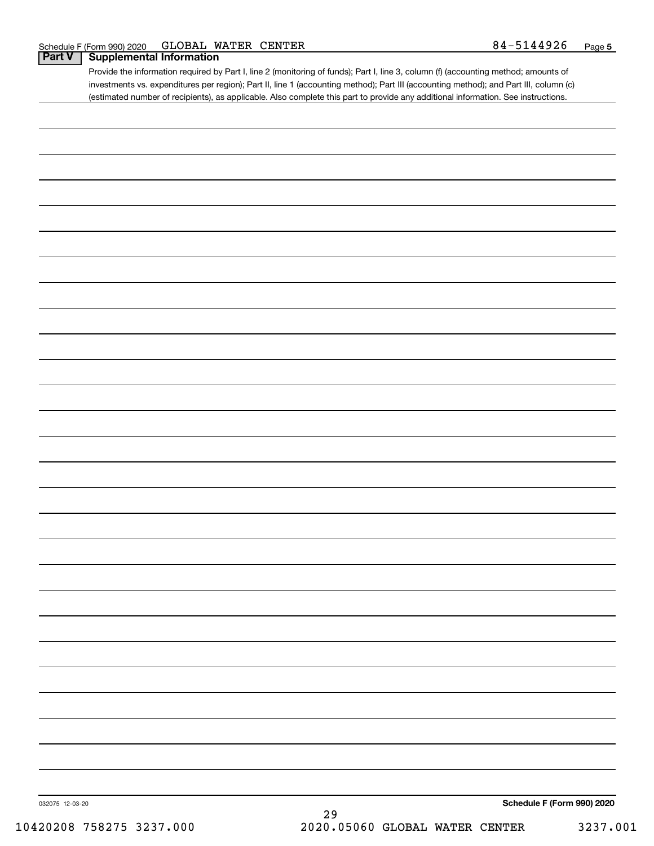| -44926<br>GLOBAL<br><b>WATER</b><br><b>CENTER</b><br>$84 - 5$<br>F (Form 990) 2020<br>Schedule I | Page |  |
|--------------------------------------------------------------------------------------------------|------|--|
|--------------------------------------------------------------------------------------------------|------|--|

# **Part V Supplemental Information**

Provide the information required by Part I, line 2 (monitoring of funds); Part I, line 3, column (f) (accounting method; amounts of investments vs. expenditures per region); Part II, line 1 (accounting method); Part III (accounting method); and Part III, column (c) (estimated number of recipients), as applicable. Also complete this part to provide any additional information. See instructions.

| 032075 12-03-20 | $29\,$ | Schedule F (Form 990) 2020 |
|-----------------|--------|----------------------------|
|                 |        |                            |
|                 |        |                            |
|                 |        |                            |
|                 |        |                            |
|                 |        |                            |
|                 |        |                            |
|                 |        |                            |
|                 |        |                            |
|                 |        |                            |
|                 |        |                            |
|                 |        |                            |
|                 |        |                            |
|                 |        |                            |
|                 |        |                            |
|                 |        |                            |
|                 |        |                            |
|                 |        |                            |
|                 |        |                            |
|                 |        |                            |
|                 |        |                            |
|                 |        |                            |
|                 |        |                            |
|                 |        |                            |
|                 |        |                            |
|                 |        |                            |
|                 |        |                            |
|                 |        |                            |
|                 |        |                            |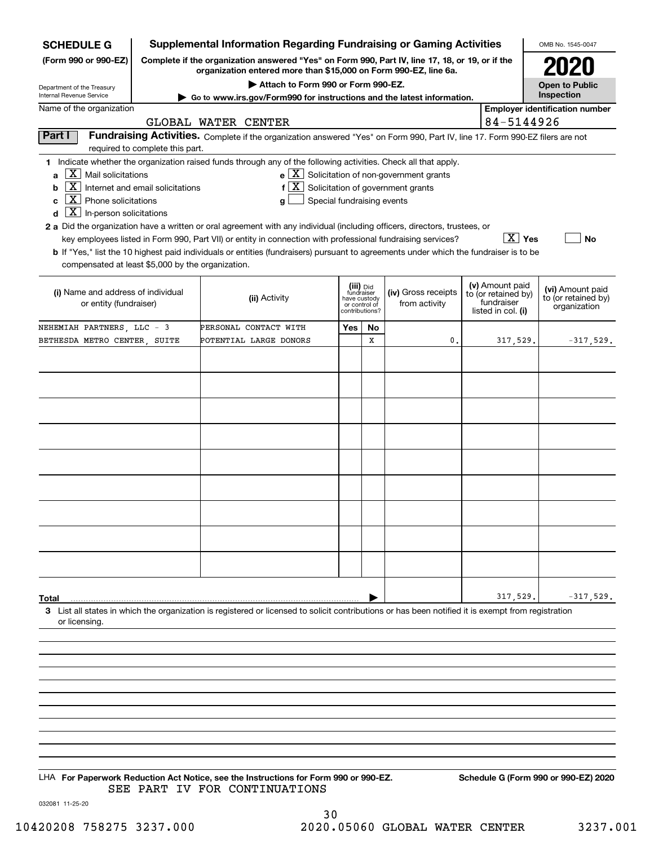| <b>SCHEDULE G</b>                                                                                                                                                                            |                                                                                                 | <b>Supplemental Information Regarding Fundraising or Gaming Activities</b>                                                                                                                                                                                                                                                                                                                                                                                                                                                                                                           |                       |    |                                                                            |                                                         |            | OMB No. 1545-0047                     |
|----------------------------------------------------------------------------------------------------------------------------------------------------------------------------------------------|-------------------------------------------------------------------------------------------------|--------------------------------------------------------------------------------------------------------------------------------------------------------------------------------------------------------------------------------------------------------------------------------------------------------------------------------------------------------------------------------------------------------------------------------------------------------------------------------------------------------------------------------------------------------------------------------------|-----------------------|----|----------------------------------------------------------------------------|---------------------------------------------------------|------------|---------------------------------------|
| (Form 990 or 990-EZ)                                                                                                                                                                         | Complete if the organization answered "Yes" on Form 990, Part IV, line 17, 18, or 19, or if the |                                                                                                                                                                                                                                                                                                                                                                                                                                                                                                                                                                                      |                       |    |                                                                            |                                                         |            |                                       |
|                                                                                                                                                                                              | organization entered more than \$15,000 on Form 990-EZ, line 6a.                                |                                                                                                                                                                                                                                                                                                                                                                                                                                                                                                                                                                                      | <b>Open to Public</b> |    |                                                                            |                                                         |            |                                       |
| Department of the Treasury<br>Internal Revenue Service                                                                                                                                       | Go to www.irs.gov/Form990 for instructions and the latest information.                          |                                                                                                                                                                                                                                                                                                                                                                                                                                                                                                                                                                                      | Inspection            |    |                                                                            |                                                         |            |                                       |
| Name of the organization                                                                                                                                                                     |                                                                                                 |                                                                                                                                                                                                                                                                                                                                                                                                                                                                                                                                                                                      |                       |    |                                                                            |                                                         |            | <b>Employer identification number</b> |
|                                                                                                                                                                                              |                                                                                                 | GLOBAL WATER CENTER                                                                                                                                                                                                                                                                                                                                                                                                                                                                                                                                                                  |                       |    |                                                                            |                                                         | 84-5144926 |                                       |
| Part I                                                                                                                                                                                       | required to complete this part.                                                                 | Fundraising Activities. Complete if the organization answered "Yes" on Form 990, Part IV, line 17. Form 990-EZ filers are not                                                                                                                                                                                                                                                                                                                                                                                                                                                        |                       |    |                                                                            |                                                         |            |                                       |
| $\overline{X}$ Mail solicitations<br>a<br>X<br>b<br>ΧI<br>Phone solicitations<br>c<br>$\boxed{\textbf{X}}$ In-person solicitations<br>d<br>compensated at least \$5,000 by the organization. | Internet and email solicitations                                                                | 1 Indicate whether the organization raised funds through any of the following activities. Check all that apply.<br>$f[X]$ Solicitation of government grants<br>Special fundraising events<br>a<br>2 a Did the organization have a written or oral agreement with any individual (including officers, directors, trustees, or<br>key employees listed in Form 990, Part VII) or entity in connection with professional fundraising services?<br>b If "Yes," list the 10 highest paid individuals or entities (fundraisers) pursuant to agreements under which the fundraiser is to be |                       |    | $e$ $\boxed{X}$ Solicitation of non-government grants                      |                                                         | ∣X ∣ Yes   | <b>No</b>                             |
| (i) Name and address of individual<br>or entity (fundraiser)                                                                                                                                 |                                                                                                 | (iii) Did<br>fundraiser<br>(iv) Gross receipts<br>(ii) Activity<br>have custody<br>from activity<br>or control of<br>contributions?                                                                                                                                                                                                                                                                                                                                                                                                                                                  |                       |    | (v) Amount paid<br>to (or retained by)<br>fundraiser<br>listed in col. (i) | (vi) Amount paid<br>to (or retained by)<br>organization |            |                                       |
| NEHEMIAH PARTNERS, LLC - 3                                                                                                                                                                   |                                                                                                 | PERSONAL CONTACT WITH                                                                                                                                                                                                                                                                                                                                                                                                                                                                                                                                                                | Yes                   | No |                                                                            |                                                         |            |                                       |
| BETHESDA METRO CENTER, SUITE                                                                                                                                                                 |                                                                                                 | POTENTIAL LARGE DONORS                                                                                                                                                                                                                                                                                                                                                                                                                                                                                                                                                               |                       | X  | $\mathbf{0}$                                                               |                                                         | 317,529.   | $-317,529.$                           |
|                                                                                                                                                                                              |                                                                                                 |                                                                                                                                                                                                                                                                                                                                                                                                                                                                                                                                                                                      |                       |    |                                                                            |                                                         |            |                                       |
|                                                                                                                                                                                              |                                                                                                 |                                                                                                                                                                                                                                                                                                                                                                                                                                                                                                                                                                                      |                       |    |                                                                            |                                                         |            |                                       |
|                                                                                                                                                                                              |                                                                                                 |                                                                                                                                                                                                                                                                                                                                                                                                                                                                                                                                                                                      |                       |    |                                                                            |                                                         |            |                                       |
|                                                                                                                                                                                              |                                                                                                 |                                                                                                                                                                                                                                                                                                                                                                                                                                                                                                                                                                                      |                       |    |                                                                            |                                                         |            |                                       |
|                                                                                                                                                                                              |                                                                                                 |                                                                                                                                                                                                                                                                                                                                                                                                                                                                                                                                                                                      |                       |    |                                                                            |                                                         |            |                                       |
|                                                                                                                                                                                              |                                                                                                 |                                                                                                                                                                                                                                                                                                                                                                                                                                                                                                                                                                                      |                       |    |                                                                            |                                                         |            |                                       |
|                                                                                                                                                                                              |                                                                                                 |                                                                                                                                                                                                                                                                                                                                                                                                                                                                                                                                                                                      |                       |    |                                                                            |                                                         |            |                                       |
|                                                                                                                                                                                              |                                                                                                 |                                                                                                                                                                                                                                                                                                                                                                                                                                                                                                                                                                                      |                       |    |                                                                            |                                                         |            |                                       |
|                                                                                                                                                                                              |                                                                                                 |                                                                                                                                                                                                                                                                                                                                                                                                                                                                                                                                                                                      |                       |    |                                                                            |                                                         |            |                                       |
|                                                                                                                                                                                              |                                                                                                 |                                                                                                                                                                                                                                                                                                                                                                                                                                                                                                                                                                                      |                       |    |                                                                            |                                                         |            |                                       |
|                                                                                                                                                                                              |                                                                                                 |                                                                                                                                                                                                                                                                                                                                                                                                                                                                                                                                                                                      |                       |    |                                                                            |                                                         |            |                                       |
|                                                                                                                                                                                              |                                                                                                 |                                                                                                                                                                                                                                                                                                                                                                                                                                                                                                                                                                                      |                       |    |                                                                            |                                                         |            |                                       |
|                                                                                                                                                                                              |                                                                                                 |                                                                                                                                                                                                                                                                                                                                                                                                                                                                                                                                                                                      |                       |    |                                                                            |                                                         |            |                                       |
|                                                                                                                                                                                              |                                                                                                 |                                                                                                                                                                                                                                                                                                                                                                                                                                                                                                                                                                                      |                       |    |                                                                            |                                                         |            |                                       |
| Total                                                                                                                                                                                        |                                                                                                 |                                                                                                                                                                                                                                                                                                                                                                                                                                                                                                                                                                                      |                       |    |                                                                            |                                                         | 317,529.   | $-317,529.$                           |
| or licensing.                                                                                                                                                                                |                                                                                                 | 3 List all states in which the organization is registered or licensed to solicit contributions or has been notified it is exempt from registration                                                                                                                                                                                                                                                                                                                                                                                                                                   |                       |    |                                                                            |                                                         |            |                                       |
|                                                                                                                                                                                              |                                                                                                 |                                                                                                                                                                                                                                                                                                                                                                                                                                                                                                                                                                                      |                       |    |                                                                            |                                                         |            |                                       |
|                                                                                                                                                                                              |                                                                                                 |                                                                                                                                                                                                                                                                                                                                                                                                                                                                                                                                                                                      |                       |    |                                                                            |                                                         |            |                                       |
|                                                                                                                                                                                              |                                                                                                 |                                                                                                                                                                                                                                                                                                                                                                                                                                                                                                                                                                                      |                       |    |                                                                            |                                                         |            |                                       |
|                                                                                                                                                                                              |                                                                                                 |                                                                                                                                                                                                                                                                                                                                                                                                                                                                                                                                                                                      |                       |    |                                                                            |                                                         |            |                                       |
|                                                                                                                                                                                              |                                                                                                 |                                                                                                                                                                                                                                                                                                                                                                                                                                                                                                                                                                                      |                       |    |                                                                            |                                                         |            |                                       |
|                                                                                                                                                                                              |                                                                                                 |                                                                                                                                                                                                                                                                                                                                                                                                                                                                                                                                                                                      |                       |    |                                                                            |                                                         |            |                                       |
|                                                                                                                                                                                              |                                                                                                 |                                                                                                                                                                                                                                                                                                                                                                                                                                                                                                                                                                                      |                       |    |                                                                            |                                                         |            |                                       |

LHA For Paperwork Reduction Act Notice, see the Instructions for Form 990 or 990-EZ. Schedule G (Form 990 or 990-EZ) 2020 SEE PART IV FOR CONTINUATIONS

032081 11-25-20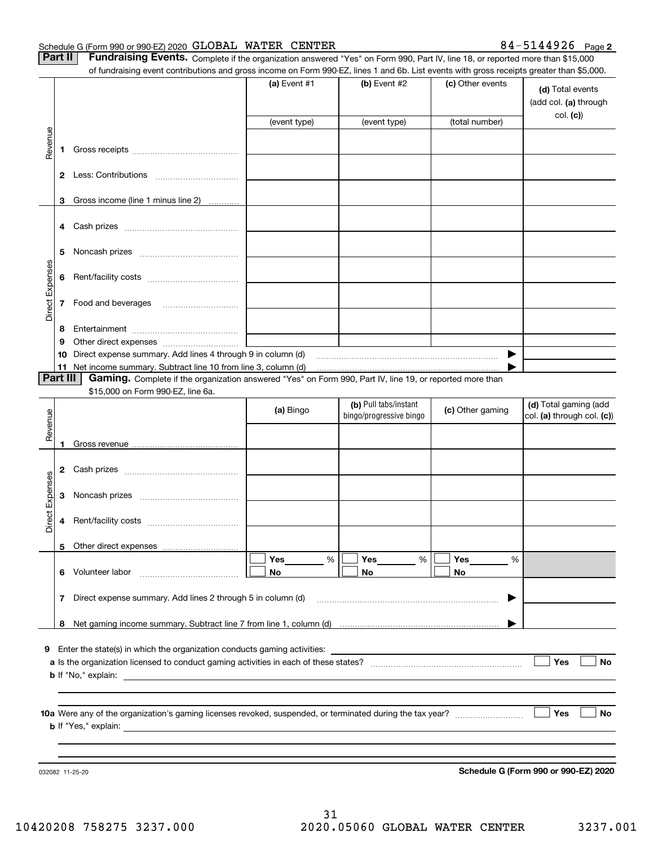#### Schedule G (Form 990 or 990-EZ) 2020 Page GLOBAL WATER CENTER 84-5144926

| 84-5144926 <sub>Page</sub> 2 |  |
|------------------------------|--|
|------------------------------|--|

| Part II | <b>Fundraising Events.</b> Complete if the organization answered "Yes" on Form 990, Part IV, line 18, or reported more than \$15,000      |                |                |                  |                                               |  |  |  |  |  |  |
|---------|-------------------------------------------------------------------------------------------------------------------------------------------|----------------|----------------|------------------|-----------------------------------------------|--|--|--|--|--|--|
|         | of fundraising event contributions and gross income on Form 990-EZ, lines 1 and 6b. List events with gross receipts greater than \$5,000. |                |                |                  |                                               |  |  |  |  |  |  |
|         |                                                                                                                                           | (a) Event $#1$ | (b) Event $#2$ | (c) Other events | (d) Total events<br>$(ab \ncol$ $(a)$ through |  |  |  |  |  |  |

|                 |          |                                                                                                                                                    |              |                                                  |                  | (add col. (a) through<br>col. (c)                   |
|-----------------|----------|----------------------------------------------------------------------------------------------------------------------------------------------------|--------------|--------------------------------------------------|------------------|-----------------------------------------------------|
|                 |          |                                                                                                                                                    | (event type) | (event type)                                     | (total number)   |                                                     |
| Revenue         |          |                                                                                                                                                    |              |                                                  |                  |                                                     |
|                 | 1        |                                                                                                                                                    |              |                                                  |                  |                                                     |
|                 |          |                                                                                                                                                    |              |                                                  |                  |                                                     |
|                 |          |                                                                                                                                                    |              |                                                  |                  |                                                     |
|                 | 3        | Gross income (line 1 minus line 2)                                                                                                                 |              |                                                  |                  |                                                     |
|                 |          |                                                                                                                                                    |              |                                                  |                  |                                                     |
|                 |          |                                                                                                                                                    |              |                                                  |                  |                                                     |
|                 |          |                                                                                                                                                    |              |                                                  |                  |                                                     |
|                 | 5        |                                                                                                                                                    |              |                                                  |                  |                                                     |
| Direct Expenses |          |                                                                                                                                                    |              |                                                  |                  |                                                     |
|                 | 6        |                                                                                                                                                    |              |                                                  |                  |                                                     |
|                 | 7        | Food and beverages                                                                                                                                 |              |                                                  |                  |                                                     |
|                 |          |                                                                                                                                                    |              |                                                  |                  |                                                     |
|                 | 8        |                                                                                                                                                    |              |                                                  |                  |                                                     |
|                 | 9        |                                                                                                                                                    |              |                                                  |                  |                                                     |
|                 | 10       | Direct expense summary. Add lines 4 through 9 in column (d)                                                                                        |              |                                                  | ▶                |                                                     |
|                 | 11       | Net income summary. Subtract line 10 from line 3, column (d) matures and the substitution of the summary. Subtract line 10 from line 3, column (d) |              |                                                  |                  |                                                     |
|                 | Part III | Gaming. Complete if the organization answered "Yes" on Form 990, Part IV, line 19, or reported more than                                           |              |                                                  |                  |                                                     |
|                 |          | \$15,000 on Form 990-EZ, line 6a.                                                                                                                  |              |                                                  |                  |                                                     |
|                 |          |                                                                                                                                                    | (a) Bingo    | (b) Pull tabs/instant<br>bingo/progressive bingo | (c) Other gaming | (d) Total gaming (add<br>col. (a) through col. (c)) |
| Revenue         |          |                                                                                                                                                    |              |                                                  |                  |                                                     |
|                 |          |                                                                                                                                                    |              |                                                  |                  |                                                     |
|                 | 1        |                                                                                                                                                    |              |                                                  |                  |                                                     |
|                 | 2        |                                                                                                                                                    |              |                                                  |                  |                                                     |
|                 |          |                                                                                                                                                    |              |                                                  |                  |                                                     |
| Direct Expenses | 3        |                                                                                                                                                    |              |                                                  |                  |                                                     |
|                 |          |                                                                                                                                                    |              |                                                  |                  |                                                     |
|                 | 4        |                                                                                                                                                    |              |                                                  |                  |                                                     |
|                 |          |                                                                                                                                                    |              |                                                  |                  |                                                     |
|                 | 5        |                                                                                                                                                    |              |                                                  |                  |                                                     |
|                 |          |                                                                                                                                                    | %<br>Yes     | %<br>Yes                                         | %<br>Yes         |                                                     |
|                 |          | 6 Volunteer labor                                                                                                                                  | No           | No.                                              | No.              |                                                     |
|                 |          |                                                                                                                                                    |              |                                                  |                  |                                                     |
|                 |          | 7 Direct expense summary. Add lines 2 through 5 in column (d)                                                                                      |              |                                                  | ▶                |                                                     |
|                 |          |                                                                                                                                                    |              |                                                  |                  |                                                     |
|                 |          |                                                                                                                                                    |              |                                                  |                  |                                                     |
|                 |          | 9 Enter the state(s) in which the organization conducts gaming activities:                                                                         |              |                                                  |                  |                                                     |
|                 |          |                                                                                                                                                    |              |                                                  |                  | Yes<br>No                                           |
|                 |          |                                                                                                                                                    |              |                                                  |                  |                                                     |
|                 |          |                                                                                                                                                    |              |                                                  |                  |                                                     |
|                 |          |                                                                                                                                                    |              |                                                  |                  |                                                     |
|                 |          |                                                                                                                                                    |              |                                                  |                  | Yes<br>No                                           |
|                 |          |                                                                                                                                                    |              |                                                  |                  |                                                     |
|                 |          |                                                                                                                                                    |              |                                                  |                  |                                                     |
|                 |          |                                                                                                                                                    |              |                                                  |                  |                                                     |
|                 |          | 032082 11-25-20                                                                                                                                    |              |                                                  |                  | Schedule G (Form 990 or 990-EZ) 2020                |

**Schedule G (Form 990 or 990-EZ) 2020**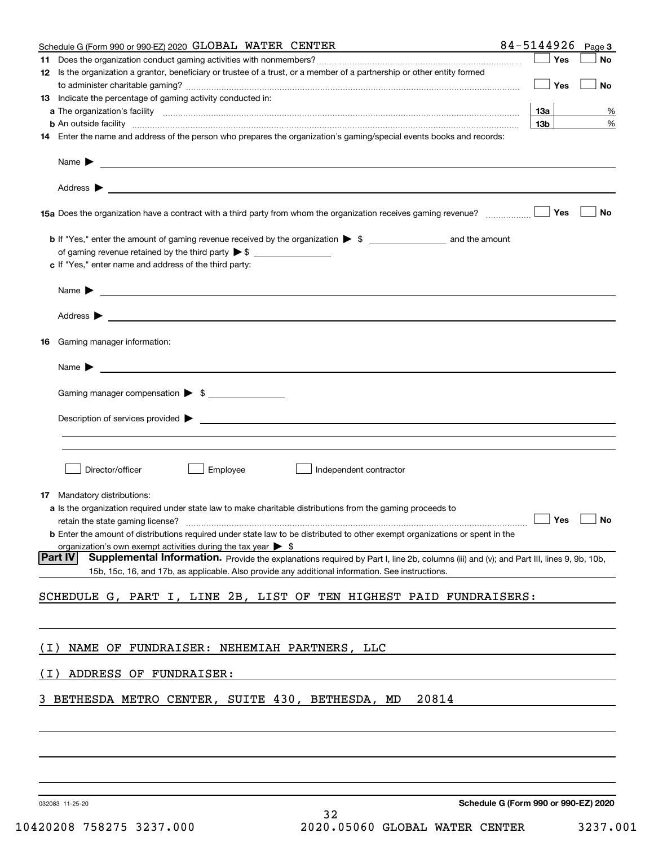| Schedule G (Form 990 or 990-EZ) 2020 GLOBAL WATER CENTER                                                                                                                                                                                                              | 84-5144926<br>Page 3                 |
|-----------------------------------------------------------------------------------------------------------------------------------------------------------------------------------------------------------------------------------------------------------------------|--------------------------------------|
|                                                                                                                                                                                                                                                                       | Yes<br>No                            |
| 12 Is the organization a grantor, beneficiary or trustee of a trust, or a member of a partnership or other entity formed                                                                                                                                              | Yes<br>No                            |
| <b>13</b> Indicate the percentage of gaming activity conducted in:                                                                                                                                                                                                    |                                      |
|                                                                                                                                                                                                                                                                       | 13а<br>%                             |
| <b>b</b> An outside facility <i>www.communicality communicality communicality communicality communicality communicality</i>                                                                                                                                           | 13 <sub>b</sub><br>%                 |
| 14 Enter the name and address of the person who prepares the organization's gaming/special events books and records:                                                                                                                                                  |                                      |
| Name $\blacktriangleright$<br><u> 1989 - Johann Stein, marking and de Brazilian (b. 1989)</u>                                                                                                                                                                         |                                      |
| Address $\blacktriangleright$<br><u>and the state of the state of the state of the state of the state of the state of the state of the state of the state of the state of the state of the state of the state of the state of the state of the state of the state</u> |                                      |
|                                                                                                                                                                                                                                                                       | Yes<br>No                            |
|                                                                                                                                                                                                                                                                       |                                      |
|                                                                                                                                                                                                                                                                       |                                      |
| c If "Yes," enter name and address of the third party:                                                                                                                                                                                                                |                                      |
| <u> 1980 - Johann Barbara, martin amerikan basar dan berasal dan berasal dalam basar dalam basar dalam basar dala</u><br>Name $\blacktriangleright$                                                                                                                   |                                      |
|                                                                                                                                                                                                                                                                       |                                      |
| Gaming manager information:<br>16                                                                                                                                                                                                                                     |                                      |
| $Name \rightarrow$                                                                                                                                                                                                                                                    |                                      |
|                                                                                                                                                                                                                                                                       |                                      |
| Gaming manager compensation > \$                                                                                                                                                                                                                                      |                                      |
| Description of services provided $\blacktriangleright$<br><u> 1989 - Johann John Stein, markin fizzar a shekara 1980 - An an tsara 1980 - An an tsara 1980 - An an tsara 19</u>                                                                                       |                                      |
|                                                                                                                                                                                                                                                                       |                                      |
| Employee<br>Director/officer<br>Independent contractor                                                                                                                                                                                                                |                                      |
|                                                                                                                                                                                                                                                                       |                                      |
| <b>17</b> Mandatory distributions:                                                                                                                                                                                                                                    |                                      |
| a Is the organization required under state law to make charitable distributions from the gaming proceeds to                                                                                                                                                           | $\Box$ Yes $\Box$ No                 |
| <b>b</b> Enter the amount of distributions required under state law to be distributed to other exempt organizations or spent in the                                                                                                                                   |                                      |
| organization's own exempt activities during the tax year $\triangleright$ \$                                                                                                                                                                                          |                                      |
| <b>Part IV</b><br>Supplemental Information. Provide the explanations required by Part I, line 2b, columns (iii) and (v); and Part III, lines 9, 9b, 10b,<br>15b, 15c, 16, and 17b, as applicable. Also provide any additional information. See instructions.          |                                      |
| SCHEDULE G, PART I, LINE 2B, LIST OF TEN HIGHEST PAID FUNDRAISERS:                                                                                                                                                                                                    |                                      |
|                                                                                                                                                                                                                                                                       |                                      |
|                                                                                                                                                                                                                                                                       |                                      |
| NAME OF FUNDRAISER: NEHEMIAH PARTNERS, LLC<br>( I )                                                                                                                                                                                                                   |                                      |
| ADDRESS OF FUNDRAISER:<br>( I )                                                                                                                                                                                                                                       |                                      |
| BETHESDA METRO CENTER, SUITE 430, BETHESDA, MD<br>20814                                                                                                                                                                                                               |                                      |
|                                                                                                                                                                                                                                                                       |                                      |
|                                                                                                                                                                                                                                                                       |                                      |
|                                                                                                                                                                                                                                                                       |                                      |
| 032083 11-25-20                                                                                                                                                                                                                                                       | Schedule G (Form 990 or 990-EZ) 2020 |

32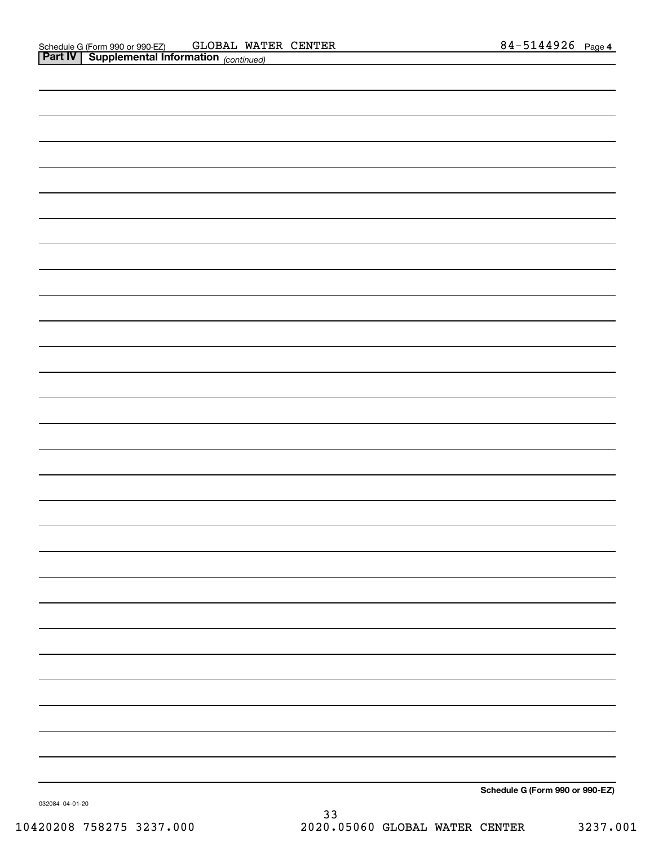| Schedule G (Form 990 or 990-EZ) |
|---------------------------------|

032084 04-01-20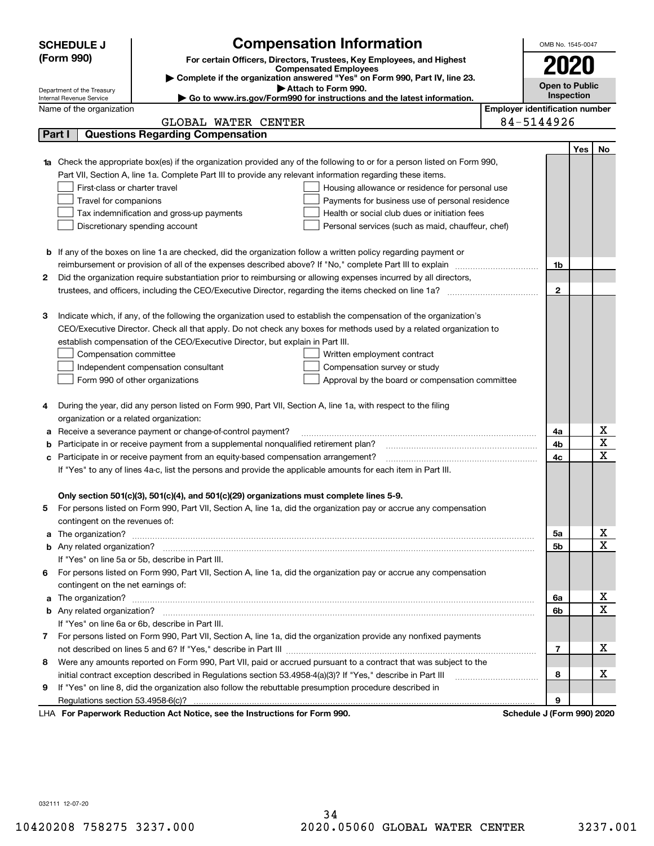|                                                                                     | <b>Compensation Information</b><br><b>SCHEDULE J</b>                                                                                                   |                                       | OMB No. 1545-0047          |                       |                         |  |
|-------------------------------------------------------------------------------------|--------------------------------------------------------------------------------------------------------------------------------------------------------|---------------------------------------|----------------------------|-----------------------|-------------------------|--|
| (Form 990)<br>For certain Officers, Directors, Trustees, Key Employees, and Highest |                                                                                                                                                        |                                       |                            |                       |                         |  |
|                                                                                     | <b>Compensated Employees</b>                                                                                                                           |                                       | 2020                       |                       |                         |  |
|                                                                                     | Complete if the organization answered "Yes" on Form 990, Part IV, line 23.<br>Attach to Form 990.                                                      |                                       |                            | <b>Open to Public</b> |                         |  |
|                                                                                     | Department of the Treasury<br>Internal Revenue Service<br>$\blacktriangleright$ Go to www.irs.gov/Form990 for instructions and the latest information. |                                       | Inspection                 |                       |                         |  |
|                                                                                     | Name of the organization                                                                                                                               | <b>Employer identification number</b> |                            |                       |                         |  |
|                                                                                     | GLOBAL WATER CENTER                                                                                                                                    |                                       | 84-5144926                 |                       |                         |  |
|                                                                                     | <b>Questions Regarding Compensation</b><br>Part I                                                                                                      |                                       |                            |                       |                         |  |
|                                                                                     |                                                                                                                                                        |                                       |                            | Yes                   | No.                     |  |
|                                                                                     | Check the appropriate box(es) if the organization provided any of the following to or for a person listed on Form 990,                                 |                                       |                            |                       |                         |  |
|                                                                                     | Part VII, Section A, line 1a. Complete Part III to provide any relevant information regarding these items.                                             |                                       |                            |                       |                         |  |
|                                                                                     | First-class or charter travel<br>Housing allowance or residence for personal use                                                                       |                                       |                            |                       |                         |  |
|                                                                                     | Travel for companions<br>Payments for business use of personal residence                                                                               |                                       |                            |                       |                         |  |
|                                                                                     | Health or social club dues or initiation fees<br>Tax indemnification and gross-up payments                                                             |                                       |                            |                       |                         |  |
|                                                                                     | Discretionary spending account<br>Personal services (such as maid, chauffeur, chef)                                                                    |                                       |                            |                       |                         |  |
|                                                                                     |                                                                                                                                                        |                                       |                            |                       |                         |  |
|                                                                                     | <b>b</b> If any of the boxes on line 1a are checked, did the organization follow a written policy regarding payment or                                 |                                       |                            |                       |                         |  |
|                                                                                     |                                                                                                                                                        |                                       | 1b                         |                       |                         |  |
| 2                                                                                   | Did the organization require substantiation prior to reimbursing or allowing expenses incurred by all directors,                                       |                                       |                            |                       |                         |  |
|                                                                                     |                                                                                                                                                        |                                       | $\mathbf{2}$               |                       |                         |  |
|                                                                                     |                                                                                                                                                        |                                       |                            |                       |                         |  |
| з                                                                                   | Indicate which, if any, of the following the organization used to establish the compensation of the organization's                                     |                                       |                            |                       |                         |  |
|                                                                                     | CEO/Executive Director. Check all that apply. Do not check any boxes for methods used by a related organization to                                     |                                       |                            |                       |                         |  |
|                                                                                     | establish compensation of the CEO/Executive Director, but explain in Part III.                                                                         |                                       |                            |                       |                         |  |
|                                                                                     | Compensation committee<br>Written employment contract                                                                                                  |                                       |                            |                       |                         |  |
|                                                                                     | Compensation survey or study<br>Independent compensation consultant                                                                                    |                                       |                            |                       |                         |  |
|                                                                                     | Form 990 of other organizations<br>Approval by the board or compensation committee                                                                     |                                       |                            |                       |                         |  |
|                                                                                     |                                                                                                                                                        |                                       |                            |                       |                         |  |
| 4                                                                                   | During the year, did any person listed on Form 990, Part VII, Section A, line 1a, with respect to the filing                                           |                                       |                            |                       |                         |  |
|                                                                                     | organization or a related organization:                                                                                                                |                                       |                            |                       | Χ                       |  |
| а                                                                                   | Receive a severance payment or change-of-control payment?                                                                                              |                                       | 4a<br>4b                   |                       | $\overline{\textbf{X}}$ |  |
|                                                                                     | Participate in or receive payment from a supplemental nonqualified retirement plan?                                                                    |                                       | 4c                         |                       | $\mathbf X$             |  |
|                                                                                     | Participate in or receive payment from an equity-based compensation arrangement?                                                                       |                                       |                            |                       |                         |  |
|                                                                                     | If "Yes" to any of lines 4a-c, list the persons and provide the applicable amounts for each item in Part III.                                          |                                       |                            |                       |                         |  |
|                                                                                     | Only section 501(c)(3), 501(c)(4), and 501(c)(29) organizations must complete lines 5-9.                                                               |                                       |                            |                       |                         |  |
| 5                                                                                   | For persons listed on Form 990, Part VII, Section A, line 1a, did the organization pay or accrue any compensation                                      |                                       |                            |                       |                         |  |
|                                                                                     | contingent on the revenues of:                                                                                                                         |                                       |                            |                       |                         |  |
| a                                                                                   |                                                                                                                                                        |                                       | 5a                         |                       | x                       |  |
|                                                                                     |                                                                                                                                                        |                                       | 5b                         |                       | $\overline{\mathbf{x}}$ |  |
|                                                                                     | If "Yes" on line 5a or 5b, describe in Part III.                                                                                                       |                                       |                            |                       |                         |  |
| 6.                                                                                  | For persons listed on Form 990, Part VII, Section A, line 1a, did the organization pay or accrue any compensation                                      |                                       |                            |                       |                         |  |
|                                                                                     | contingent on the net earnings of:                                                                                                                     |                                       |                            |                       |                         |  |
| a                                                                                   |                                                                                                                                                        |                                       | 6a                         |                       | х                       |  |
|                                                                                     |                                                                                                                                                        |                                       | 6b                         |                       | $\overline{\mathbf{x}}$ |  |
|                                                                                     | If "Yes" on line 6a or 6b, describe in Part III.                                                                                                       |                                       |                            |                       |                         |  |
|                                                                                     | 7 For persons listed on Form 990, Part VII, Section A, line 1a, did the organization provide any nonfixed payments                                     |                                       |                            |                       |                         |  |
|                                                                                     |                                                                                                                                                        |                                       | 7                          |                       | х                       |  |
| 8                                                                                   | Were any amounts reported on Form 990, Part VII, paid or accrued pursuant to a contract that was subject to the                                        |                                       |                            |                       |                         |  |
|                                                                                     | initial contract exception described in Regulations section 53.4958-4(a)(3)? If "Yes," describe in Part III                                            |                                       | 8                          |                       | х                       |  |
| 9                                                                                   | If "Yes" on line 8, did the organization also follow the rebuttable presumption procedure described in                                                 |                                       |                            |                       |                         |  |
|                                                                                     |                                                                                                                                                        |                                       | 9                          |                       |                         |  |
|                                                                                     | LHA For Paperwork Reduction Act Notice, see the Instructions for Form 990.                                                                             |                                       | Schedule J (Form 990) 2020 |                       |                         |  |

032111 12-07-20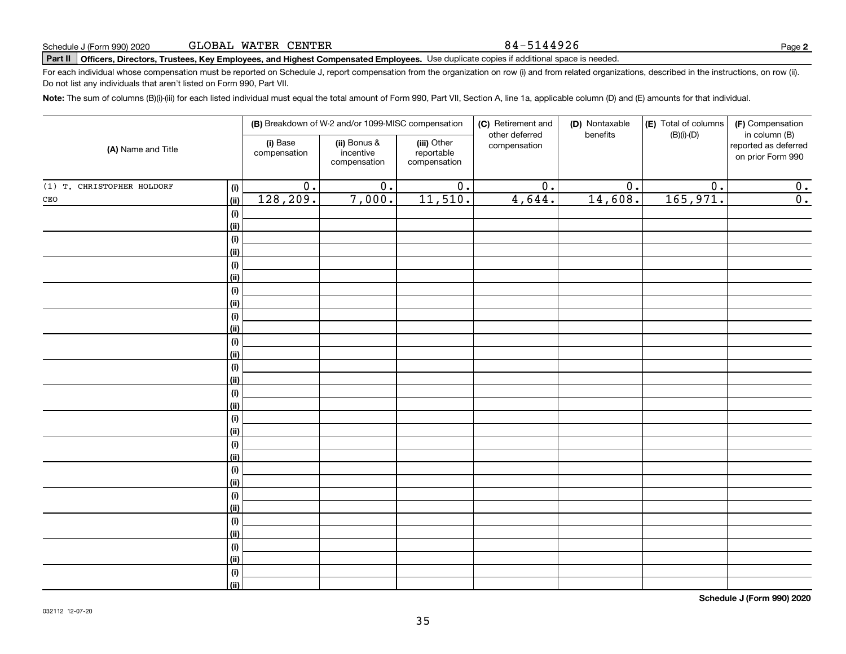### 84-5144926

# **Part II Officers, Directors, Trustees, Key Employees, and Highest Compensated Employees.**  Schedule J (Form 990) 2020 Page Use duplicate copies if additional space is needed.

For each individual whose compensation must be reported on Schedule J, report compensation from the organization on row (i) and from related organizations, described in the instructions, on row (ii). Do not list any individuals that aren't listed on Form 990, Part VII.

**Note:**  The sum of columns (B)(i)-(iii) for each listed individual must equal the total amount of Form 990, Part VII, Section A, line 1a, applicable column (D) and (E) amounts for that individual.

|                                   |                          | (B) Breakdown of W-2 and/or 1099-MISC compensation |                                           | (C) Retirement and             | (D) Nontaxable   | (E) Total of columns | (F) Compensation                                           |
|-----------------------------------|--------------------------|----------------------------------------------------|-------------------------------------------|--------------------------------|------------------|----------------------|------------------------------------------------------------|
| (A) Name and Title                | (i) Base<br>compensation | (ii) Bonus &<br>incentive<br>compensation          | (iii) Other<br>reportable<br>compensation | other deferred<br>compensation | benefits         | $(B)(i)-(D)$         | in column (B)<br>reported as deferred<br>on prior Form 990 |
| (1) T. CHRISTOPHER HOLDORF<br>(i) | $\overline{0}$ .         | $\overline{0}$ .                                   | $\overline{0}$ .                          | $\overline{0}$ .               | $\overline{0}$ . | $\overline{0}$ .     | $\overline{0}$ .                                           |
| $\mathtt{CEO}$<br>(ii)            | 128,209.                 | 7,000.                                             | 11,510.                                   | 4,644.                         | 14,608.          | 165,971.             | $\overline{0}$ .                                           |
| (i)                               |                          |                                                    |                                           |                                |                  |                      |                                                            |
| (ii)                              |                          |                                                    |                                           |                                |                  |                      |                                                            |
| $\qquad \qquad \textbf{(i)}$      |                          |                                                    |                                           |                                |                  |                      |                                                            |
| (ii)                              |                          |                                                    |                                           |                                |                  |                      |                                                            |
| $\qquad \qquad \textbf{(i)}$      |                          |                                                    |                                           |                                |                  |                      |                                                            |
| (ii)                              |                          |                                                    |                                           |                                |                  |                      |                                                            |
| (i)                               |                          |                                                    |                                           |                                |                  |                      |                                                            |
| (ii)                              |                          |                                                    |                                           |                                |                  |                      |                                                            |
| $\qquad \qquad \textbf{(i)}$      |                          |                                                    |                                           |                                |                  |                      |                                                            |
| (ii)                              |                          |                                                    |                                           |                                |                  |                      |                                                            |
| $\qquad \qquad \textbf{(i)}$      |                          |                                                    |                                           |                                |                  |                      |                                                            |
| (ii)                              |                          |                                                    |                                           |                                |                  |                      |                                                            |
| $\qquad \qquad \textbf{(i)}$      |                          |                                                    |                                           |                                |                  |                      |                                                            |
| (ii)                              |                          |                                                    |                                           |                                |                  |                      |                                                            |
| (i)                               |                          |                                                    |                                           |                                |                  |                      |                                                            |
| (ii)                              |                          |                                                    |                                           |                                |                  |                      |                                                            |
| (i)                               |                          |                                                    |                                           |                                |                  |                      |                                                            |
| (ii)                              |                          |                                                    |                                           |                                |                  |                      |                                                            |
| (i)<br>(ii)                       |                          |                                                    |                                           |                                |                  |                      |                                                            |
| (i)                               |                          |                                                    |                                           |                                |                  |                      |                                                            |
| (ii)                              |                          |                                                    |                                           |                                |                  |                      |                                                            |
| $(\sf{i})$                        |                          |                                                    |                                           |                                |                  |                      |                                                            |
| (ii)                              |                          |                                                    |                                           |                                |                  |                      |                                                            |
| (i)                               |                          |                                                    |                                           |                                |                  |                      |                                                            |
| (ii)                              |                          |                                                    |                                           |                                |                  |                      |                                                            |
| (i)                               |                          |                                                    |                                           |                                |                  |                      |                                                            |
| (ii)                              |                          |                                                    |                                           |                                |                  |                      |                                                            |
| (i)                               |                          |                                                    |                                           |                                |                  |                      |                                                            |
| (ii)                              |                          |                                                    |                                           |                                |                  |                      |                                                            |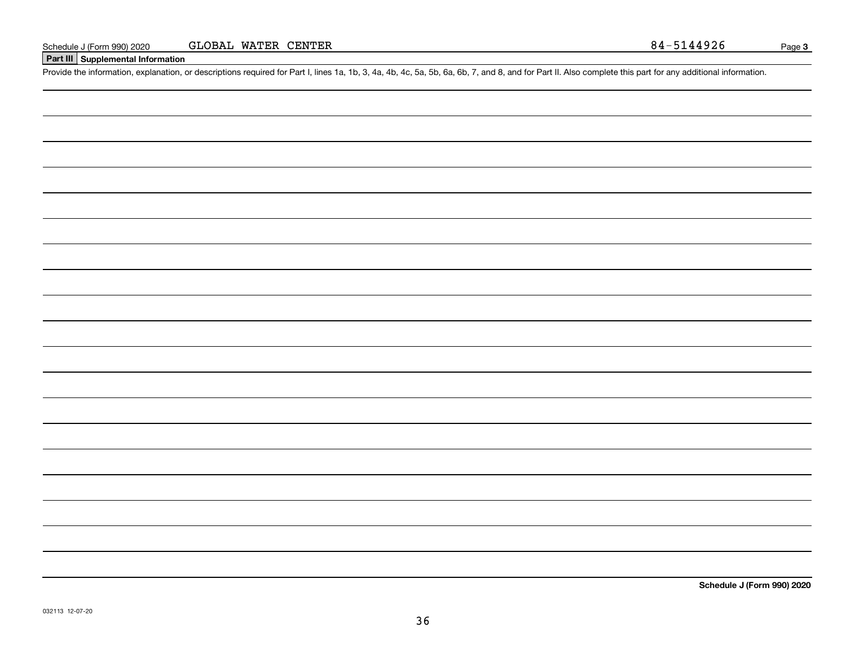# **Part III Supplemental Information**

Schedule J (Form 990) 2020 GLOBAL WATER CENTER<br>
Part III Supplemental Information<br>
Provide the information, explanation, or descriptions required for Part I, lines 1a, 1b, 3, 4a, 4b, 4c, 5a, 5b, 6a, 6b, 7, and 8, and for P

**Schedule J (Form 990) 2020**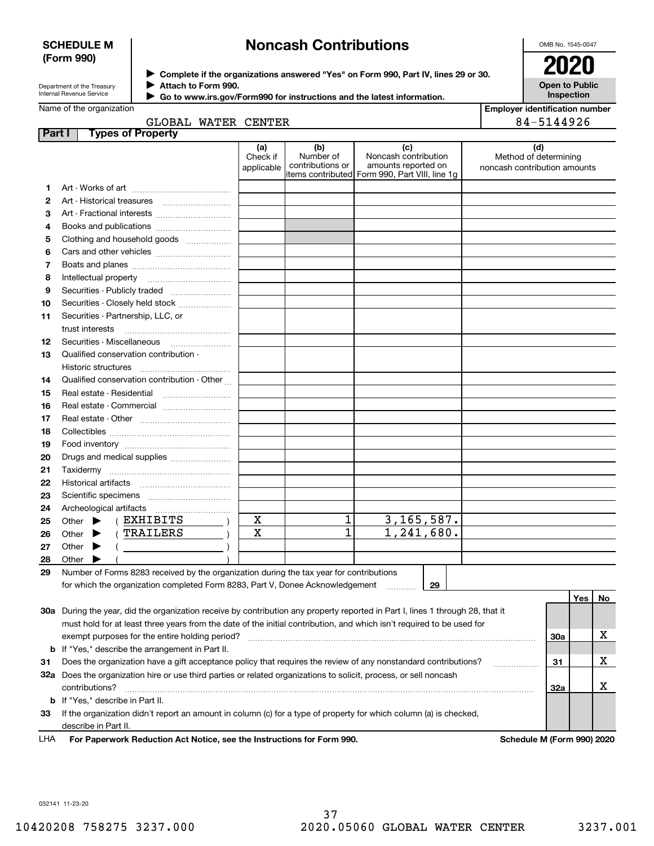## **SCHEDULE M (Form 990)**

# **Noncash Contributions**

OMB No. 1545-0047

| Department of the Treasury      |
|---------------------------------|
| <b>Internal Revenue Service</b> |

**Complete if the organizations answered "Yes" on Form 990, Part IV, lines 29 or 30.** <sup>J</sup>**2020 Attach to Form 990.** J

**Open to Public Inspection**

**Employer identification number**

|  | Name of the organization |
|--|--------------------------|

 **Go to www.irs.gov/Form990 for instructions and the latest information.** J

|  | , WATER CENTER |  |
|--|----------------|--|

|        | GLOBAL WATER CENTER                                                                                                                 |                               |                                      |                                                                                                        | 84-5144926                                                   |     |     |    |
|--------|-------------------------------------------------------------------------------------------------------------------------------------|-------------------------------|--------------------------------------|--------------------------------------------------------------------------------------------------------|--------------------------------------------------------------|-----|-----|----|
| Part I | <b>Types of Property</b>                                                                                                            |                               |                                      |                                                                                                        |                                                              |     |     |    |
|        |                                                                                                                                     | (a)<br>Check if<br>applicable | (b)<br>Number of<br>contributions or | (c)<br>Noncash contribution<br>amounts reported on<br> items contributed  Form 990, Part VIII, line 1g | (d)<br>Method of determining<br>noncash contribution amounts |     |     |    |
| 1      |                                                                                                                                     |                               |                                      |                                                                                                        |                                                              |     |     |    |
| 2      |                                                                                                                                     |                               |                                      |                                                                                                        |                                                              |     |     |    |
| 3      |                                                                                                                                     |                               |                                      |                                                                                                        |                                                              |     |     |    |
| 4      |                                                                                                                                     |                               |                                      |                                                                                                        |                                                              |     |     |    |
| 5      | Clothing and household goods                                                                                                        |                               |                                      |                                                                                                        |                                                              |     |     |    |
| 6      |                                                                                                                                     |                               |                                      |                                                                                                        |                                                              |     |     |    |
| 7      |                                                                                                                                     |                               |                                      |                                                                                                        |                                                              |     |     |    |
| 8      |                                                                                                                                     |                               |                                      |                                                                                                        |                                                              |     |     |    |
| 9      | Securities - Publicly traded                                                                                                        |                               |                                      |                                                                                                        |                                                              |     |     |    |
| 10     | Securities - Closely held stock                                                                                                     |                               |                                      |                                                                                                        |                                                              |     |     |    |
| 11     | Securities - Partnership, LLC, or                                                                                                   |                               |                                      |                                                                                                        |                                                              |     |     |    |
|        | trust interests                                                                                                                     |                               |                                      |                                                                                                        |                                                              |     |     |    |
| 12     |                                                                                                                                     |                               |                                      |                                                                                                        |                                                              |     |     |    |
| 13     | Qualified conservation contribution -                                                                                               |                               |                                      |                                                                                                        |                                                              |     |     |    |
|        | <b>Historic structures</b>                                                                                                          |                               |                                      |                                                                                                        |                                                              |     |     |    |
| 14     | Qualified conservation contribution - Other                                                                                         |                               |                                      |                                                                                                        |                                                              |     |     |    |
| 15     | Real estate - Residential                                                                                                           |                               |                                      |                                                                                                        |                                                              |     |     |    |
| 16     |                                                                                                                                     |                               |                                      |                                                                                                        |                                                              |     |     |    |
| 17     |                                                                                                                                     |                               |                                      |                                                                                                        |                                                              |     |     |    |
| 18     |                                                                                                                                     |                               |                                      |                                                                                                        |                                                              |     |     |    |
| 19     |                                                                                                                                     |                               |                                      |                                                                                                        |                                                              |     |     |    |
| 20     | Drugs and medical supplies                                                                                                          |                               |                                      |                                                                                                        |                                                              |     |     |    |
| 21     |                                                                                                                                     |                               |                                      |                                                                                                        |                                                              |     |     |    |
| 22     |                                                                                                                                     |                               |                                      |                                                                                                        |                                                              |     |     |    |
| 23     |                                                                                                                                     |                               |                                      |                                                                                                        |                                                              |     |     |    |
| 24     |                                                                                                                                     |                               |                                      |                                                                                                        |                                                              |     |     |    |
| 25     | (EXHIBITS<br>Other $\blacktriangleright$                                                                                            | $\mathbf X$                   | $\mathbf 1$                          | 3, 165, 587.                                                                                           |                                                              |     |     |    |
| 26     | TRAILERS<br>Other $\blacktriangleright$                                                                                             | $\mathbf x$                   | $\overline{1}$                       | 1,241,680.                                                                                             |                                                              |     |     |    |
| 27     | Other $\blacktriangleright$                                                                                                         |                               |                                      |                                                                                                        |                                                              |     |     |    |
| 28     | Other $\blacktriangleright$                                                                                                         |                               |                                      |                                                                                                        |                                                              |     |     |    |
| 29     | Number of Forms 8283 received by the organization during the tax year for contributions                                             |                               |                                      |                                                                                                        |                                                              |     |     |    |
|        | for which the organization completed Form 8283, Part V, Donee Acknowledgement                                                       |                               |                                      | 29<br>.                                                                                                |                                                              |     |     |    |
|        |                                                                                                                                     |                               |                                      |                                                                                                        |                                                              |     | Yes | No |
|        | 30a During the year, did the organization receive by contribution any property reported in Part I, lines 1 through 28, that it      |                               |                                      |                                                                                                        |                                                              |     |     |    |
|        | must hold for at least three years from the date of the initial contribution, and which isn't required to be used for               |                               |                                      |                                                                                                        |                                                              |     |     |    |
|        | exempt purposes for the entire holding period?                                                                                      |                               |                                      |                                                                                                        |                                                              | 30a |     | х  |
|        | <b>b</b> If "Yes," describe the arrangement in Part II.                                                                             |                               |                                      |                                                                                                        |                                                              |     |     |    |
| 31     | Does the organization have a gift acceptance policy that requires the review of any nonstandard contributions?                      |                               |                                      |                                                                                                        |                                                              | 31  |     | х  |
|        | 32a Does the organization hire or use third parties or related organizations to solicit, process, or sell noncash<br>contributions? |                               |                                      |                                                                                                        |                                                              | 32a |     | х  |
|        | <b>b</b> If "Yes," describe in Part II.                                                                                             |                               |                                      |                                                                                                        |                                                              |     |     |    |
|        | concentration didnit concentration concerns in professor (a) factor from a dimension factor deight and concerns (a) in planetical   |                               |                                      |                                                                                                        |                                                              |     |     |    |

**33**If the organization didn't report an amount in column (c) for a type of property for which column (a) is checked, describe in Part II.

**For Paperwork Reduction Act Notice, see the Instructions for Form 990. Schedule M (Form 990) 2020** LHA

032141 11-23-20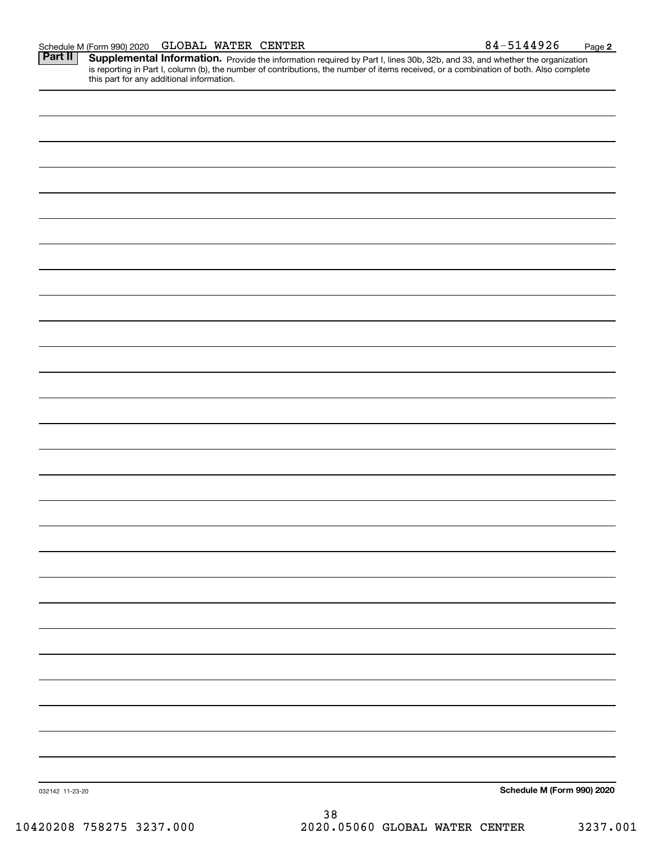Part II | Supplemental Information. Provide the information required by Part I, lines 30b, 32b, and 33, and whether the organization is reporting in Part I, column (b), the number of contributions, the number of items received, or a combination of both. Also complete this part for any additional information.

| 032142 11-23-20 |    | Schedule M (Form 990) 2020 |
|-----------------|----|----------------------------|
|                 | 38 |                            |

10420208 758275 3237.000 2020.05060 GLOBAL WATER CENTER 3237.001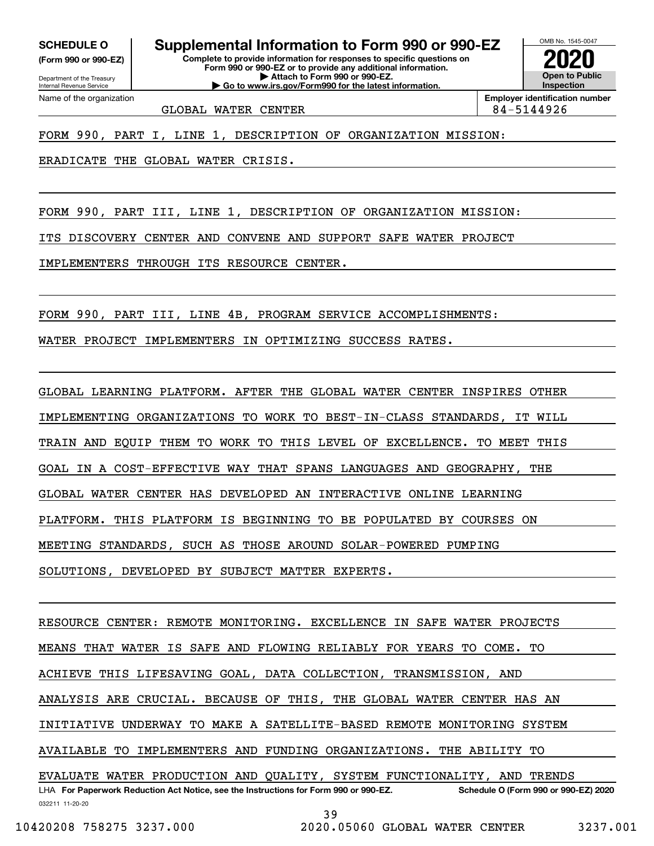**(Form 990 or 990-EZ)**

Department of the Treasury Internal Revenue Service Name of the organization

**SCHEDULE O Supplemental Information to Form 990 or 990-EZ**

**Complete to provide information for responses to specific questions on Form 990 or 990-EZ or to provide any additional information. | Attach to Form 990 or 990-EZ. | Go to www.irs.gov/Form990 for the latest information.**



GLOBAL WATER CENTER **84-5144926** 

FORM 990, PART I, LINE 1, DESCRIPTION OF ORGANIZATION MISSION:

ERADICATE THE GLOBAL WATER CRISIS.

FORM 990, PART III, LINE 1, DESCRIPTION OF ORGANIZATION MISSION:

ITS DISCOVERY CENTER AND CONVENE AND SUPPORT SAFE WATER PROJECT

IMPLEMENTERS THROUGH ITS RESOURCE CENTER.

FORM 990, PART III, LINE 4B, PROGRAM SERVICE ACCOMPLISHMENTS:

WATER PROJECT IMPLEMENTERS IN OPTIMIZING SUCCESS RATES.

GLOBAL LEARNING PLATFORM. AFTER THE GLOBAL WATER CENTER INSPIRES OTHER IMPLEMENTING ORGANIZATIONS TO WORK TO BEST-IN-CLASS STANDARDS, IT WILL TRAIN AND EQUIP THEM TO WORK TO THIS LEVEL OF EXCELLENCE. TO MEET THIS GOAL IN A COST-EFFECTIVE WAY THAT SPANS LANGUAGES AND GEOGRAPHY, THE GLOBAL WATER CENTER HAS DEVELOPED AN INTERACTIVE ONLINE LEARNING PLATFORM. THIS PLATFORM IS BEGINNING TO BE POPULATED BY COURSES ON MEETING STANDARDS, SUCH AS THOSE AROUND SOLAR-POWERED PUMPING SOLUTIONS, DEVELOPED BY SUBJECT MATTER EXPERTS.

032211 11-20-20 LHA For Paperwork Reduction Act Notice, see the Instructions for Form 990 or 990-EZ. Schedule O (Form 990 or 990-EZ) 2020 RESOURCE CENTER: REMOTE MONITORING. EXCELLENCE IN SAFE WATER PROJECTS MEANS THAT WATER IS SAFE AND FLOWING RELIABLY FOR YEARS TO COME. TO ACHIEVE THIS LIFESAVING GOAL, DATA COLLECTION, TRANSMISSION, AND ANALYSIS ARE CRUCIAL. BECAUSE OF THIS, THE GLOBAL WATER CENTER HAS AN INITIATIVE UNDERWAY TO MAKE A SATELLITE-BASED REMOTE MONITORING SYSTEM AVAILABLE TO IMPLEMENTERS AND FUNDING ORGANIZATIONS. THE ABILITY TO EVALUATE WATER PRODUCTION AND QUALITY, SYSTEM FUNCTIONALITY, AND TRENDS

39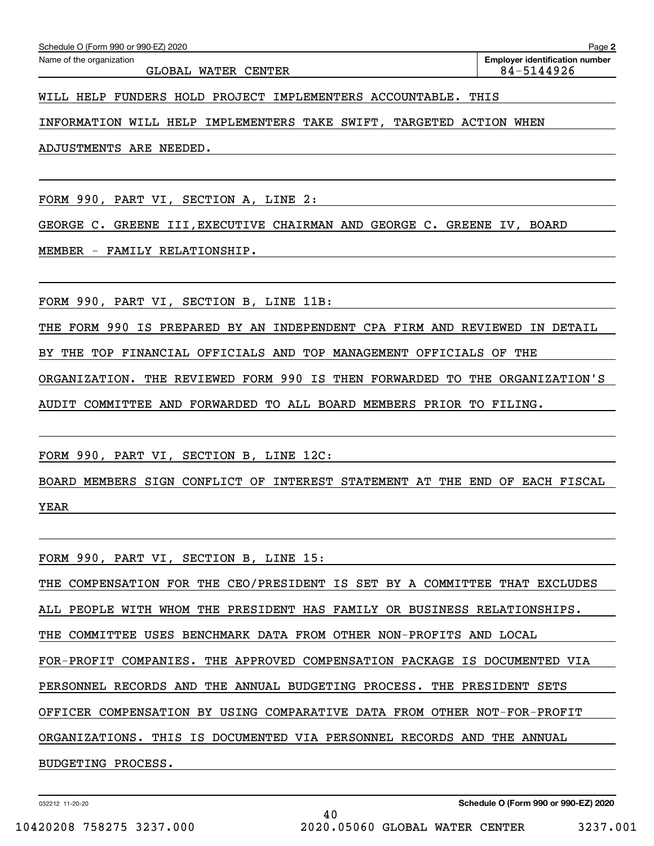WILL HELP FUNDERS HOLD PROJECT IMPLEMENTERS ACCOUNTABLE. THIS

INFORMATION WILL HELP IMPLEMENTERS TAKE SWIFT, TARGETED ACTION WHEN

ADJUSTMENTS ARE NEEDED.

FORM 990, PART VI, SECTION A, LINE 2:

GEORGE C. GREENE III,EXECUTIVE CHAIRMAN AND GEORGE C. GREENE IV, BOARD

MEMBER - FAMILY RELATIONSHIP.

FORM 990, PART VI, SECTION B, LINE 11B:

THE FORM 990 IS PREPARED BY AN INDEPENDENT CPA FIRM AND REVIEWED IN DETAIL

BY THE TOP FINANCIAL OFFICIALS AND TOP MANAGEMENT OFFICIALS OF THE

ORGANIZATION. THE REVIEWED FORM 990 IS THEN FORWARDED TO THE ORGANIZATION'S

AUDIT COMMITTEE AND FORWARDED TO ALL BOARD MEMBERS PRIOR TO FILING.

FORM 990, PART VI, SECTION B, LINE 12C:

BOARD MEMBERS SIGN CONFLICT OF INTEREST STATEMENT AT THE END OF EACH FISCAL YEAR

FORM 990, PART VI, SECTION B, LINE 15:

THE COMPENSATION FOR THE CEO/PRESIDENT IS SET BY A COMMITTEE THAT EXCLUDES

ALL PEOPLE WITH WHOM THE PRESIDENT HAS FAMILY OR BUSINESS RELATIONSHIPS.

THE COMMITTEE USES BENCHMARK DATA FROM OTHER NON-PROFITS AND LOCAL

FOR-PROFIT COMPANIES. THE APPROVED COMPENSATION PACKAGE IS DOCUMENTED VIA

PERSONNEL RECORDS AND THE ANNUAL BUDGETING PROCESS. THE PRESIDENT SETS

OFFICER COMPENSATION BY USING COMPARATIVE DATA FROM OTHER NOT-FOR-PROFIT

40

ORGANIZATIONS. THIS IS DOCUMENTED VIA PERSONNEL RECORDS AND THE ANNUAL

BUDGETING PROCESS.

032212 11-20-20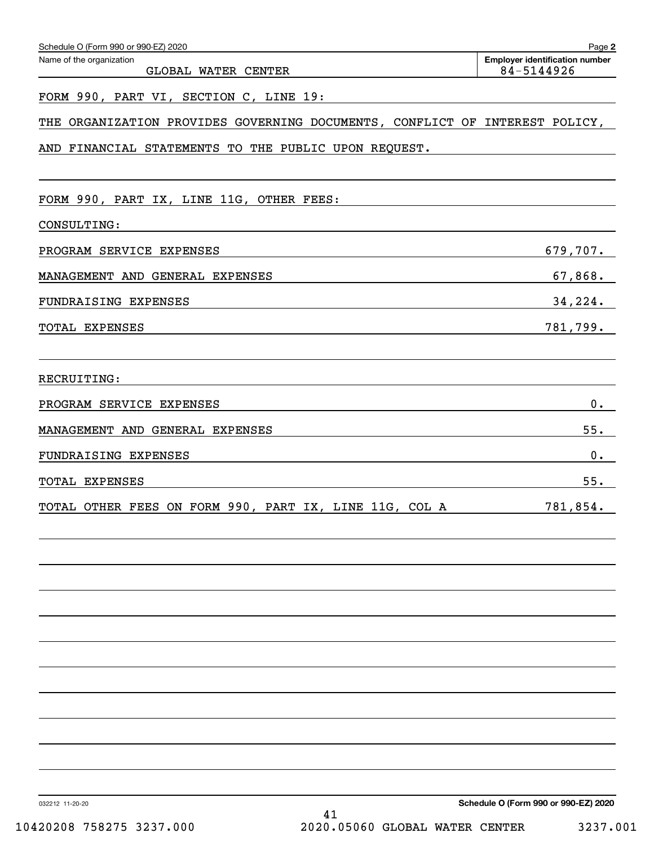| Schedule O (Form 990 or 990-EZ) 2020                                        | Page 2<br><b>Employer identification number</b> |
|-----------------------------------------------------------------------------|-------------------------------------------------|
| Name of the organization<br>GLOBAL WATER CENTER                             | 84-5144926                                      |
| FORM 990, PART VI, SECTION C, LINE 19:                                      |                                                 |
| THE ORGANIZATION PROVIDES GOVERNING DOCUMENTS, CONFLICT OF INTEREST POLICY, |                                                 |
| AND FINANCIAL STATEMENTS TO THE PUBLIC UPON REQUEST.                        |                                                 |
| FORM 990, PART IX, LINE 11G, OTHER FEES:                                    |                                                 |
| CONSULTING:                                                                 |                                                 |
| PROGRAM SERVICE EXPENSES                                                    | 679,707.                                        |
| MANAGEMENT AND GENERAL EXPENSES                                             | 67,868.                                         |
| FUNDRAISING EXPENSES                                                        | 34,224.                                         |
| TOTAL EXPENSES                                                              | 781,799.                                        |
| RECRUITING:                                                                 |                                                 |
| PROGRAM SERVICE EXPENSES                                                    | 0.                                              |
| MANAGEMENT AND GENERAL EXPENSES                                             | 55.                                             |
| FUNDRAISING EXPENSES                                                        | $0$ .                                           |
| TOTAL EXPENSES                                                              | 55.                                             |
| TOTAL OTHER FEES ON FORM 990, PART IX, LINE 11G, COL A                      | 781,854.                                        |
|                                                                             |                                                 |
|                                                                             |                                                 |
|                                                                             |                                                 |
|                                                                             |                                                 |
|                                                                             |                                                 |
|                                                                             |                                                 |
|                                                                             |                                                 |
| 032212 11-20-20                                                             | Schedule O (Form 990 or 990-EZ) 2020            |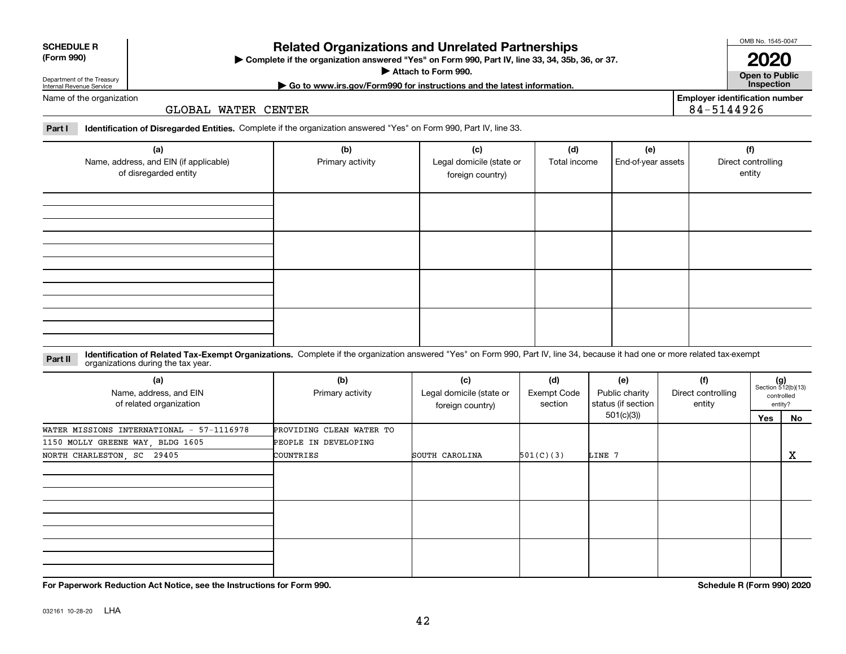| 032161 10-28-20 | LHA |
|-----------------|-----|
|                 |     |

| ► Complete if the organization answered "Yes" on Form 990, Part IV, line 33, 34, 35b, 36, or 37. |
|--------------------------------------------------------------------------------------------------|
| Attach to Form 990.                                                                              |
| $\triangleright$ Go to www.irs.gov/Form990 for instructions and the latest information.          |

**Open to Public**

**2020**

Name of the organization

Department of the Treasury Internal Revenue Service

GLOBAL WATER CENTER

**Part I Identification of Disregarded Entities.**  Complete if the organization answered "Yes" on Form 990, Part IV, line 33.

| (a)<br>Name, address, and EIN (if applicable)<br>of disregarded entity | (b)<br>Primary activity | (c)<br>Legal domicile (state or<br>foreign country) | (d)<br>Total income | (e)<br>End-of-year assets | (f)<br>Direct controlling<br>entity |
|------------------------------------------------------------------------|-------------------------|-----------------------------------------------------|---------------------|---------------------------|-------------------------------------|
|                                                                        |                         |                                                     |                     |                           |                                     |
|                                                                        |                         |                                                     |                     |                           |                                     |
|                                                                        |                         |                                                     |                     |                           |                                     |
|                                                                        |                         |                                                     |                     |                           |                                     |

**Related Organizations and Unrelated Partnerships**

**Identification of Related Tax-Exempt Organizations.** Complete if the organization answered "Yes" on Form 990, Part IV, line 34, because it had one or more related tax-exempt **Part II** organizations during the tax year.

| (a)<br>Name, address, and EIN<br>of related organization | (b)<br>Primary activity  | (c)<br>Legal domicile (state or<br>foreign country) | (d)<br>Exempt Code<br>section | (e)<br>Public charity<br>status (if section | (f)<br>Direct controlling<br>entity | $(g)$<br>Section 512(b)(13)<br>entity? | controlled |
|----------------------------------------------------------|--------------------------|-----------------------------------------------------|-------------------------------|---------------------------------------------|-------------------------------------|----------------------------------------|------------|
|                                                          |                          |                                                     |                               | 501(c)(3)                                   |                                     | Yes                                    | No         |
| WATER MISSIONS INTERNATIONAL - 57-1116978                | PROVIDING CLEAN WATER TO |                                                     |                               |                                             |                                     |                                        |            |
| 1150 MOLLY GREENE WAY, BLDG 1605                         | PEOPLE IN DEVELOPING     |                                                     |                               |                                             |                                     |                                        |            |
| NORTH CHARLESTON, SC 29405                               | COUNTRIES                | SOUTH CAROLINA                                      | 501(C)(3)                     | LINE 7                                      |                                     |                                        | X          |
|                                                          |                          |                                                     |                               |                                             |                                     |                                        |            |
|                                                          |                          |                                                     |                               |                                             |                                     |                                        |            |
|                                                          |                          |                                                     |                               |                                             |                                     |                                        |            |

**For Paperwork Reduction Act Notice, see the Instructions for Form 990. Schedule R (Form 990) 2020**

42

**Employer identification number**

84-5144926

| <b>SCHEDULE R</b> |  |
|-------------------|--|
| (Form 990)        |  |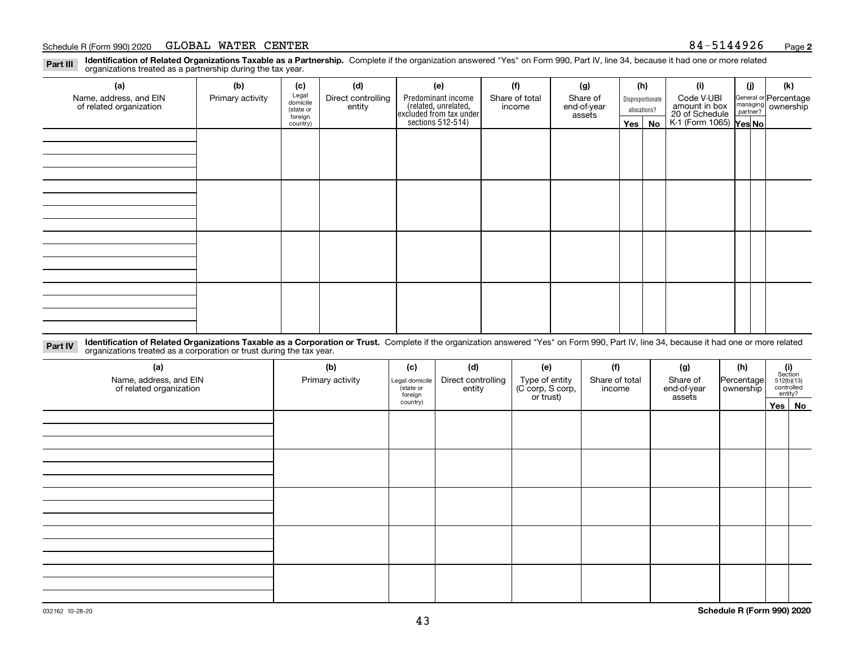#### Schedule R (Form 990) 2020 **GLOBAL WATER CENTER** 8 4-5144926 <sub>Page</sub>

**Identification of Related Organizations Taxable as a Partnership.** Complete if the organization answered "Yes" on Form 990, Part IV, line 34, because it had one or more related **Part III** organizations treated as a partnership during the tax year.

| (a)                                               | (b)              | (c)                  | (d)                          | (e)                                                                  | (f)            | (g)                     |              | (h)              | (i)                                                       | (j) | (k)                                                       |
|---------------------------------------------------|------------------|----------------------|------------------------------|----------------------------------------------------------------------|----------------|-------------------------|--------------|------------------|-----------------------------------------------------------|-----|-----------------------------------------------------------|
| Name, address, and EIN<br>of related organization | Primary activity | Legal<br>domicile    | Direct controlling<br>entity | Predominant income                                                   | Share of total | Share of<br>end-of-year |              | Disproportionate | Code V-UBI                                                |     | General or Percentage<br>managing<br>partner?<br>partner? |
|                                                   |                  | (state or<br>foreign |                              | (related, unrelated,<br>excluded from tax under<br>sections 512-514) | income         | assets                  | allocations? |                  |                                                           |     |                                                           |
|                                                   |                  | country)             |                              |                                                                      |                |                         |              | $Yes \mid No$    | amount in box<br>20 of Schedule<br>K-1 (Form 1065) Yes No |     |                                                           |
|                                                   |                  |                      |                              |                                                                      |                |                         |              |                  |                                                           |     |                                                           |
|                                                   |                  |                      |                              |                                                                      |                |                         |              |                  |                                                           |     |                                                           |
|                                                   |                  |                      |                              |                                                                      |                |                         |              |                  |                                                           |     |                                                           |
|                                                   |                  |                      |                              |                                                                      |                |                         |              |                  |                                                           |     |                                                           |
|                                                   |                  |                      |                              |                                                                      |                |                         |              |                  |                                                           |     |                                                           |
|                                                   |                  |                      |                              |                                                                      |                |                         |              |                  |                                                           |     |                                                           |
|                                                   |                  |                      |                              |                                                                      |                |                         |              |                  |                                                           |     |                                                           |
|                                                   |                  |                      |                              |                                                                      |                |                         |              |                  |                                                           |     |                                                           |
|                                                   |                  |                      |                              |                                                                      |                |                         |              |                  |                                                           |     |                                                           |
|                                                   |                  |                      |                              |                                                                      |                |                         |              |                  |                                                           |     |                                                           |
|                                                   |                  |                      |                              |                                                                      |                |                         |              |                  |                                                           |     |                                                           |
|                                                   |                  |                      |                              |                                                                      |                |                         |              |                  |                                                           |     |                                                           |
|                                                   |                  |                      |                              |                                                                      |                |                         |              |                  |                                                           |     |                                                           |
|                                                   |                  |                      |                              |                                                                      |                |                         |              |                  |                                                           |     |                                                           |
|                                                   |                  |                      |                              |                                                                      |                |                         |              |                  |                                                           |     |                                                           |
|                                                   |                  |                      |                              |                                                                      |                |                         |              |                  |                                                           |     |                                                           |
|                                                   |                  |                      |                              |                                                                      |                |                         |              |                  |                                                           |     |                                                           |

**Identification of Related Organizations Taxable as a Corporation or Trust.** Complete if the organization answered "Yes" on Form 990, Part IV, line 34, because it had one or more related **Part IV** organizations treated as a corporation or trust during the tax year.

| (a)<br>Name, address, and EIN<br>of related organization | (b)<br>Primary activity | (c)<br>Legal domicile<br>(state or<br>foreign | (d)<br>Direct controlling<br>entity | (e)<br>Type of entity<br>(C corp, S corp,<br>or trust) | (f)<br>Share of total<br>income | (g)<br>Share of<br>end-of-year<br>assets | (h)<br>Percentage<br>ownership | (i)<br>Section<br>512(b)(13)<br>controlled | entity? |
|----------------------------------------------------------|-------------------------|-----------------------------------------------|-------------------------------------|--------------------------------------------------------|---------------------------------|------------------------------------------|--------------------------------|--------------------------------------------|---------|
|                                                          |                         | country)                                      |                                     |                                                        |                                 |                                          |                                |                                            | Yes No  |
|                                                          |                         |                                               |                                     |                                                        |                                 |                                          |                                |                                            |         |
|                                                          |                         |                                               |                                     |                                                        |                                 |                                          |                                |                                            |         |
|                                                          |                         |                                               |                                     |                                                        |                                 |                                          |                                |                                            |         |
|                                                          |                         |                                               |                                     |                                                        |                                 |                                          |                                |                                            |         |
|                                                          |                         |                                               |                                     |                                                        |                                 |                                          |                                |                                            |         |
|                                                          |                         |                                               |                                     |                                                        |                                 |                                          |                                |                                            |         |
|                                                          |                         |                                               |                                     |                                                        |                                 |                                          |                                |                                            |         |
|                                                          |                         |                                               |                                     |                                                        |                                 |                                          |                                |                                            |         |
|                                                          |                         |                                               |                                     |                                                        |                                 |                                          |                                |                                            |         |
|                                                          |                         |                                               |                                     |                                                        |                                 |                                          |                                |                                            |         |
|                                                          |                         |                                               |                                     |                                                        |                                 |                                          |                                |                                            |         |
|                                                          |                         |                                               |                                     |                                                        |                                 |                                          |                                |                                            |         |
|                                                          |                         |                                               |                                     |                                                        |                                 |                                          |                                |                                            |         |
|                                                          |                         |                                               |                                     |                                                        |                                 |                                          |                                |                                            |         |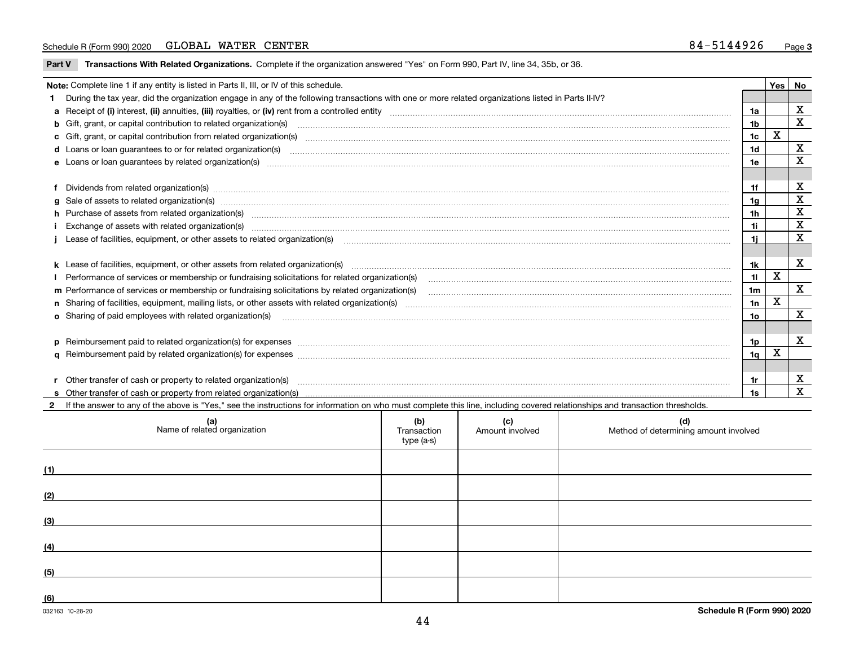### Schedule R (Form 990) 2020 **GLOBAL WATER CENTER** 8 4-5144926 <sub>Page</sub>

**Part V** T**ransactions With Related Organizations.** Complete if the organization answered "Yes" on Form 990, Part IV, line 34, 35b, or 36.

|   | Note: Complete line 1 if any entity is listed in Parts II, III, or IV of this schedule.                                                                                                                                        |                 | Yes                     | No                      |
|---|--------------------------------------------------------------------------------------------------------------------------------------------------------------------------------------------------------------------------------|-----------------|-------------------------|-------------------------|
|   | During the tax year, did the organization engage in any of the following transactions with one or more related organizations listed in Parts II-IV?                                                                            |                 |                         |                         |
|   |                                                                                                                                                                                                                                | 1a              |                         | $\mathbf x$             |
|   | b Gift, grant, or capital contribution to related organization(s) manufactured and contribution to related organization(s)                                                                                                     | 1 <sub>b</sub>  |                         | $\overline{\mathbf{x}}$ |
|   |                                                                                                                                                                                                                                | 1 <sub>c</sub>  | X                       |                         |
|   |                                                                                                                                                                                                                                | 1 <sub>d</sub>  |                         | $\mathbf x$             |
|   |                                                                                                                                                                                                                                | 1e              |                         | X                       |
|   |                                                                                                                                                                                                                                |                 |                         |                         |
|   | Dividends from related organization(s) manufactured and contract and contract or produced and contract and contract and contract and contract and contract and contract and contract and contract and contract and contract an | 1f              |                         | X                       |
| a | Sale of assets to related organization(s) www.assets.com/individual/individual/individual/individual/individual/individual/individual/individual/individual/individual/individual/individual/individual/individual/individual/ | 1g              |                         | $\mathbf X$             |
|   | h Purchase of assets from related organization(s) manufactured and content to content the content of assets from related organization(s)                                                                                       | 1h              |                         | X                       |
|   |                                                                                                                                                                                                                                | 1i              |                         | $\mathbf x$             |
|   | Lease of facilities, equipment, or other assets to related organization(s) [11] manufactured manufactured manufactured manufactured manufactured manufactured manufactured manufactured manufactured manufactured manufactured | 11              |                         | X                       |
|   |                                                                                                                                                                                                                                |                 |                         |                         |
|   | k Lease of facilities, equipment, or other assets from related organization(s) manufaction content and content to the assets from related organization(s) manufaction content and content and content and content and content  | 1k              |                         | X                       |
|   |                                                                                                                                                                                                                                | 11              | X                       |                         |
|   | m Performance of services or membership or fundraising solicitations by related organization(s)                                                                                                                                | 1 <sub>m</sub>  |                         | $\overline{\mathbf{x}}$ |
|   |                                                                                                                                                                                                                                | 1n              | $\overline{\mathbf{X}}$ |                         |
|   | <b>o</b> Sharing of paid employees with related organization(s)                                                                                                                                                                | 10 <sub>o</sub> |                         | X                       |
|   |                                                                                                                                                                                                                                |                 |                         |                         |
|   | p Reimbursement paid to related organization(s) for expenses [11111] [12] reasonal content of the separation (s) for expenses [11111] [12] reasonal content content of the separation (s) for expenses [1111] [12] reasonal co | 1p              |                         | $\mathbf x$             |
|   |                                                                                                                                                                                                                                | 1 <sub>q</sub>  | X                       |                         |
|   |                                                                                                                                                                                                                                |                 |                         |                         |
|   | Other transfer of cash or property to related organization(s)                                                                                                                                                                  | 1r              |                         | X                       |
|   |                                                                                                                                                                                                                                | 1s              |                         | $\mathbf{x}$            |
|   | If the answer to any of the above is "Yes," see the instructions for information on who must complete this line, including covered relationships and transaction thresholds.                                                   |                 |                         |                         |

| (a)<br>Name of related organization | (b)<br>Transaction<br>type (a-s) | (c)<br>Amount involved | (d)<br>Method of determining amount involved |
|-------------------------------------|----------------------------------|------------------------|----------------------------------------------|
| (1)                                 |                                  |                        |                                              |
| (2)                                 |                                  |                        |                                              |
| (3)                                 |                                  |                        |                                              |
| (4)                                 |                                  |                        |                                              |
| (5)                                 |                                  |                        |                                              |
| (6)                                 |                                  |                        |                                              |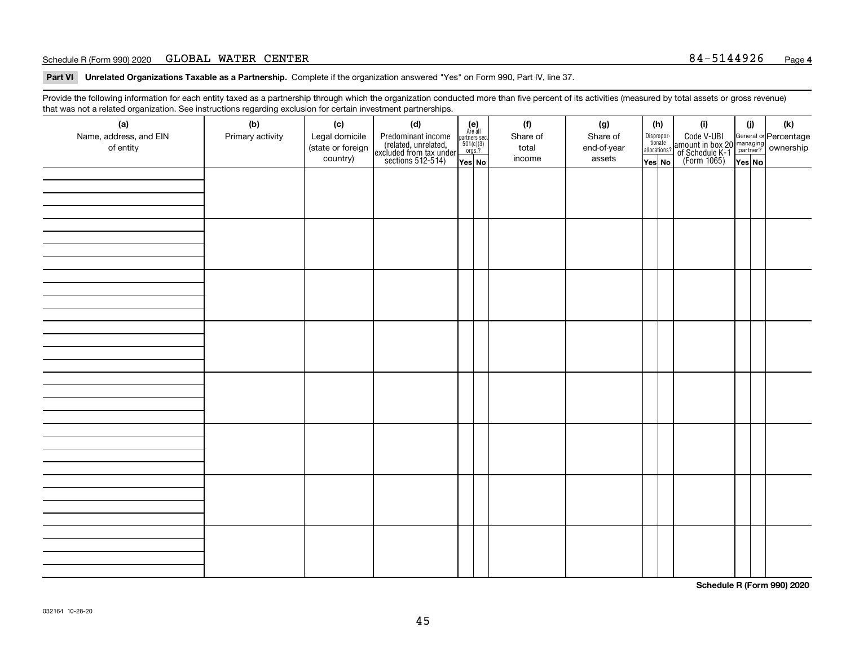### Schedule R (Form 990) 2020 **GLOBAL WATER CENTER** 8 4-5144926 <sub>Page</sub>

**Part VI Unrelated Organizations Taxable as a Partnership. Complete if the organization answered "Yes" on Form 990, Part IV, line 37.** 

Provide the following information for each entity taxed as a partnership through which the organization conducted more than five percent of its activities (measured by total assets or gross revenue) that was not a related organization. See instructions regarding exclusion for certain investment partnerships.

| ັ                      | ັ<br>ັ           |                   |                                                                                            |                                                                                             |  |          |             |  |                                       |                                                                                                                                       |        |     |
|------------------------|------------------|-------------------|--------------------------------------------------------------------------------------------|---------------------------------------------------------------------------------------------|--|----------|-------------|--|---------------------------------------|---------------------------------------------------------------------------------------------------------------------------------------|--------|-----|
| (a)                    | (b)              | (c)               | (d)                                                                                        | (e)<br>Are all                                                                              |  | (f)      | (g)         |  | (h)                                   | (i)                                                                                                                                   | (i)    | (k) |
| Name, address, and EIN | Primary activity | Legal domicile    |                                                                                            | $\begin{array}{c}\n\text{partners} \text{ sec.} \\ 501(c)(3) \\ \text{orgs.?}\n\end{array}$ |  | Share of | Share of    |  | Dispropor-<br>tionate<br>allocations? |                                                                                                                                       |        |     |
| of entity              |                  | (state or foreign | Predominant income<br>(related, unrelated,<br>excluded from tax under<br>sections 512-514) |                                                                                             |  | total    | end-of-year |  |                                       | Code V-UBI<br>  amount in box 20 managing<br>  of Schedule K-1 partner? ownership<br>  of Schedule K-1 partner? ownership<br>  Yes No |        |     |
|                        |                  | country)          |                                                                                            | Yes No                                                                                      |  | income   | assets      |  | Yes No                                |                                                                                                                                       | Yes No |     |
|                        |                  |                   |                                                                                            |                                                                                             |  |          |             |  |                                       |                                                                                                                                       |        |     |
|                        |                  |                   |                                                                                            |                                                                                             |  |          |             |  |                                       |                                                                                                                                       |        |     |
|                        |                  |                   |                                                                                            |                                                                                             |  |          |             |  |                                       |                                                                                                                                       |        |     |
|                        |                  |                   |                                                                                            |                                                                                             |  |          |             |  |                                       |                                                                                                                                       |        |     |
|                        |                  |                   |                                                                                            |                                                                                             |  |          |             |  |                                       |                                                                                                                                       |        |     |
|                        |                  |                   |                                                                                            |                                                                                             |  |          |             |  |                                       |                                                                                                                                       |        |     |
|                        |                  |                   |                                                                                            |                                                                                             |  |          |             |  |                                       |                                                                                                                                       |        |     |
|                        |                  |                   |                                                                                            |                                                                                             |  |          |             |  |                                       |                                                                                                                                       |        |     |
|                        |                  |                   |                                                                                            |                                                                                             |  |          |             |  |                                       |                                                                                                                                       |        |     |
|                        |                  |                   |                                                                                            |                                                                                             |  |          |             |  |                                       |                                                                                                                                       |        |     |
|                        |                  |                   |                                                                                            |                                                                                             |  |          |             |  |                                       |                                                                                                                                       |        |     |
|                        |                  |                   |                                                                                            |                                                                                             |  |          |             |  |                                       |                                                                                                                                       |        |     |
|                        |                  |                   |                                                                                            |                                                                                             |  |          |             |  |                                       |                                                                                                                                       |        |     |
|                        |                  |                   |                                                                                            |                                                                                             |  |          |             |  |                                       |                                                                                                                                       |        |     |
|                        |                  |                   |                                                                                            |                                                                                             |  |          |             |  |                                       |                                                                                                                                       |        |     |
|                        |                  |                   |                                                                                            |                                                                                             |  |          |             |  |                                       |                                                                                                                                       |        |     |
|                        |                  |                   |                                                                                            |                                                                                             |  |          |             |  |                                       |                                                                                                                                       |        |     |
|                        |                  |                   |                                                                                            |                                                                                             |  |          |             |  |                                       |                                                                                                                                       |        |     |
|                        |                  |                   |                                                                                            |                                                                                             |  |          |             |  |                                       |                                                                                                                                       |        |     |
|                        |                  |                   |                                                                                            |                                                                                             |  |          |             |  |                                       |                                                                                                                                       |        |     |
|                        |                  |                   |                                                                                            |                                                                                             |  |          |             |  |                                       |                                                                                                                                       |        |     |
|                        |                  |                   |                                                                                            |                                                                                             |  |          |             |  |                                       |                                                                                                                                       |        |     |
|                        |                  |                   |                                                                                            |                                                                                             |  |          |             |  |                                       |                                                                                                                                       |        |     |
|                        |                  |                   |                                                                                            |                                                                                             |  |          |             |  |                                       |                                                                                                                                       |        |     |
|                        |                  |                   |                                                                                            |                                                                                             |  |          |             |  |                                       |                                                                                                                                       |        |     |
|                        |                  |                   |                                                                                            |                                                                                             |  |          |             |  |                                       |                                                                                                                                       |        |     |
|                        |                  |                   |                                                                                            |                                                                                             |  |          |             |  |                                       |                                                                                                                                       |        |     |
|                        |                  |                   |                                                                                            |                                                                                             |  |          |             |  |                                       |                                                                                                                                       |        |     |
|                        |                  |                   |                                                                                            |                                                                                             |  |          |             |  |                                       |                                                                                                                                       |        |     |
|                        |                  |                   |                                                                                            |                                                                                             |  |          |             |  |                                       |                                                                                                                                       |        |     |
|                        |                  |                   |                                                                                            |                                                                                             |  |          |             |  |                                       |                                                                                                                                       |        |     |
|                        |                  |                   |                                                                                            |                                                                                             |  |          |             |  |                                       |                                                                                                                                       |        |     |
|                        |                  |                   |                                                                                            |                                                                                             |  |          |             |  |                                       |                                                                                                                                       |        |     |
|                        |                  |                   |                                                                                            |                                                                                             |  |          |             |  |                                       |                                                                                                                                       |        |     |
|                        |                  |                   |                                                                                            |                                                                                             |  |          |             |  |                                       |                                                                                                                                       |        |     |
|                        |                  |                   |                                                                                            |                                                                                             |  |          |             |  |                                       |                                                                                                                                       |        |     |

**Schedule R (Form 990) 2020**